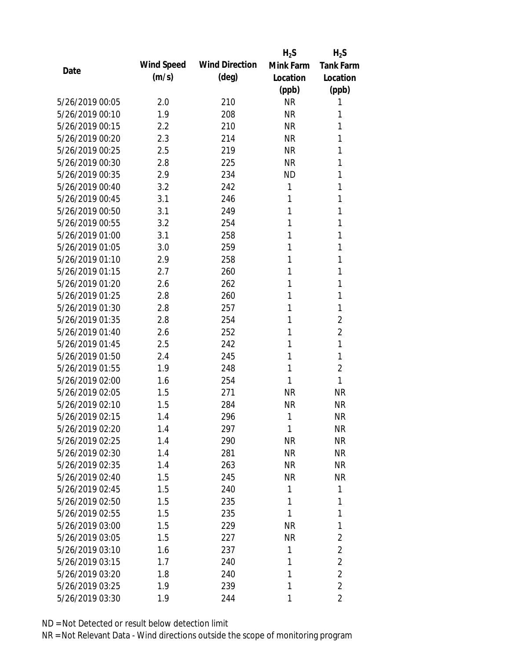|                 |            |                       | $H_2S$    | $H_2S$           |
|-----------------|------------|-----------------------|-----------|------------------|
| Date            | Wind Speed | <b>Wind Direction</b> | Mink Farm | <b>Tank Farm</b> |
|                 | (m/s)      | $(\text{deg})$        | Location  | Location         |
|                 |            |                       | (ppb)     | (ppb)            |
| 5/26/2019 00:05 | 2.0        | 210                   | <b>NR</b> | 1                |
| 5/26/2019 00:10 | 1.9        | 208                   | <b>NR</b> | 1                |
| 5/26/2019 00:15 | 2.2        | 210                   | <b>NR</b> | 1                |
| 5/26/2019 00:20 | 2.3        | 214                   | <b>NR</b> | 1                |
| 5/26/2019 00:25 | 2.5        | 219                   | <b>NR</b> | 1                |
| 5/26/2019 00:30 | 2.8        | 225                   | <b>NR</b> | 1                |
| 5/26/2019 00:35 | 2.9        | 234                   | <b>ND</b> | 1                |
| 5/26/2019 00:40 | 3.2        | 242                   | 1         | 1                |
| 5/26/2019 00:45 | 3.1        | 246                   | 1         | 1                |
| 5/26/2019 00:50 | 3.1        | 249                   | 1         | 1                |
| 5/26/2019 00:55 | 3.2        | 254                   | 1         | 1                |
| 5/26/2019 01:00 | 3.1        | 258                   | 1         | 1                |
| 5/26/2019 01:05 | 3.0        | 259                   | 1         | 1                |
| 5/26/2019 01:10 | 2.9        | 258                   | 1         | 1                |
| 5/26/2019 01:15 | 2.7        | 260                   | 1         | 1                |
| 5/26/2019 01:20 | 2.6        | 262                   | 1         | 1                |
| 5/26/2019 01:25 | 2.8        | 260                   | 1         | 1                |
| 5/26/2019 01:30 | 2.8        | 257                   | 1         | 1                |
| 5/26/2019 01:35 | 2.8        | 254                   | 1         | $\overline{2}$   |
| 5/26/2019 01:40 | 2.6        | 252                   | 1         | $\overline{2}$   |
| 5/26/2019 01:45 | 2.5        | 242                   | 1         | 1                |
| 5/26/2019 01:50 | 2.4        | 245                   | 1         | 1                |
| 5/26/2019 01:55 | 1.9        | 248                   | 1         | $\overline{2}$   |
| 5/26/2019 02:00 | 1.6        | 254                   | 1         | 1                |
| 5/26/2019 02:05 | 1.5        | 271                   | <b>NR</b> | <b>NR</b>        |
| 5/26/2019 02:10 | 1.5        | 284                   | <b>NR</b> | <b>NR</b>        |
| 5/26/2019 02:15 | 1.4        | 296                   | 1         | <b>NR</b>        |
| 5/26/2019 02:20 | 1.4        | 297                   | 1         | <b>NR</b>        |
| 5/26/2019 02:25 | 1.4        | 290                   | <b>NR</b> | <b>NR</b>        |
| 5/26/2019 02:30 | 1.4        | 281                   | <b>NR</b> | NR               |
| 5/26/2019 02:35 | 1.4        | 263                   | <b>NR</b> | <b>NR</b>        |
| 5/26/2019 02:40 | 1.5        | 245                   | <b>NR</b> | NR               |
| 5/26/2019 02:45 | 1.5        | 240                   | 1         | 1                |
| 5/26/2019 02:50 | 1.5        | 235                   | 1         | 1                |
| 5/26/2019 02:55 | 1.5        | 235                   | 1         | 1                |
| 5/26/2019 03:00 | 1.5        | 229                   | <b>NR</b> | 1                |
| 5/26/2019 03:05 | 1.5        | 227                   | <b>NR</b> | 2                |
| 5/26/2019 03:10 | 1.6        | 237                   | 1         | $\overline{2}$   |
| 5/26/2019 03:15 | 1.7        | 240                   | 1         | $\overline{2}$   |
| 5/26/2019 03:20 | 1.8        | 240                   | 1         | $\overline{2}$   |
| 5/26/2019 03:25 | 1.9        | 239                   | 1         | $\overline{2}$   |
| 5/26/2019 03:30 | 1.9        | 244                   | 1         | 2                |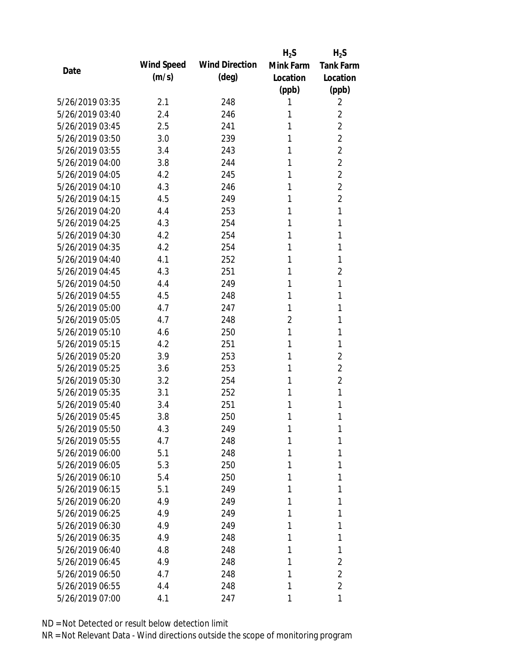|                 |            |                       | $H_2S$         | $H_2S$           |
|-----------------|------------|-----------------------|----------------|------------------|
| Date            | Wind Speed | <b>Wind Direction</b> | Mink Farm      | <b>Tank Farm</b> |
|                 | (m/s)      | $(\text{deg})$        | Location       | Location         |
|                 |            |                       | (ppb)          | (ppb)            |
| 5/26/2019 03:35 | 2.1        | 248                   | 1              | 2                |
| 5/26/2019 03:40 | 2.4        | 246                   | 1              | $\overline{2}$   |
| 5/26/2019 03:45 | 2.5        | 241                   | 1              | $\overline{2}$   |
| 5/26/2019 03:50 | 3.0        | 239                   | 1              | $\overline{2}$   |
| 5/26/2019 03:55 | 3.4        | 243                   | 1              | 2                |
| 5/26/2019 04:00 | 3.8        | 244                   | 1              | $\overline{2}$   |
| 5/26/2019 04:05 | 4.2        | 245                   | 1              | $\overline{2}$   |
| 5/26/2019 04:10 | 4.3        | 246                   | 1              | $\overline{2}$   |
| 5/26/2019 04:15 | 4.5        | 249                   | 1              | $\overline{2}$   |
| 5/26/2019 04:20 | 4.4        | 253                   | 1              | 1                |
| 5/26/2019 04:25 | 4.3        | 254                   | 1              | 1                |
| 5/26/2019 04:30 | 4.2        | 254                   | 1              | 1                |
| 5/26/2019 04:35 | 4.2        | 254                   | 1              | 1                |
| 5/26/2019 04:40 | 4.1        | 252                   | 1              | 1                |
| 5/26/2019 04:45 | 4.3        | 251                   | 1              | $\overline{2}$   |
| 5/26/2019 04:50 | 4.4        | 249                   | 1              | 1                |
| 5/26/2019 04:55 | 4.5        | 248                   | 1              | 1                |
| 5/26/2019 05:00 | 4.7        | 247                   | 1              | 1                |
| 5/26/2019 05:05 | 4.7        | 248                   | $\overline{2}$ | 1                |
| 5/26/2019 05:10 | 4.6        | 250                   | 1              | 1                |
| 5/26/2019 05:15 | 4.2        | 251                   | 1              | 1                |
| 5/26/2019 05:20 | 3.9        | 253                   | 1              | $\overline{2}$   |
| 5/26/2019 05:25 | 3.6        | 253                   | 1              | $\overline{2}$   |
| 5/26/2019 05:30 | 3.2        | 254                   | 1              | $\overline{2}$   |
| 5/26/2019 05:35 | 3.1        | 252                   | 1              | 1                |
| 5/26/2019 05:40 | 3.4        | 251                   | 1              | 1                |
| 5/26/2019 05:45 | 3.8        | 250                   | 1              | 1                |
| 5/26/2019 05:50 | 4.3        | 249                   | 1              | 1                |
| 5/26/2019 05:55 | 4.7        | 248                   | 1              | 1                |
| 5/26/2019 06:00 | 5.1        | 248                   | 1              | 1                |
| 5/26/2019 06:05 | 5.3        | 250                   | 1              | 1                |
| 5/26/2019 06:10 | 5.4        | 250                   | 1              | 1                |
| 5/26/2019 06:15 | 5.1        | 249                   | 1              | 1                |
| 5/26/2019 06:20 | 4.9        | 249                   | 1              | 1                |
| 5/26/2019 06:25 | 4.9        | 249                   | 1              | 1                |
| 5/26/2019 06:30 | 4.9        | 249                   | 1              | 1                |
| 5/26/2019 06:35 | 4.9        | 248                   | 1              | 1                |
| 5/26/2019 06:40 | 4.8        | 248                   | 1              | 1                |
| 5/26/2019 06:45 | 4.9        | 248                   | 1              | 2                |
| 5/26/2019 06:50 | 4.7        | 248                   | 1              | $\overline{2}$   |
| 5/26/2019 06:55 | 4.4        | 248                   | 1              | $\overline{2}$   |
| 5/26/2019 07:00 | 4.1        | 247                   | 1              | 1                |
|                 |            |                       |                |                  |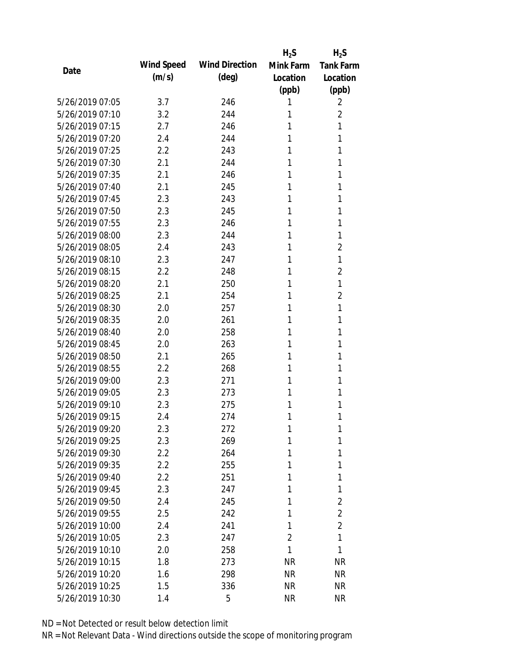|                 |            |                       | $H_2S$         | $H_2S$           |
|-----------------|------------|-----------------------|----------------|------------------|
| Date            | Wind Speed | <b>Wind Direction</b> | Mink Farm      | <b>Tank Farm</b> |
|                 | (m/s)      | $(\text{deg})$        | Location       | Location         |
|                 |            |                       | (ppb)          | (ppb)            |
| 5/26/2019 07:05 | 3.7        | 246                   | 1              | 2                |
| 5/26/2019 07:10 | 3.2        | 244                   | 1              | 2                |
| 5/26/2019 07:15 | 2.7        | 246                   | 1              | 1                |
| 5/26/2019 07:20 | 2.4        | 244                   | 1              | 1                |
| 5/26/2019 07:25 | 2.2        | 243                   | 1              | 1                |
| 5/26/2019 07:30 | 2.1        | 244                   | 1              | 1                |
| 5/26/2019 07:35 | 2.1        | 246                   | 1              | 1                |
| 5/26/2019 07:40 | 2.1        | 245                   | 1              | 1                |
| 5/26/2019 07:45 | 2.3        | 243                   | 1              | 1                |
| 5/26/2019 07:50 | 2.3        | 245                   | 1              | 1                |
| 5/26/2019 07:55 | 2.3        | 246                   | 1              | 1                |
| 5/26/2019 08:00 | 2.3        | 244                   | 1              | 1                |
| 5/26/2019 08:05 | 2.4        | 243                   | 1              | 2                |
| 5/26/2019 08:10 | 2.3        | 247                   | 1              | 1                |
| 5/26/2019 08:15 | 2.2        | 248                   | 1              | $\overline{2}$   |
| 5/26/2019 08:20 | 2.1        | 250                   | 1              | 1                |
| 5/26/2019 08:25 | 2.1        | 254                   | 1              | $\overline{2}$   |
| 5/26/2019 08:30 | 2.0        | 257                   | 1              | 1                |
| 5/26/2019 08:35 | 2.0        | 261                   | 1              | 1                |
| 5/26/2019 08:40 | 2.0        | 258                   | 1              | 1                |
| 5/26/2019 08:45 | 2.0        | 263                   | 1              | 1                |
| 5/26/2019 08:50 | 2.1        | 265                   | 1              | 1                |
| 5/26/2019 08:55 | 2.2        | 268                   | 1              | 1                |
| 5/26/2019 09:00 | 2.3        | 271                   | 1              | 1                |
| 5/26/2019 09:05 | 2.3        | 273                   | 1              | 1                |
| 5/26/2019 09:10 | 2.3        | 275                   | 1              | 1                |
| 5/26/2019 09:15 | 2.4        | 274                   | 1              | 1                |
| 5/26/2019 09:20 | 2.3        | 272                   | 1              | 1                |
| 5/26/2019 09:25 | 2.3        | 269                   | 1              | 1                |
| 5/26/2019 09:30 | $2.2\,$    | 264                   | 1              | 1                |
| 5/26/2019 09:35 | 2.2        | 255                   | 1              | 1                |
| 5/26/2019 09:40 | 2.2        | 251                   | 1              | 1                |
| 5/26/2019 09:45 | 2.3        | 247                   | 1              | 1                |
| 5/26/2019 09:50 | 2.4        | 245                   | 1              | $\overline{2}$   |
| 5/26/2019 09:55 | 2.5        | 242                   | 1              | $\overline{2}$   |
| 5/26/2019 10:00 | 2.4        | 241                   | 1              | $\overline{2}$   |
| 5/26/2019 10:05 | 2.3        | 247                   | $\overline{2}$ | 1                |
| 5/26/2019 10:10 | 2.0        | 258                   | 1              | 1                |
| 5/26/2019 10:15 | 1.8        | 273                   | NR             | <b>NR</b>        |
| 5/26/2019 10:20 | 1.6        | 298                   | <b>NR</b>      | NR               |
| 5/26/2019 10:25 | 1.5        | 336                   | <b>NR</b>      | <b>NR</b>        |
| 5/26/2019 10:30 | 1.4        | 5                     | <b>NR</b>      | <b>NR</b>        |
|                 |            |                       |                |                  |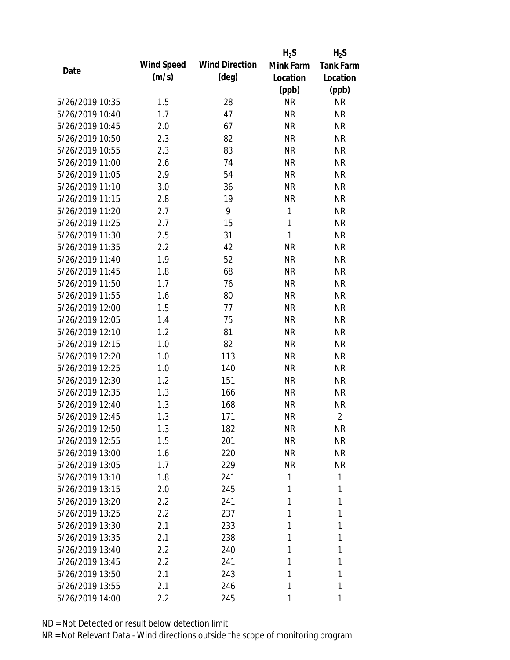|                 |            |                       | $H_2S$       | $H_2S$           |
|-----------------|------------|-----------------------|--------------|------------------|
| Date            | Wind Speed | <b>Wind Direction</b> | Mink Farm    | <b>Tank Farm</b> |
|                 | (m/s)      | $(\text{deg})$        | Location     | Location         |
|                 |            |                       | (ppb)        | (ppb)            |
| 5/26/2019 10:35 | 1.5        | 28                    | <b>NR</b>    | <b>NR</b>        |
| 5/26/2019 10:40 | 1.7        | 47                    | <b>NR</b>    | <b>NR</b>        |
| 5/26/2019 10:45 | 2.0        | 67                    | <b>NR</b>    | <b>NR</b>        |
| 5/26/2019 10:50 | 2.3        | 82                    | <b>NR</b>    | <b>NR</b>        |
| 5/26/2019 10:55 | 2.3        | 83                    | <b>NR</b>    | <b>NR</b>        |
| 5/26/2019 11:00 | 2.6        | 74                    | <b>NR</b>    | <b>NR</b>        |
| 5/26/2019 11:05 | 2.9        | 54                    | <b>NR</b>    | <b>NR</b>        |
| 5/26/2019 11:10 | 3.0        | 36                    | <b>NR</b>    | <b>NR</b>        |
| 5/26/2019 11:15 | 2.8        | 19                    | <b>NR</b>    | <b>NR</b>        |
| 5/26/2019 11:20 | 2.7        | 9                     | 1            | <b>NR</b>        |
| 5/26/2019 11:25 | 2.7        | 15                    | $\mathbf{1}$ | <b>NR</b>        |
| 5/26/2019 11:30 | 2.5        | 31                    | $\mathbf{1}$ | <b>NR</b>        |
| 5/26/2019 11:35 | 2.2        | 42                    | <b>NR</b>    | <b>NR</b>        |
| 5/26/2019 11:40 | 1.9        | 52                    | <b>NR</b>    | <b>NR</b>        |
| 5/26/2019 11:45 | 1.8        | 68                    | <b>NR</b>    | <b>NR</b>        |
| 5/26/2019 11:50 | 1.7        | 76                    | <b>NR</b>    | <b>NR</b>        |
| 5/26/2019 11:55 | 1.6        | 80                    | <b>NR</b>    | <b>NR</b>        |
| 5/26/2019 12:00 | 1.5        | 77                    | <b>NR</b>    | <b>NR</b>        |
| 5/26/2019 12:05 | 1.4        | 75                    | <b>NR</b>    | <b>NR</b>        |
| 5/26/2019 12:10 | 1.2        | 81                    | <b>NR</b>    | <b>NR</b>        |
| 5/26/2019 12:15 | 1.0        | 82                    | <b>NR</b>    | <b>NR</b>        |
| 5/26/2019 12:20 | 1.0        | 113                   | <b>NR</b>    | <b>NR</b>        |
| 5/26/2019 12:25 | 1.0        | 140                   | <b>NR</b>    | <b>NR</b>        |
| 5/26/2019 12:30 | 1.2        | 151                   | <b>NR</b>    | <b>NR</b>        |
| 5/26/2019 12:35 | 1.3        | 166                   | <b>NR</b>    | <b>NR</b>        |
| 5/26/2019 12:40 | 1.3        | 168                   | <b>NR</b>    | <b>NR</b>        |
| 5/26/2019 12:45 | 1.3        | 171                   | <b>NR</b>    | $\overline{2}$   |
| 5/26/2019 12:50 | 1.3        | 182                   | <b>NR</b>    | <b>NR</b>        |
| 5/26/2019 12:55 | 1.5        | 201                   | <b>NR</b>    | <b>NR</b>        |
| 5/26/2019 13:00 | 1.6        | 220                   | <b>NR</b>    | NR               |
| 5/26/2019 13:05 | 1.7        | 229                   | <b>NR</b>    | <b>NR</b>        |
| 5/26/2019 13:10 | 1.8        | 241                   | 1            | 1                |
| 5/26/2019 13:15 | 2.0        | 245                   | 1            | 1                |
| 5/26/2019 13:20 | 2.2        | 241                   | 1            | 1                |
| 5/26/2019 13:25 | $2.2\,$    | 237                   | 1            | 1                |
| 5/26/2019 13:30 | 2.1        | 233                   | 1            | 1                |
| 5/26/2019 13:35 | 2.1        | 238                   | 1            | 1                |
| 5/26/2019 13:40 | 2.2        | 240                   | 1            | 1                |
| 5/26/2019 13:45 | 2.2        | 241                   | 1            | 1                |
| 5/26/2019 13:50 | 2.1        | 243                   | 1            | 1                |
| 5/26/2019 13:55 | 2.1        | 246                   | 1            | 1                |
| 5/26/2019 14:00 | 2.2        | 245                   | 1            | 1                |
|                 |            |                       |              |                  |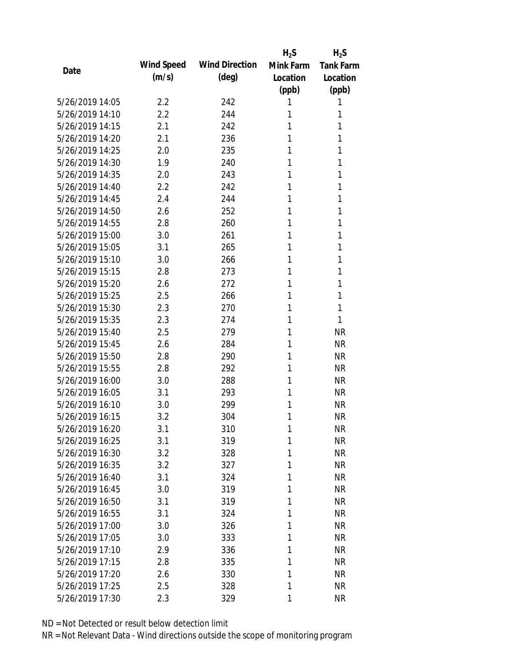|                 |            |                       | $H_2S$       | $H_2S$           |
|-----------------|------------|-----------------------|--------------|------------------|
| Date            | Wind Speed | <b>Wind Direction</b> | Mink Farm    | <b>Tank Farm</b> |
|                 | (m/s)      | $(\text{deg})$        | Location     | Location         |
|                 |            |                       | (ppb)        | (ppb)            |
| 5/26/2019 14:05 | 2.2        | 242                   | 1            | 1                |
| 5/26/2019 14:10 | 2.2        | 244                   | 1            | 1                |
| 5/26/2019 14:15 | 2.1        | 242                   | 1            | 1                |
| 5/26/2019 14:20 | 2.1        | 236                   | 1            | 1                |
| 5/26/2019 14:25 | 2.0        | 235                   | 1            | 1                |
| 5/26/2019 14:30 | 1.9        | 240                   | 1            | 1                |
| 5/26/2019 14:35 | 2.0        | 243                   | 1            | 1                |
| 5/26/2019 14:40 | 2.2        | 242                   | 1            | 1                |
| 5/26/2019 14:45 | 2.4        | 244                   | 1            | 1                |
| 5/26/2019 14:50 | 2.6        | 252                   | 1            | 1                |
| 5/26/2019 14:55 | 2.8        | 260                   | 1            | 1                |
| 5/26/2019 15:00 | 3.0        | 261                   | 1            | 1                |
| 5/26/2019 15:05 | 3.1        | 265                   | 1            | 1                |
| 5/26/2019 15:10 | 3.0        | 266                   | 1            | 1                |
| 5/26/2019 15:15 | 2.8        | 273                   | 1            | 1                |
| 5/26/2019 15:20 | 2.6        | 272                   | 1            | 1                |
| 5/26/2019 15:25 | 2.5        | 266                   | 1            | 1                |
| 5/26/2019 15:30 | 2.3        | 270                   | 1            | 1                |
| 5/26/2019 15:35 | 2.3        | 274                   | 1            | 1                |
| 5/26/2019 15:40 | 2.5        | 279                   | 1            | <b>NR</b>        |
| 5/26/2019 15:45 | 2.6        | 284                   | 1            | <b>NR</b>        |
| 5/26/2019 15:50 | 2.8        | 290                   | 1            | <b>NR</b>        |
| 5/26/2019 15:55 | 2.8        | 292                   | 1            | <b>NR</b>        |
| 5/26/2019 16:00 | 3.0        | 288                   | 1            | <b>NR</b>        |
| 5/26/2019 16:05 | 3.1        | 293                   | 1            | <b>NR</b>        |
| 5/26/2019 16:10 | 3.0        | 299                   | 1            | <b>NR</b>        |
| 5/26/2019 16:15 | 3.2        | 304                   | 1            | <b>NR</b>        |
| 5/26/2019 16:20 | 3.1        | 310                   | $\mathbf{1}$ | <b>NR</b>        |
| 5/26/2019 16:25 | 3.1        | 319                   | 1            | <b>NR</b>        |
| 5/26/2019 16:30 | 3.2        | 328                   | 1            | <b>NR</b>        |
| 5/26/2019 16:35 | 3.2        | 327                   | 1            | <b>NR</b>        |
| 5/26/2019 16:40 | 3.1        | 324                   | 1            | <b>NR</b>        |
| 5/26/2019 16:45 | 3.0        | 319                   | 1            | <b>NR</b>        |
| 5/26/2019 16:50 | 3.1        | 319                   | 1            | <b>NR</b>        |
| 5/26/2019 16:55 | 3.1        | 324                   | 1            | <b>NR</b>        |
| 5/26/2019 17:00 | 3.0        | 326                   | 1            | <b>NR</b>        |
| 5/26/2019 17:05 | 3.0        | 333                   | 1            | <b>NR</b>        |
| 5/26/2019 17:10 | 2.9        | 336                   | 1            | <b>NR</b>        |
| 5/26/2019 17:15 | 2.8        | 335                   | 1            | <b>NR</b>        |
| 5/26/2019 17:20 | 2.6        | 330                   | 1            | <b>NR</b>        |
| 5/26/2019 17:25 | 2.5        | 328                   | 1            | <b>NR</b>        |
| 5/26/2019 17:30 | 2.3        | 329                   | 1            | <b>NR</b>        |
|                 |            |                       |              |                  |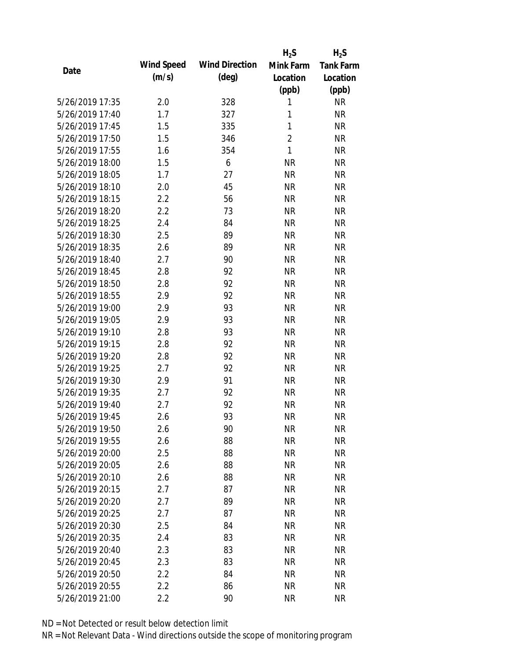|                 |            |                       | $H_2S$         | $H_2S$           |
|-----------------|------------|-----------------------|----------------|------------------|
| Date            | Wind Speed | <b>Wind Direction</b> | Mink Farm      | <b>Tank Farm</b> |
|                 | (m/s)      | $(\text{deg})$        | Location       | Location         |
|                 |            |                       | (ppb)          | (ppb)            |
| 5/26/2019 17:35 | 2.0        | 328                   | 1              | <b>NR</b>        |
| 5/26/2019 17:40 | 1.7        | 327                   | 1              | <b>NR</b>        |
| 5/26/2019 17:45 | 1.5        | 335                   | 1              | <b>NR</b>        |
| 5/26/2019 17:50 | 1.5        | 346                   | $\overline{2}$ | <b>NR</b>        |
| 5/26/2019 17:55 | 1.6        | 354                   | $\mathbf{1}$   | <b>NR</b>        |
| 5/26/2019 18:00 | 1.5        | 6                     | <b>NR</b>      | <b>NR</b>        |
| 5/26/2019 18:05 | 1.7        | 27                    | <b>NR</b>      | <b>NR</b>        |
| 5/26/2019 18:10 | 2.0        | 45                    | <b>NR</b>      | <b>NR</b>        |
| 5/26/2019 18:15 | 2.2        | 56                    | <b>NR</b>      | <b>NR</b>        |
| 5/26/2019 18:20 | 2.2        | 73                    | <b>NR</b>      | <b>NR</b>        |
| 5/26/2019 18:25 | 2.4        | 84                    | <b>NR</b>      | <b>NR</b>        |
| 5/26/2019 18:30 | 2.5        | 89                    | <b>NR</b>      | <b>NR</b>        |
| 5/26/2019 18:35 | 2.6        | 89                    | <b>NR</b>      | <b>NR</b>        |
| 5/26/2019 18:40 | 2.7        | 90                    | <b>NR</b>      | <b>NR</b>        |
| 5/26/2019 18:45 | 2.8        | 92                    | <b>NR</b>      | <b>NR</b>        |
| 5/26/2019 18:50 | 2.8        | 92                    | <b>NR</b>      | <b>NR</b>        |
| 5/26/2019 18:55 | 2.9        | 92                    | <b>NR</b>      | <b>NR</b>        |
| 5/26/2019 19:00 | 2.9        | 93                    | <b>NR</b>      | <b>NR</b>        |
| 5/26/2019 19:05 | 2.9        | 93                    | <b>NR</b>      | <b>NR</b>        |
| 5/26/2019 19:10 | 2.8        | 93                    | <b>NR</b>      | <b>NR</b>        |
| 5/26/2019 19:15 | 2.8        | 92                    | <b>NR</b>      | <b>NR</b>        |
| 5/26/2019 19:20 | 2.8        | 92                    | <b>NR</b>      | <b>NR</b>        |
| 5/26/2019 19:25 | 2.7        | 92                    | <b>NR</b>      | <b>NR</b>        |
| 5/26/2019 19:30 | 2.9        | 91                    | <b>NR</b>      | <b>NR</b>        |
| 5/26/2019 19:35 | 2.7        | 92                    | <b>NR</b>      | <b>NR</b>        |
| 5/26/2019 19:40 | 2.7        | 92                    | <b>NR</b>      | <b>NR</b>        |
| 5/26/2019 19:45 | 2.6        | 93                    | <b>NR</b>      | <b>NR</b>        |
| 5/26/2019 19:50 | 2.6        | 90                    | <b>NR</b>      | <b>NR</b>        |
| 5/26/2019 19:55 | 2.6        | 88                    | <b>NR</b>      | <b>NR</b>        |
| 5/26/2019 20:00 | 2.5        | 88                    | NR             | <b>NR</b>        |
| 5/26/2019 20:05 | 2.6        | 88                    | <b>NR</b>      | <b>NR</b>        |
| 5/26/2019 20:10 | 2.6        | 88                    | <b>NR</b>      | <b>NR</b>        |
| 5/26/2019 20:15 | 2.7        | 87                    | <b>NR</b>      | <b>NR</b>        |
| 5/26/2019 20:20 | 2.7        | 89                    | <b>NR</b>      | <b>NR</b>        |
| 5/26/2019 20:25 | 2.7        | 87                    | <b>NR</b>      | <b>NR</b>        |
| 5/26/2019 20:30 | 2.5        | 84                    | <b>NR</b>      | <b>NR</b>        |
| 5/26/2019 20:35 | 2.4        | 83                    | <b>NR</b>      | <b>NR</b>        |
| 5/26/2019 20:40 | 2.3        | 83                    | <b>NR</b>      | <b>NR</b>        |
| 5/26/2019 20:45 | 2.3        | 83                    | <b>NR</b>      | <b>NR</b>        |
| 5/26/2019 20:50 | 2.2        | 84                    | <b>NR</b>      | <b>NR</b>        |
| 5/26/2019 20:55 | 2.2        | 86                    | <b>NR</b>      | <b>NR</b>        |
| 5/26/2019 21:00 | 2.2        | 90                    | <b>NR</b>      | <b>NR</b>        |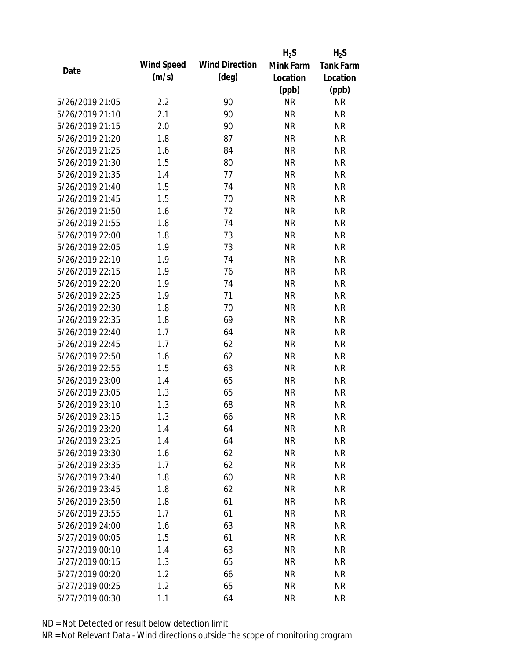|                 |            |                       | $H_2S$    | $H_2S$           |
|-----------------|------------|-----------------------|-----------|------------------|
| Date            | Wind Speed | <b>Wind Direction</b> | Mink Farm | <b>Tank Farm</b> |
|                 | (m/s)      | $(\text{deg})$        | Location  | Location         |
|                 |            |                       | (ppb)     | (ppb)            |
| 5/26/2019 21:05 | 2.2        | 90                    | <b>NR</b> | <b>NR</b>        |
| 5/26/2019 21:10 | 2.1        | 90                    | <b>NR</b> | <b>NR</b>        |
| 5/26/2019 21:15 | 2.0        | 90                    | <b>NR</b> | <b>NR</b>        |
| 5/26/2019 21:20 | 1.8        | 87                    | <b>NR</b> | <b>NR</b>        |
| 5/26/2019 21:25 | 1.6        | 84                    | <b>NR</b> | <b>NR</b>        |
| 5/26/2019 21:30 | 1.5        | 80                    | <b>NR</b> | <b>NR</b>        |
| 5/26/2019 21:35 | 1.4        | 77                    | <b>NR</b> | <b>NR</b>        |
| 5/26/2019 21:40 | 1.5        | 74                    | <b>NR</b> | <b>NR</b>        |
| 5/26/2019 21:45 | 1.5        | 70                    | <b>NR</b> | <b>NR</b>        |
| 5/26/2019 21:50 | 1.6        | 72                    | <b>NR</b> | <b>NR</b>        |
| 5/26/2019 21:55 | 1.8        | 74                    | <b>NR</b> | <b>NR</b>        |
| 5/26/2019 22:00 | 1.8        | 73                    | <b>NR</b> | <b>NR</b>        |
| 5/26/2019 22:05 | 1.9        | 73                    | <b>NR</b> | <b>NR</b>        |
| 5/26/2019 22:10 | 1.9        | 74                    | <b>NR</b> | <b>NR</b>        |
| 5/26/2019 22:15 | 1.9        | 76                    | <b>NR</b> | <b>NR</b>        |
| 5/26/2019 22:20 | 1.9        | 74                    | <b>NR</b> | <b>NR</b>        |
| 5/26/2019 22:25 | 1.9        | 71                    | <b>NR</b> | <b>NR</b>        |
| 5/26/2019 22:30 | 1.8        | 70                    | <b>NR</b> | <b>NR</b>        |
| 5/26/2019 22:35 | 1.8        | 69                    | <b>NR</b> | <b>NR</b>        |
| 5/26/2019 22:40 | 1.7        | 64                    | <b>NR</b> | <b>NR</b>        |
| 5/26/2019 22:45 | 1.7        | 62                    | <b>NR</b> | <b>NR</b>        |
| 5/26/2019 22:50 | 1.6        | 62                    | <b>NR</b> | <b>NR</b>        |
| 5/26/2019 22:55 | 1.5        | 63                    | <b>NR</b> | <b>NR</b>        |
| 5/26/2019 23:00 | 1.4        | 65                    | <b>NR</b> | <b>NR</b>        |
| 5/26/2019 23:05 | 1.3        | 65                    | <b>NR</b> | <b>NR</b>        |
| 5/26/2019 23:10 | 1.3        | 68                    | <b>NR</b> | <b>NR</b>        |
| 5/26/2019 23:15 | 1.3        | 66                    | <b>NR</b> | <b>NR</b>        |
| 5/26/2019 23:20 | 1.4        | 64                    | <b>NR</b> | <b>NR</b>        |
| 5/26/2019 23:25 | 1.4        | 64                    | <b>NR</b> | <b>NR</b>        |
| 5/26/2019 23:30 | 1.6        | 62                    | <b>NR</b> | <b>NR</b>        |
| 5/26/2019 23:35 | 1.7        | 62                    | <b>NR</b> | <b>NR</b>        |
| 5/26/2019 23:40 | 1.8        | 60                    | <b>NR</b> | <b>NR</b>        |
| 5/26/2019 23:45 | 1.8        | 62                    | <b>NR</b> | <b>NR</b>        |
| 5/26/2019 23:50 | 1.8        | 61                    | <b>NR</b> | <b>NR</b>        |
| 5/26/2019 23:55 | 1.7        | 61                    | <b>NR</b> | <b>NR</b>        |
| 5/26/2019 24:00 | 1.6        | 63                    | <b>NR</b> | <b>NR</b>        |
| 5/27/2019 00:05 | 1.5        | 61                    | <b>NR</b> | <b>NR</b>        |
| 5/27/2019 00:10 | 1.4        | 63                    | <b>NR</b> | <b>NR</b>        |
| 5/27/2019 00:15 | 1.3        | 65                    | <b>NR</b> | <b>NR</b>        |
| 5/27/2019 00:20 | 1.2        | 66                    | <b>NR</b> | <b>NR</b>        |
| 5/27/2019 00:25 | 1.2        | 65                    | <b>NR</b> | <b>NR</b>        |
|                 |            |                       |           |                  |
| 5/27/2019 00:30 | 1.1        | 64                    | <b>NR</b> | <b>NR</b>        |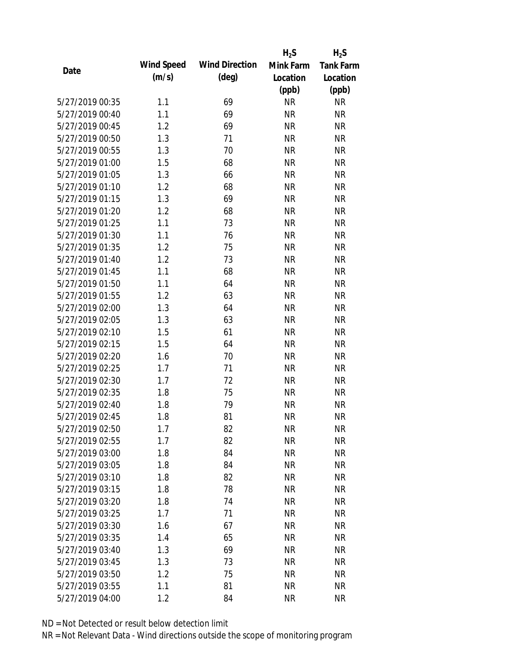|                 |            |                       | $H_2S$    | $H_2S$           |
|-----------------|------------|-----------------------|-----------|------------------|
| Date            | Wind Speed | <b>Wind Direction</b> | Mink Farm | <b>Tank Farm</b> |
|                 | (m/s)      | $(\text{deg})$        | Location  | Location         |
|                 |            |                       | (ppb)     | (ppb)            |
| 5/27/2019 00:35 | 1.1        | 69                    | <b>NR</b> | <b>NR</b>        |
| 5/27/2019 00:40 | 1.1        | 69                    | <b>NR</b> | <b>NR</b>        |
| 5/27/2019 00:45 | 1.2        | 69                    | <b>NR</b> | <b>NR</b>        |
| 5/27/2019 00:50 | 1.3        | 71                    | <b>NR</b> | <b>NR</b>        |
| 5/27/2019 00:55 | 1.3        | 70                    | <b>NR</b> | <b>NR</b>        |
| 5/27/2019 01:00 | 1.5        | 68                    | <b>NR</b> | <b>NR</b>        |
| 5/27/2019 01:05 | 1.3        | 66                    | <b>NR</b> | <b>NR</b>        |
| 5/27/2019 01:10 | 1.2        | 68                    | <b>NR</b> | <b>NR</b>        |
| 5/27/2019 01:15 | 1.3        | 69                    | <b>NR</b> | <b>NR</b>        |
| 5/27/2019 01:20 | 1.2        | 68                    | <b>NR</b> | <b>NR</b>        |
| 5/27/2019 01:25 | 1.1        | 73                    | <b>NR</b> | <b>NR</b>        |
| 5/27/2019 01:30 | 1.1        | 76                    | <b>NR</b> | <b>NR</b>        |
| 5/27/2019 01:35 | 1.2        | 75                    | <b>NR</b> | <b>NR</b>        |
| 5/27/2019 01:40 | 1.2        | 73                    | <b>NR</b> | <b>NR</b>        |
| 5/27/2019 01:45 | 1.1        | 68                    | <b>NR</b> | <b>NR</b>        |
| 5/27/2019 01:50 | 1.1        | 64                    | <b>NR</b> | <b>NR</b>        |
| 5/27/2019 01:55 | 1.2        | 63                    | <b>NR</b> | <b>NR</b>        |
| 5/27/2019 02:00 | 1.3        | 64                    | <b>NR</b> | <b>NR</b>        |
| 5/27/2019 02:05 | 1.3        | 63                    | <b>NR</b> | <b>NR</b>        |
| 5/27/2019 02:10 | 1.5        | 61                    | <b>NR</b> | <b>NR</b>        |
| 5/27/2019 02:15 | 1.5        | 64                    | <b>NR</b> | <b>NR</b>        |
| 5/27/2019 02:20 | 1.6        | 70                    | <b>NR</b> | <b>NR</b>        |
| 5/27/2019 02:25 | 1.7        | 71                    | <b>NR</b> | <b>NR</b>        |
| 5/27/2019 02:30 | 1.7        | 72                    | <b>NR</b> | <b>NR</b>        |
| 5/27/2019 02:35 | 1.8        | 75                    | <b>NR</b> | <b>NR</b>        |
| 5/27/2019 02:40 | 1.8        | 79                    | <b>NR</b> | <b>NR</b>        |
| 5/27/2019 02:45 | 1.8        | 81                    | <b>NR</b> | <b>NR</b>        |
| 5/27/2019 02:50 | 1.7        | 82                    | <b>NR</b> | <b>NR</b>        |
| 5/27/2019 02:55 | 1.7        | 82                    | <b>NR</b> | <b>NR</b>        |
| 5/27/2019 03:00 | 1.8        | 84                    | <b>NR</b> | <b>NR</b>        |
| 5/27/2019 03:05 | 1.8        | 84                    | <b>NR</b> | <b>NR</b>        |
| 5/27/2019 03:10 | 1.8        | 82                    | <b>NR</b> | <b>NR</b>        |
| 5/27/2019 03:15 | 1.8        | 78                    | <b>NR</b> | <b>NR</b>        |
| 5/27/2019 03:20 | 1.8        | 74                    | <b>NR</b> | <b>NR</b>        |
| 5/27/2019 03:25 | 1.7        | 71                    | <b>NR</b> | <b>NR</b>        |
| 5/27/2019 03:30 | 1.6        | 67                    | <b>NR</b> | <b>NR</b>        |
| 5/27/2019 03:35 | 1.4        | 65                    | <b>NR</b> | <b>NR</b>        |
| 5/27/2019 03:40 | 1.3        | 69                    | <b>NR</b> | <b>NR</b>        |
| 5/27/2019 03:45 | 1.3        | 73                    | <b>NR</b> | <b>NR</b>        |
| 5/27/2019 03:50 | 1.2        | 75                    | <b>NR</b> | <b>NR</b>        |
| 5/27/2019 03:55 | 1.1        | 81                    | <b>NR</b> | <b>NR</b>        |
| 5/27/2019 04:00 |            | 84                    | <b>NR</b> | <b>NR</b>        |
|                 | 1.2        |                       |           |                  |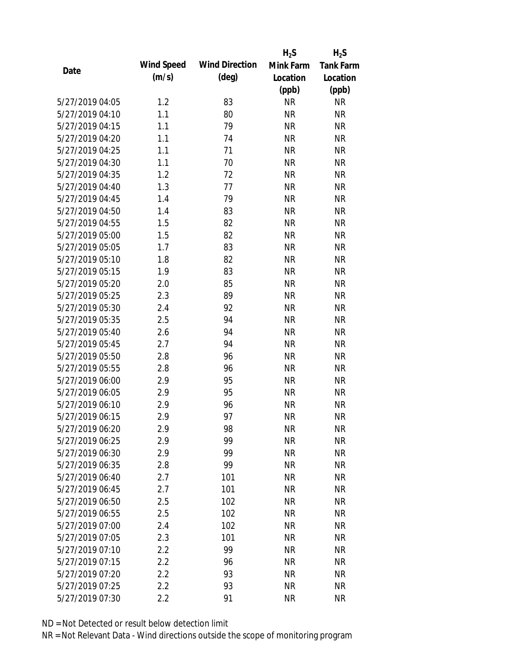|                 |            |                       | $H_2S$    | $H_2S$           |
|-----------------|------------|-----------------------|-----------|------------------|
| Date            | Wind Speed | <b>Wind Direction</b> | Mink Farm | <b>Tank Farm</b> |
|                 | (m/s)      | $(\text{deg})$        | Location  | Location         |
|                 |            |                       | (ppb)     | (ppb)            |
| 5/27/2019 04:05 | 1.2        | 83                    | <b>NR</b> | <b>NR</b>        |
| 5/27/2019 04:10 | 1.1        | 80                    | <b>NR</b> | <b>NR</b>        |
| 5/27/2019 04:15 | 1.1        | 79                    | <b>NR</b> | <b>NR</b>        |
| 5/27/2019 04:20 | 1.1        | 74                    | <b>NR</b> | <b>NR</b>        |
| 5/27/2019 04:25 | 1.1        | 71                    | <b>NR</b> | <b>NR</b>        |
| 5/27/2019 04:30 | 1.1        | 70                    | <b>NR</b> | <b>NR</b>        |
| 5/27/2019 04:35 | 1.2        | 72                    | <b>NR</b> | <b>NR</b>        |
| 5/27/2019 04:40 | 1.3        | 77                    | <b>NR</b> | <b>NR</b>        |
| 5/27/2019 04:45 | 1.4        | 79                    | <b>NR</b> | <b>NR</b>        |
| 5/27/2019 04:50 | 1.4        | 83                    | <b>NR</b> | <b>NR</b>        |
| 5/27/2019 04:55 | 1.5        | 82                    | <b>NR</b> | <b>NR</b>        |
| 5/27/2019 05:00 | 1.5        | 82                    | <b>NR</b> | <b>NR</b>        |
| 5/27/2019 05:05 | 1.7        | 83                    | <b>NR</b> | <b>NR</b>        |
| 5/27/2019 05:10 | 1.8        | 82                    | <b>NR</b> | <b>NR</b>        |
| 5/27/2019 05:15 | 1.9        | 83                    | <b>NR</b> | <b>NR</b>        |
| 5/27/2019 05:20 | 2.0        | 85                    | <b>NR</b> | <b>NR</b>        |
| 5/27/2019 05:25 | 2.3        | 89                    | <b>NR</b> | <b>NR</b>        |
| 5/27/2019 05:30 | 2.4        | 92                    | <b>NR</b> | <b>NR</b>        |
| 5/27/2019 05:35 | 2.5        | 94                    | <b>NR</b> | <b>NR</b>        |
| 5/27/2019 05:40 | 2.6        | 94                    | <b>NR</b> | <b>NR</b>        |
| 5/27/2019 05:45 | 2.7        | 94                    | <b>NR</b> | <b>NR</b>        |
| 5/27/2019 05:50 | 2.8        | 96                    | <b>NR</b> | <b>NR</b>        |
| 5/27/2019 05:55 | 2.8        | 96                    | <b>NR</b> | <b>NR</b>        |
| 5/27/2019 06:00 | 2.9        | 95                    | <b>NR</b> | <b>NR</b>        |
| 5/27/2019 06:05 | 2.9        | 95                    | <b>NR</b> | <b>NR</b>        |
| 5/27/2019 06:10 | 2.9        | 96                    | <b>NR</b> | <b>NR</b>        |
| 5/27/2019 06:15 | 2.9        | 97                    | <b>NR</b> | <b>NR</b>        |
| 5/27/2019 06:20 | 2.9        | 98                    | <b>NR</b> | <b>NR</b>        |
| 5/27/2019 06:25 | 2.9        | 99                    | <b>NR</b> | <b>NR</b>        |
| 5/27/2019 06:30 | 2.9        | 99                    | <b>NR</b> | <b>NR</b>        |
| 5/27/2019 06:35 | 2.8        | 99                    | <b>NR</b> | <b>NR</b>        |
| 5/27/2019 06:40 | 2.7        | 101                   | <b>NR</b> | <b>NR</b>        |
| 5/27/2019 06:45 | 2.7        | 101                   | <b>NR</b> | <b>NR</b>        |
| 5/27/2019 06:50 | 2.5        | 102                   | <b>NR</b> | <b>NR</b>        |
| 5/27/2019 06:55 | 2.5        | 102                   | <b>NR</b> | <b>NR</b>        |
| 5/27/2019 07:00 | 2.4        | 102                   | <b>NR</b> | <b>NR</b>        |
| 5/27/2019 07:05 | 2.3        | 101                   | <b>NR</b> | <b>NR</b>        |
| 5/27/2019 07:10 | 2.2        | 99                    | <b>NR</b> | <b>NR</b>        |
| 5/27/2019 07:15 | 2.2        | 96                    | <b>NR</b> | <b>NR</b>        |
| 5/27/2019 07:20 | 2.2        | 93                    | <b>NR</b> | <b>NR</b>        |
| 5/27/2019 07:25 | 2.2        | 93                    | <b>NR</b> | <b>NR</b>        |
| 5/27/2019 07:30 | 2.2        | 91                    | <b>NR</b> | <b>NR</b>        |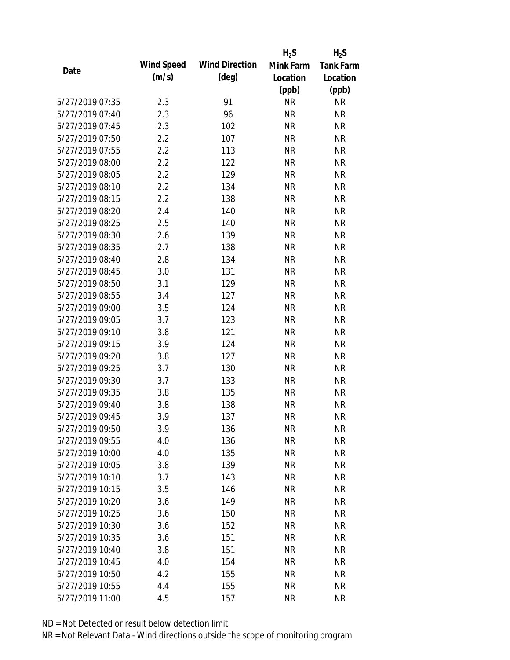|                 |            |                       | $H_2S$    | $H_2S$           |
|-----------------|------------|-----------------------|-----------|------------------|
| Date            | Wind Speed | <b>Wind Direction</b> | Mink Farm | <b>Tank Farm</b> |
|                 | (m/s)      | $(\text{deg})$        | Location  | Location         |
|                 |            |                       | (ppb)     | (ppb)            |
| 5/27/2019 07:35 | 2.3        | 91                    | <b>NR</b> | <b>NR</b>        |
| 5/27/2019 07:40 | 2.3        | 96                    | <b>NR</b> | <b>NR</b>        |
| 5/27/2019 07:45 | 2.3        | 102                   | <b>NR</b> | <b>NR</b>        |
| 5/27/2019 07:50 | 2.2        | 107                   | <b>NR</b> | <b>NR</b>        |
| 5/27/2019 07:55 | 2.2        | 113                   | <b>NR</b> | <b>NR</b>        |
| 5/27/2019 08:00 | 2.2        | 122                   | <b>NR</b> | <b>NR</b>        |
| 5/27/2019 08:05 | 2.2        | 129                   | <b>NR</b> | <b>NR</b>        |
| 5/27/2019 08:10 | 2.2        | 134                   | <b>NR</b> | <b>NR</b>        |
| 5/27/2019 08:15 | 2.2        | 138                   | <b>NR</b> | <b>NR</b>        |
| 5/27/2019 08:20 | 2.4        | 140                   | <b>NR</b> | <b>NR</b>        |
| 5/27/2019 08:25 | 2.5        | 140                   | <b>NR</b> | <b>NR</b>        |
| 5/27/2019 08:30 | 2.6        | 139                   | <b>NR</b> | <b>NR</b>        |
| 5/27/2019 08:35 | 2.7        | 138                   | <b>NR</b> | <b>NR</b>        |
| 5/27/2019 08:40 | 2.8        | 134                   | <b>NR</b> | <b>NR</b>        |
| 5/27/2019 08:45 | 3.0        | 131                   | <b>NR</b> | <b>NR</b>        |
| 5/27/2019 08:50 | 3.1        | 129                   | <b>NR</b> | <b>NR</b>        |
| 5/27/2019 08:55 | 3.4        | 127                   | <b>NR</b> | <b>NR</b>        |
| 5/27/2019 09:00 | 3.5        | 124                   | <b>NR</b> | <b>NR</b>        |
| 5/27/2019 09:05 | 3.7        | 123                   | <b>NR</b> | <b>NR</b>        |
| 5/27/2019 09:10 | 3.8        | 121                   | <b>NR</b> | <b>NR</b>        |
| 5/27/2019 09:15 | 3.9        | 124                   | <b>NR</b> | <b>NR</b>        |
| 5/27/2019 09:20 | 3.8        | 127                   | <b>NR</b> | <b>NR</b>        |
| 5/27/2019 09:25 | 3.7        | 130                   | <b>NR</b> | <b>NR</b>        |
| 5/27/2019 09:30 | 3.7        | 133                   | <b>NR</b> | <b>NR</b>        |
| 5/27/2019 09:35 | 3.8        | 135                   | <b>NR</b> | <b>NR</b>        |
| 5/27/2019 09:40 | 3.8        | 138                   | <b>NR</b> | <b>NR</b>        |
| 5/27/2019 09:45 | 3.9        | 137                   | <b>NR</b> | <b>NR</b>        |
| 5/27/2019 09:50 | 3.9        | 136                   | <b>NR</b> | <b>NR</b>        |
| 5/27/2019 09:55 | 4.0        | 136                   | <b>NR</b> | <b>NR</b>        |
| 5/27/2019 10:00 | 4.0        | 135                   | <b>NR</b> | <b>NR</b>        |
| 5/27/2019 10:05 | 3.8        | 139                   | <b>NR</b> | <b>NR</b>        |
| 5/27/2019 10:10 | 3.7        | 143                   | <b>NR</b> | <b>NR</b>        |
| 5/27/2019 10:15 | 3.5        | 146                   | <b>NR</b> | <b>NR</b>        |
| 5/27/2019 10:20 | 3.6        | 149                   | <b>NR</b> | <b>NR</b>        |
| 5/27/2019 10:25 | 3.6        | 150                   | <b>NR</b> | <b>NR</b>        |
| 5/27/2019 10:30 | 3.6        | 152                   | <b>NR</b> | <b>NR</b>        |
| 5/27/2019 10:35 | 3.6        | 151                   | <b>NR</b> | <b>NR</b>        |
| 5/27/2019 10:40 | 3.8        | 151                   | NR        | <b>NR</b>        |
| 5/27/2019 10:45 | 4.0        | 154                   | <b>NR</b> | <b>NR</b>        |
| 5/27/2019 10:50 | 4.2        | 155                   | <b>NR</b> | NR               |
| 5/27/2019 10:55 | 4.4        | 155                   | <b>NR</b> | <b>NR</b>        |
| 5/27/2019 11:00 | 4.5        | 157                   | <b>NR</b> | <b>NR</b>        |
|                 |            |                       |           |                  |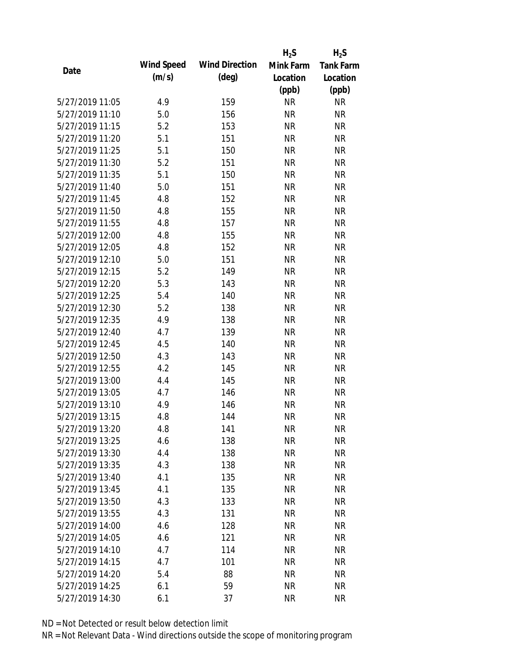|                 |            |                       | $H_2S$    | $H_2S$           |
|-----------------|------------|-----------------------|-----------|------------------|
|                 | Wind Speed | <b>Wind Direction</b> | Mink Farm | <b>Tank Farm</b> |
| Date            | (m/s)      | $(\text{deg})$        | Location  | Location         |
|                 |            |                       | (ppb)     | (ppb)            |
| 5/27/2019 11:05 | 4.9        | 159                   | <b>NR</b> | <b>NR</b>        |
| 5/27/2019 11:10 | 5.0        | 156                   | <b>NR</b> | <b>NR</b>        |
| 5/27/2019 11:15 | 5.2        | 153                   | <b>NR</b> | <b>NR</b>        |
| 5/27/2019 11:20 | 5.1        | 151                   | <b>NR</b> | <b>NR</b>        |
| 5/27/2019 11:25 | 5.1        | 150                   | <b>NR</b> | <b>NR</b>        |
| 5/27/2019 11:30 | 5.2        | 151                   | <b>NR</b> | <b>NR</b>        |
| 5/27/2019 11:35 | 5.1        | 150                   | <b>NR</b> | <b>NR</b>        |
| 5/27/2019 11:40 | 5.0        | 151                   | <b>NR</b> | <b>NR</b>        |
| 5/27/2019 11:45 | 4.8        | 152                   | <b>NR</b> | <b>NR</b>        |
| 5/27/2019 11:50 | 4.8        | 155                   | <b>NR</b> | <b>NR</b>        |
| 5/27/2019 11:55 | 4.8        | 157                   | <b>NR</b> | <b>NR</b>        |
| 5/27/2019 12:00 | 4.8        | 155                   | <b>NR</b> | <b>NR</b>        |
| 5/27/2019 12:05 | 4.8        | 152                   | <b>NR</b> | <b>NR</b>        |
| 5/27/2019 12:10 | 5.0        | 151                   | <b>NR</b> | <b>NR</b>        |
| 5/27/2019 12:15 | 5.2        | 149                   | <b>NR</b> | <b>NR</b>        |
| 5/27/2019 12:20 | 5.3        | 143                   | <b>NR</b> | <b>NR</b>        |
| 5/27/2019 12:25 | 5.4        | 140                   | <b>NR</b> | <b>NR</b>        |
| 5/27/2019 12:30 | 5.2        | 138                   | <b>NR</b> | <b>NR</b>        |
| 5/27/2019 12:35 | 4.9        | 138                   | <b>NR</b> | <b>NR</b>        |
| 5/27/2019 12:40 | 4.7        | 139                   | <b>NR</b> | <b>NR</b>        |
| 5/27/2019 12:45 | 4.5        | 140                   | <b>NR</b> | <b>NR</b>        |
| 5/27/2019 12:50 | 4.3        | 143                   | <b>NR</b> | <b>NR</b>        |
| 5/27/2019 12:55 | 4.2        | 145                   | <b>NR</b> | <b>NR</b>        |
| 5/27/2019 13:00 | 4.4        | 145                   | <b>NR</b> | <b>NR</b>        |
| 5/27/2019 13:05 | 4.7        | 146                   | <b>NR</b> | <b>NR</b>        |
| 5/27/2019 13:10 | 4.9        | 146                   | <b>NR</b> | <b>NR</b>        |
| 5/27/2019 13:15 | 4.8        | 144                   | <b>NR</b> | <b>NR</b>        |
| 5/27/2019 13:20 | 4.8        | 141                   | <b>NR</b> | <b>NR</b>        |
| 5/27/2019 13:25 | 4.6        | 138                   | <b>NR</b> | <b>NR</b>        |
| 5/27/2019 13:30 | 4.4        | 138                   | <b>NR</b> | <b>NR</b>        |
| 5/27/2019 13:35 | 4.3        | 138                   | <b>NR</b> | <b>NR</b>        |
| 5/27/2019 13:40 | 4.1        | 135                   | <b>NR</b> | <b>NR</b>        |
| 5/27/2019 13:45 | 4.1        | 135                   | <b>NR</b> | <b>NR</b>        |
| 5/27/2019 13:50 | 4.3        | 133                   | <b>NR</b> | <b>NR</b>        |
| 5/27/2019 13:55 | 4.3        | 131                   | <b>NR</b> | <b>NR</b>        |
| 5/27/2019 14:00 | 4.6        | 128                   | <b>NR</b> | <b>NR</b>        |
| 5/27/2019 14:05 | 4.6        | 121                   | <b>NR</b> | <b>NR</b>        |
| 5/27/2019 14:10 | 4.7        | 114                   | <b>NR</b> | <b>NR</b>        |
| 5/27/2019 14:15 | 4.7        | 101                   | <b>NR</b> | <b>NR</b>        |
| 5/27/2019 14:20 | 5.4        | 88                    | <b>NR</b> | <b>NR</b>        |
| 5/27/2019 14:25 | 6.1        | 59                    | <b>NR</b> | <b>NR</b>        |
| 5/27/2019 14:30 | 6.1        | 37                    | <b>NR</b> | <b>NR</b>        |
|                 |            |                       |           |                  |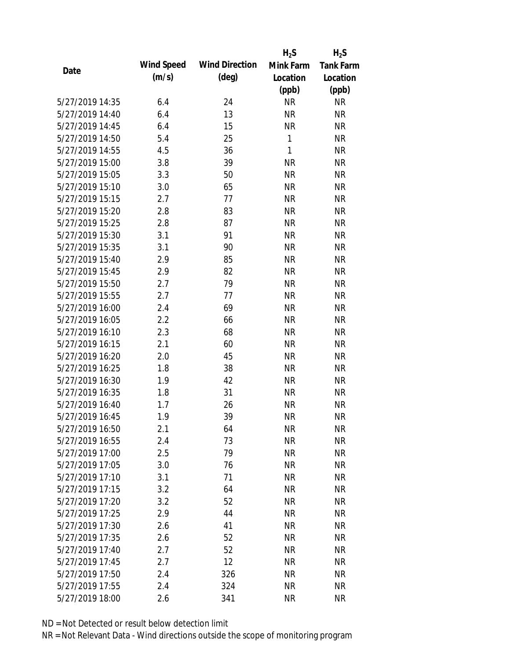|                 |            |                       | $H_2S$       | $H_2S$           |
|-----------------|------------|-----------------------|--------------|------------------|
|                 | Wind Speed | <b>Wind Direction</b> | Mink Farm    | <b>Tank Farm</b> |
| Date            | (m/s)      | $(\text{deg})$        | Location     | Location         |
|                 |            |                       | (ppb)        | (ppb)            |
| 5/27/2019 14:35 | 6.4        | 24                    | <b>NR</b>    | <b>NR</b>        |
| 5/27/2019 14:40 | 6.4        | 13                    | <b>NR</b>    | <b>NR</b>        |
| 5/27/2019 14:45 | 6.4        | 15                    | <b>NR</b>    | <b>NR</b>        |
| 5/27/2019 14:50 | 5.4        | 25                    | 1            | <b>NR</b>        |
| 5/27/2019 14:55 | 4.5        | 36                    | $\mathbf{1}$ | <b>NR</b>        |
| 5/27/2019 15:00 | 3.8        | 39                    | <b>NR</b>    | <b>NR</b>        |
| 5/27/2019 15:05 | 3.3        | 50                    | <b>NR</b>    | <b>NR</b>        |
| 5/27/2019 15:10 | 3.0        | 65                    | <b>NR</b>    | <b>NR</b>        |
| 5/27/2019 15:15 | 2.7        | 77                    | <b>NR</b>    | <b>NR</b>        |
| 5/27/2019 15:20 | 2.8        | 83                    | <b>NR</b>    | <b>NR</b>        |
| 5/27/2019 15:25 | 2.8        | 87                    | <b>NR</b>    | <b>NR</b>        |
| 5/27/2019 15:30 | 3.1        | 91                    | <b>NR</b>    | <b>NR</b>        |
| 5/27/2019 15:35 | 3.1        | 90                    | <b>NR</b>    | <b>NR</b>        |
| 5/27/2019 15:40 | 2.9        | 85                    | <b>NR</b>    | <b>NR</b>        |
| 5/27/2019 15:45 | 2.9        | 82                    | <b>NR</b>    | <b>NR</b>        |
| 5/27/2019 15:50 | 2.7        | 79                    | <b>NR</b>    | <b>NR</b>        |
| 5/27/2019 15:55 | 2.7        | 77                    | <b>NR</b>    | <b>NR</b>        |
| 5/27/2019 16:00 | 2.4        | 69                    | <b>NR</b>    | <b>NR</b>        |
| 5/27/2019 16:05 | 2.2        | 66                    | <b>NR</b>    | <b>NR</b>        |
| 5/27/2019 16:10 | 2.3        | 68                    | <b>NR</b>    | <b>NR</b>        |
| 5/27/2019 16:15 | 2.1        | 60                    | <b>NR</b>    | <b>NR</b>        |
| 5/27/2019 16:20 | 2.0        | 45                    | <b>NR</b>    | <b>NR</b>        |
| 5/27/2019 16:25 | 1.8        | 38                    | <b>NR</b>    | <b>NR</b>        |
| 5/27/2019 16:30 | 1.9        | 42                    | <b>NR</b>    | <b>NR</b>        |
| 5/27/2019 16:35 | 1.8        | 31                    | <b>NR</b>    | <b>NR</b>        |
| 5/27/2019 16:40 | 1.7        | 26                    | <b>NR</b>    | <b>NR</b>        |
| 5/27/2019 16:45 | 1.9        | 39                    | <b>NR</b>    | <b>NR</b>        |
| 5/27/2019 16:50 | 2.1        | 64                    | <b>NR</b>    | <b>NR</b>        |
| 5/27/2019 16:55 | 2.4        | 73                    | <b>NR</b>    | <b>NR</b>        |
| 5/27/2019 17:00 | 2.5        | 79                    | <b>NR</b>    | <b>NR</b>        |
| 5/27/2019 17:05 | 3.0        | 76                    | <b>NR</b>    | <b>NR</b>        |
| 5/27/2019 17:10 | 3.1        | 71                    | <b>NR</b>    | <b>NR</b>        |
| 5/27/2019 17:15 | 3.2        | 64                    | <b>NR</b>    | <b>NR</b>        |
| 5/27/2019 17:20 | 3.2        | 52                    | <b>NR</b>    | <b>NR</b>        |
| 5/27/2019 17:25 | 2.9        | 44                    | <b>NR</b>    | <b>NR</b>        |
| 5/27/2019 17:30 | 2.6        | 41                    | <b>NR</b>    | <b>NR</b>        |
| 5/27/2019 17:35 | 2.6        | 52                    | <b>NR</b>    | <b>NR</b>        |
| 5/27/2019 17:40 | 2.7        | 52                    | <b>NR</b>    | <b>NR</b>        |
| 5/27/2019 17:45 | 2.7        | 12                    | <b>NR</b>    | <b>NR</b>        |
| 5/27/2019 17:50 | 2.4        | 326                   | <b>NR</b>    | <b>NR</b>        |
| 5/27/2019 17:55 | 2.4        | 324                   | <b>NR</b>    | <b>NR</b>        |
| 5/27/2019 18:00 | 2.6        | 341                   | <b>NR</b>    | <b>NR</b>        |
|                 |            |                       |              |                  |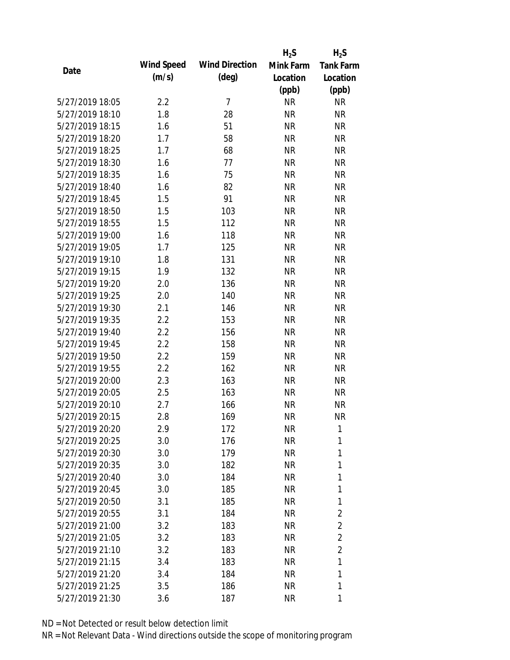|                 |            |                       | $H_2S$    | $H_2S$           |
|-----------------|------------|-----------------------|-----------|------------------|
| Date            | Wind Speed | <b>Wind Direction</b> | Mink Farm | <b>Tank Farm</b> |
|                 | (m/s)      | $(\text{deg})$        | Location  | Location         |
|                 |            |                       | (ppb)     | (ppb)            |
| 5/27/2019 18:05 | 2.2        | $\overline{7}$        | <b>NR</b> | <b>NR</b>        |
| 5/27/2019 18:10 | 1.8        | 28                    | <b>NR</b> | <b>NR</b>        |
| 5/27/2019 18:15 | 1.6        | 51                    | <b>NR</b> | <b>NR</b>        |
| 5/27/2019 18:20 | 1.7        | 58                    | <b>NR</b> | <b>NR</b>        |
| 5/27/2019 18:25 | 1.7        | 68                    | <b>NR</b> | <b>NR</b>        |
| 5/27/2019 18:30 | 1.6        | 77                    | <b>NR</b> | <b>NR</b>        |
| 5/27/2019 18:35 | 1.6        | 75                    | <b>NR</b> | <b>NR</b>        |
| 5/27/2019 18:40 | 1.6        | 82                    | <b>NR</b> | <b>NR</b>        |
| 5/27/2019 18:45 | 1.5        | 91                    | <b>NR</b> | <b>NR</b>        |
| 5/27/2019 18:50 | 1.5        | 103                   | <b>NR</b> | <b>NR</b>        |
| 5/27/2019 18:55 | 1.5        | 112                   | <b>NR</b> | <b>NR</b>        |
| 5/27/2019 19:00 | 1.6        | 118                   | <b>NR</b> | <b>NR</b>        |
| 5/27/2019 19:05 | 1.7        | 125                   | <b>NR</b> | <b>NR</b>        |
| 5/27/2019 19:10 | 1.8        | 131                   | <b>NR</b> | <b>NR</b>        |
| 5/27/2019 19:15 | 1.9        | 132                   | <b>NR</b> | <b>NR</b>        |
| 5/27/2019 19:20 | 2.0        | 136                   | <b>NR</b> | <b>NR</b>        |
| 5/27/2019 19:25 | 2.0        | 140                   | <b>NR</b> | <b>NR</b>        |
| 5/27/2019 19:30 | 2.1        | 146                   | <b>NR</b> | <b>NR</b>        |
| 5/27/2019 19:35 | 2.2        | 153                   | <b>NR</b> | <b>NR</b>        |
| 5/27/2019 19:40 | 2.2        | 156                   | <b>NR</b> | <b>NR</b>        |
| 5/27/2019 19:45 | 2.2        | 158                   | <b>NR</b> | <b>NR</b>        |
| 5/27/2019 19:50 | 2.2        | 159                   | <b>NR</b> | <b>NR</b>        |
| 5/27/2019 19:55 | 2.2        | 162                   | <b>NR</b> | <b>NR</b>        |
| 5/27/2019 20:00 | 2.3        | 163                   | <b>NR</b> | <b>NR</b>        |
| 5/27/2019 20:05 | 2.5        | 163                   | <b>NR</b> | <b>NR</b>        |
| 5/27/2019 20:10 | 2.7        | 166                   | <b>NR</b> | <b>NR</b>        |
| 5/27/2019 20:15 | 2.8        | 169                   | <b>NR</b> | <b>NR</b>        |
| 5/27/2019 20:20 | 2.9        | 172                   | <b>NR</b> | 1                |
| 5/27/2019 20:25 | 3.0        | 176                   | NR        | 1                |
| 5/27/2019 20:30 | 3.0        | 179                   | NR        | 1                |
| 5/27/2019 20:35 | 3.0        | 182                   | NR        | 1                |
| 5/27/2019 20:40 | 3.0        | 184                   | NR        | 1                |
| 5/27/2019 20:45 | 3.0        | 185                   | NR        | 1                |
| 5/27/2019 20:50 | 3.1        | 185                   | NR        | 1                |
| 5/27/2019 20:55 | 3.1        | 184                   | NR        | $\overline{2}$   |
| 5/27/2019 21:00 | 3.2        | 183                   | NR        | $\overline{2}$   |
| 5/27/2019 21:05 | 3.2        | 183                   | NR        | $\overline{2}$   |
| 5/27/2019 21:10 | 3.2        | 183                   | NR        | $\overline{2}$   |
| 5/27/2019 21:15 | 3.4        | 183                   | NR        | 1                |
| 5/27/2019 21:20 | 3.4        | 184                   | NR        | 1                |
| 5/27/2019 21:25 | 3.5        | 186                   | <b>NR</b> | 1                |
| 5/27/2019 21:30 | 3.6        | 187                   | <b>NR</b> | 1                |
|                 |            |                       |           |                  |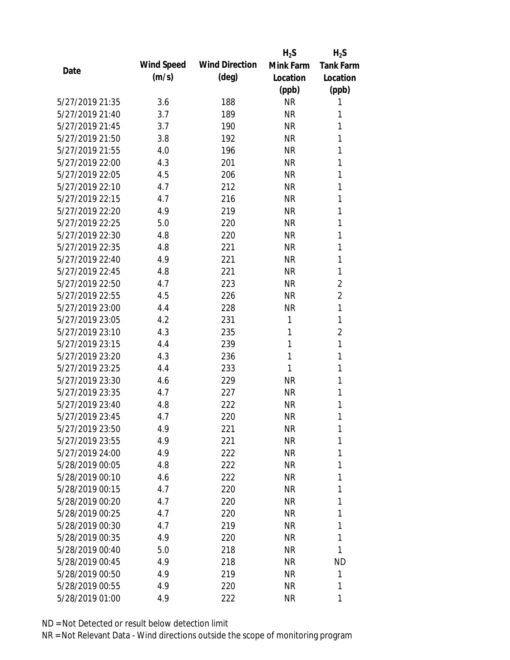|                 |            |                       | $H_2S$    | $H_2S$           |
|-----------------|------------|-----------------------|-----------|------------------|
| Date            | Wind Speed | <b>Wind Direction</b> | Mink Farm | <b>Tank Farm</b> |
|                 | (m/s)      | $(\text{deg})$        | Location  | Location         |
|                 |            |                       | (ppb)     | (ppb)            |
| 5/27/2019 21:35 | 3.6        | 188                   | <b>NR</b> | 1                |
| 5/27/2019 21:40 | 3.7        | 189                   | <b>NR</b> | 1                |
| 5/27/2019 21:45 | 3.7        | 190                   | <b>NR</b> | 1                |
| 5/27/2019 21:50 | 3.8        | 192                   | <b>NR</b> | 1                |
| 5/27/2019 21:55 | 4.0        | 196                   | <b>NR</b> | 1                |
| 5/27/2019 22:00 | 4.3        | 201                   | <b>NR</b> | 1                |
| 5/27/2019 22:05 | 4.5        | 206                   | <b>NR</b> | 1                |
| 5/27/2019 22:10 | 4.7        | 212                   | <b>NR</b> | 1                |
| 5/27/2019 22:15 | 4.7        | 216                   | <b>NR</b> | 1                |
| 5/27/2019 22:20 | 4.9        | 219                   | <b>NR</b> | 1                |
| 5/27/2019 22:25 | 5.0        | 220                   | <b>NR</b> | 1                |
| 5/27/2019 22:30 | 4.8        | 220                   | <b>NR</b> | 1                |
| 5/27/2019 22:35 | 4.8        | 221                   | <b>NR</b> | 1                |
| 5/27/2019 22:40 | 4.9        | 221                   | <b>NR</b> | 1                |
| 5/27/2019 22:45 | 4.8        | 221                   | <b>NR</b> | 1                |
| 5/27/2019 22:50 | 4.7        | 223                   | <b>NR</b> | $\overline{2}$   |
| 5/27/2019 22:55 | 4.5        | 226                   | <b>NR</b> | $\overline{2}$   |
| 5/27/2019 23:00 | 4.4        | 228                   | <b>NR</b> | $\mathbf{1}$     |
| 5/27/2019 23:05 | 4.2        | 231                   | 1         | $\mathbf{1}$     |
| 5/27/2019 23:10 | 4.3        | 235                   | 1         | $\overline{2}$   |
| 5/27/2019 23:15 | 4.4        | 239                   | 1         | 1                |
| 5/27/2019 23:20 | 4.3        | 236                   | 1         | 1                |
| 5/27/2019 23:25 | 4.4        | 233                   | 1         | 1                |
| 5/27/2019 23:30 | 4.6        | 229                   | <b>NR</b> | 1                |
| 5/27/2019 23:35 | 4.7        | 227                   | <b>NR</b> | 1                |
| 5/27/2019 23:40 | 4.8        | 222                   | <b>NR</b> | 1                |
| 5/27/2019 23:45 | 4.7        | 220                   | <b>NR</b> | 1                |
| 5/27/2019 23:50 | 4.9        | 221                   | <b>NR</b> | 1                |
| 5/27/2019 23:55 | 4.9        | 221                   | NR        | 1                |
| 5/27/2019 24:00 | 4.9        | 222                   | NR        | 1                |
| 5/28/2019 00:05 | 4.8        | 222                   | NR        | 1                |
| 5/28/2019 00:10 | 4.6        | 222                   | NR        | 1                |
| 5/28/2019 00:15 | 4.7        | 220                   | NR        | 1                |
| 5/28/2019 00:20 | 4.7        | 220                   | NR        | 1                |
| 5/28/2019 00:25 | 4.7        | 220                   | NR        | 1                |
| 5/28/2019 00:30 | 4.7        | 219                   | NR        | 1                |
| 5/28/2019 00:35 | 4.9        | 220                   | NR        | 1                |
| 5/28/2019 00:40 | 5.0        | 218                   | NR        | 1                |
| 5/28/2019 00:45 | 4.9        | 218                   | NR.       | <b>ND</b>        |
| 5/28/2019 00:50 |            |                       |           | 1                |
|                 | 4.9        | 219                   | NR        |                  |
| 5/28/2019 00:55 | 4.9        | 220                   | <b>NR</b> | 1                |
| 5/28/2019 01:00 | 4.9        | 222                   | <b>NR</b> | 1                |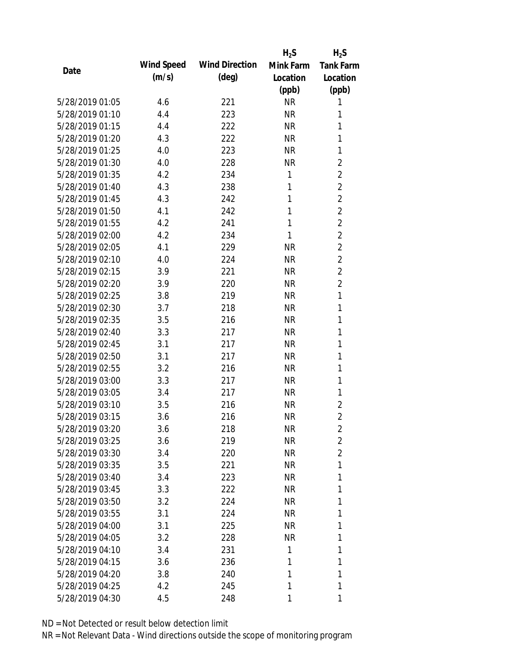|                 |            |                       | $H_2S$    | $H_2S$           |
|-----------------|------------|-----------------------|-----------|------------------|
| Date            | Wind Speed | <b>Wind Direction</b> | Mink Farm | <b>Tank Farm</b> |
|                 | (m/s)      | $(\text{deg})$        | Location  | Location         |
|                 |            |                       | (ppb)     | (ppb)            |
| 5/28/2019 01:05 | 4.6        | 221                   | <b>NR</b> | 1                |
| 5/28/2019 01:10 | 4.4        | 223                   | <b>NR</b> | 1                |
| 5/28/2019 01:15 | 4.4        | 222                   | <b>NR</b> | 1                |
| 5/28/2019 01:20 | 4.3        | 222                   | <b>NR</b> | 1                |
| 5/28/2019 01:25 | 4.0        | 223                   | <b>NR</b> | 1                |
| 5/28/2019 01:30 | 4.0        | 228                   | <b>NR</b> | $\overline{2}$   |
| 5/28/2019 01:35 | 4.2        | 234                   | 1         | $\overline{2}$   |
| 5/28/2019 01:40 | 4.3        | 238                   | 1         | $\overline{2}$   |
| 5/28/2019 01:45 | 4.3        | 242                   | 1         | $\overline{2}$   |
| 5/28/2019 01:50 | 4.1        | 242                   | 1         | $\overline{2}$   |
| 5/28/2019 01:55 | 4.2        | 241                   | 1         | $\overline{2}$   |
| 5/28/2019 02:00 | 4.2        | 234                   | 1         | $\overline{2}$   |
| 5/28/2019 02:05 | 4.1        | 229                   | <b>NR</b> | $\overline{2}$   |
| 5/28/2019 02:10 | 4.0        | 224                   | <b>NR</b> | $\overline{2}$   |
| 5/28/2019 02:15 | 3.9        | 221                   | <b>NR</b> | $\overline{2}$   |
| 5/28/2019 02:20 | 3.9        | 220                   | <b>NR</b> | $\overline{2}$   |
| 5/28/2019 02:25 | 3.8        | 219                   | <b>NR</b> | 1                |
| 5/28/2019 02:30 | 3.7        | 218                   | <b>NR</b> | 1                |
| 5/28/2019 02:35 | 3.5        | 216                   | <b>NR</b> | 1                |
| 5/28/2019 02:40 | 3.3        | 217                   | <b>NR</b> | 1                |
| 5/28/2019 02:45 | 3.1        | 217                   | <b>NR</b> | 1                |
| 5/28/2019 02:50 | 3.1        | 217                   | <b>NR</b> | 1                |
| 5/28/2019 02:55 | 3.2        | 216                   | <b>NR</b> | 1                |
| 5/28/2019 03:00 | 3.3        | 217                   | <b>NR</b> | 1                |
| 5/28/2019 03:05 | 3.4        | 217                   | <b>NR</b> | 1                |
| 5/28/2019 03:10 | 3.5        | 216                   | <b>NR</b> | $\overline{2}$   |
| 5/28/2019 03:15 | 3.6        | 216                   | <b>NR</b> | $\overline{2}$   |
| 5/28/2019 03:20 | 3.6        | 218                   | <b>NR</b> | 2                |
| 5/28/2019 03:25 | 3.6        | 219                   | NR        | $\overline{2}$   |
| 5/28/2019 03:30 | 3.4        | 220                   | NR        | $\overline{2}$   |
| 5/28/2019 03:35 | 3.5        | 221                   | NR        | 1                |
| 5/28/2019 03:40 | 3.4        | 223                   | NR        | 1                |
| 5/28/2019 03:45 | 3.3        | 222                   | NR        | 1                |
| 5/28/2019 03:50 | 3.2        | 224                   | NR        | 1                |
| 5/28/2019 03:55 | 3.1        | 224                   | NR        | 1                |
| 5/28/2019 04:00 | 3.1        | 225                   | NR        | 1                |
| 5/28/2019 04:05 | 3.2        | 228                   | <b>NR</b> | 1                |
| 5/28/2019 04:10 | 3.4        | 231                   | 1         | 1                |
| 5/28/2019 04:15 | 3.6        | 236                   | 1         | 1                |
| 5/28/2019 04:20 | 3.8        | 240                   | 1         | 1                |
| 5/28/2019 04:25 | 4.2        | 245                   | 1         | 1                |
| 5/28/2019 04:30 | 4.5        | 248                   | 1         | 1                |
|                 |            |                       |           |                  |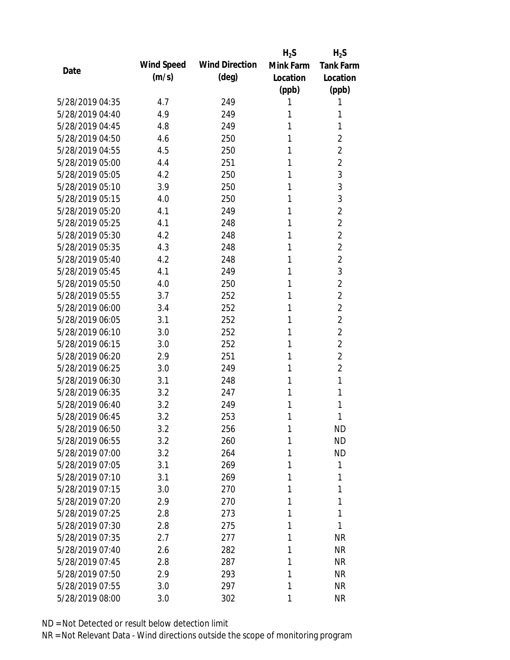|                 |            |                       | $H_2S$    | $H_2S$           |
|-----------------|------------|-----------------------|-----------|------------------|
|                 | Wind Speed | <b>Wind Direction</b> | Mink Farm | <b>Tank Farm</b> |
| Date            | (m/s)      | $(\text{deg})$        | Location  | Location         |
|                 |            |                       | (ppb)     | (ppb)            |
| 5/28/2019 04:35 | 4.7        | 249                   | 1         | 1                |
| 5/28/2019 04:40 | 4.9        | 249                   | 1         | 1                |
| 5/28/2019 04:45 | 4.8        | 249                   | 1         | 1                |
| 5/28/2019 04:50 | 4.6        | 250                   | 1         | $\overline{2}$   |
| 5/28/2019 04:55 | 4.5        | 250                   | 1         | 2                |
| 5/28/2019 05:00 | 4.4        | 251                   | 1         | $\overline{2}$   |
| 5/28/2019 05:05 | 4.2        | 250                   | 1         | 3                |
| 5/28/2019 05:10 | 3.9        | 250                   | 1         | 3                |
| 5/28/2019 05:15 | 4.0        | 250                   | 1         | 3                |
| 5/28/2019 05:20 | 4.1        | 249                   | 1         | $\overline{2}$   |
| 5/28/2019 05:25 | 4.1        | 248                   | 1         | $\overline{2}$   |
| 5/28/2019 05:30 | 4.2        | 248                   | 1         | $\overline{2}$   |
| 5/28/2019 05:35 | 4.3        | 248                   | 1         | $\overline{2}$   |
| 5/28/2019 05:40 | 4.2        | 248                   | 1         | $\overline{2}$   |
| 5/28/2019 05:45 | 4.1        | 249                   | 1         | 3                |
| 5/28/2019 05:50 | 4.0        | 250                   | 1         | $\overline{2}$   |
| 5/28/2019 05:55 | 3.7        | 252                   | 1         | $\overline{2}$   |
| 5/28/2019 06:00 | 3.4        | 252                   | 1         | $\overline{2}$   |
| 5/28/2019 06:05 | 3.1        | 252                   | 1         | $\overline{2}$   |
| 5/28/2019 06:10 | 3.0        | 252                   | 1         | $\overline{2}$   |
| 5/28/2019 06:15 | 3.0        | 252                   | 1         | $\overline{2}$   |
| 5/28/2019 06:20 | 2.9        | 251                   | 1         | $\overline{2}$   |
| 5/28/2019 06:25 | 3.0        | 249                   | 1         | $\overline{2}$   |
| 5/28/2019 06:30 | 3.1        | 248                   | 1         | 1                |
| 5/28/2019 06:35 | 3.2        | 247                   | 1         | 1                |
| 5/28/2019 06:40 | 3.2        | 249                   | 1         | 1                |
| 5/28/2019 06:45 | 3.2        | 253                   | 1         | 1                |
| 5/28/2019 06:50 | 3.2        | 256                   | 1         | <b>ND</b>        |
| 5/28/2019 06:55 | 3.2        | 260                   | 1         | <b>ND</b>        |
| 5/28/2019 07:00 | 3.2        | 264                   | 1         | <b>ND</b>        |
| 5/28/2019 07:05 | 3.1        | 269                   | 1         | 1                |
| 5/28/2019 07:10 | 3.1        | 269                   | 1         | 1                |
| 5/28/2019 07:15 | 3.0        | 270                   | 1         | 1                |
| 5/28/2019 07:20 | 2.9        | 270                   | 1         | 1                |
| 5/28/2019 07:25 | 2.8        | 273                   | 1         | 1                |
| 5/28/2019 07:30 | 2.8        | 275                   | 1         | 1                |
| 5/28/2019 07:35 | 2.7        | 277                   | 1         | <b>NR</b>        |
| 5/28/2019 07:40 | 2.6        | 282                   | 1         | <b>NR</b>        |
| 5/28/2019 07:45 | 2.8        | 287                   | 1         | <b>NR</b>        |
| 5/28/2019 07:50 | 2.9        | 293                   | 1         | <b>NR</b>        |
| 5/28/2019 07:55 | 3.0        | 297                   | 1         | <b>NR</b>        |
| 5/28/2019 08:00 | 3.0        | 302                   | 1         | <b>NR</b>        |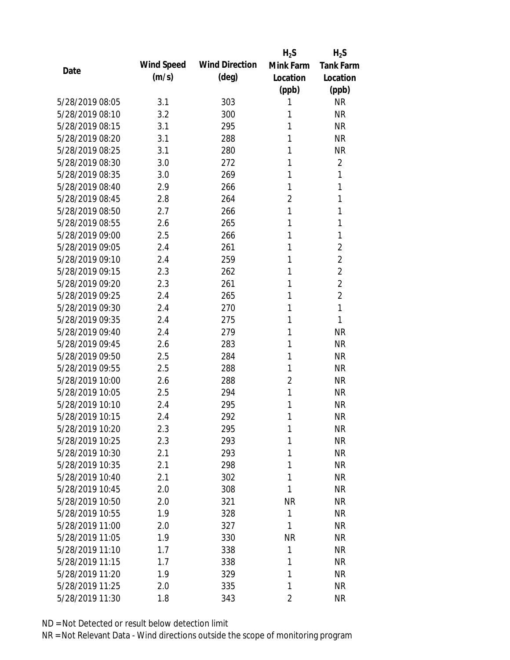|                 |            |                       | $H_2S$         | $H_2S$           |
|-----------------|------------|-----------------------|----------------|------------------|
| Date            | Wind Speed | <b>Wind Direction</b> | Mink Farm      | <b>Tank Farm</b> |
|                 | (m/s)      | $(\text{deg})$        | Location       | Location         |
|                 |            |                       | (ppb)          | (ppb)            |
| 5/28/2019 08:05 | 3.1        | 303                   | 1              | <b>NR</b>        |
| 5/28/2019 08:10 | 3.2        | 300                   | 1              | <b>NR</b>        |
| 5/28/2019 08:15 | 3.1        | 295                   | 1              | <b>NR</b>        |
| 5/28/2019 08:20 | 3.1        | 288                   | 1              | <b>NR</b>        |
| 5/28/2019 08:25 | 3.1        | 280                   | 1              | <b>NR</b>        |
| 5/28/2019 08:30 | 3.0        | 272                   | 1              | $\overline{2}$   |
| 5/28/2019 08:35 | 3.0        | 269                   | 1              | 1                |
| 5/28/2019 08:40 | 2.9        | 266                   | 1              | 1                |
| 5/28/2019 08:45 | 2.8        | 264                   | $\overline{2}$ | 1                |
| 5/28/2019 08:50 | 2.7        | 266                   | 1              | 1                |
| 5/28/2019 08:55 | 2.6        | 265                   | 1              | 1                |
| 5/28/2019 09:00 | 2.5        | 266                   | 1              | 1                |
| 5/28/2019 09:05 | 2.4        | 261                   | 1              | $\overline{2}$   |
| 5/28/2019 09:10 | 2.4        | 259                   | 1              | $\overline{2}$   |
| 5/28/2019 09:15 | 2.3        | 262                   | 1              | $\overline{2}$   |
| 5/28/2019 09:20 | 2.3        | 261                   | 1              | $\overline{2}$   |
| 5/28/2019 09:25 | 2.4        | 265                   | 1              | $\overline{2}$   |
| 5/28/2019 09:30 | 2.4        | 270                   | 1              | 1                |
| 5/28/2019 09:35 | 2.4        | 275                   | 1              | 1                |
| 5/28/2019 09:40 | 2.4        | 279                   | 1              | <b>NR</b>        |
| 5/28/2019 09:45 | 2.6        | 283                   | 1              | <b>NR</b>        |
| 5/28/2019 09:50 | 2.5        | 284                   | 1              | <b>NR</b>        |
| 5/28/2019 09:55 | 2.5        | 288                   | 1              | <b>NR</b>        |
| 5/28/2019 10:00 | 2.6        | 288                   | $\overline{2}$ | <b>NR</b>        |
| 5/28/2019 10:05 | 2.5        | 294                   | 1              | <b>NR</b>        |
| 5/28/2019 10:10 | 2.4        | 295                   | 1              | <b>NR</b>        |
| 5/28/2019 10:15 | 2.4        | 292                   | 1              | <b>NR</b>        |
| 5/28/2019 10:20 | 2.3        | 295                   | 1              | <b>NR</b>        |
| 5/28/2019 10:25 | 2.3        | 293                   | 1              | <b>NR</b>        |
| 5/28/2019 10:30 | 2.1        | 293                   | 1              | <b>NR</b>        |
| 5/28/2019 10:35 | 2.1        | 298                   | 1              | <b>NR</b>        |
| 5/28/2019 10:40 | 2.1        | 302                   | 1              | <b>NR</b>        |
| 5/28/2019 10:45 | 2.0        | 308                   | 1              | <b>NR</b>        |
| 5/28/2019 10:50 | 2.0        | 321                   | <b>NR</b>      | <b>NR</b>        |
| 5/28/2019 10:55 | 1.9        | 328                   | 1              | <b>NR</b>        |
| 5/28/2019 11:00 | 2.0        | 327                   | 1              | <b>NR</b>        |
| 5/28/2019 11:05 | 1.9        | 330                   | <b>NR</b>      | <b>NR</b>        |
| 5/28/2019 11:10 | 1.7        | 338                   | 1              | <b>NR</b>        |
| 5/28/2019 11:15 | 1.7        | 338                   | 1              | <b>NR</b>        |
| 5/28/2019 11:20 |            |                       | 1              | <b>NR</b>        |
|                 | 1.9        | 329                   |                |                  |
| 5/28/2019 11:25 | 2.0        | 335                   | 1              | <b>NR</b>        |
| 5/28/2019 11:30 | 1.8        | 343                   | $\overline{2}$ | <b>NR</b>        |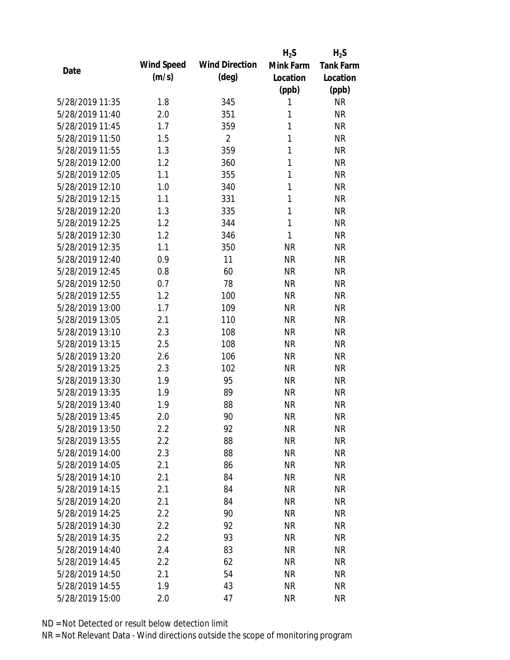|                 |            |                       | $H_2S$    | $H_2S$           |
|-----------------|------------|-----------------------|-----------|------------------|
| Date            | Wind Speed | <b>Wind Direction</b> | Mink Farm | <b>Tank Farm</b> |
|                 | (m/s)      | $(\text{deg})$        | Location  | Location         |
|                 |            |                       | (ppb)     | (ppb)            |
| 5/28/2019 11:35 | 1.8        | 345                   | 1         | <b>NR</b>        |
| 5/28/2019 11:40 | 2.0        | 351                   | 1         | <b>NR</b>        |
| 5/28/2019 11:45 | 1.7        | 359                   | 1         | <b>NR</b>        |
| 5/28/2019 11:50 | 1.5        | $\overline{2}$        | 1         | <b>NR</b>        |
| 5/28/2019 11:55 | 1.3        | 359                   | 1         | <b>NR</b>        |
| 5/28/2019 12:00 | 1.2        | 360                   | 1         | <b>NR</b>        |
| 5/28/2019 12:05 | 1.1        | 355                   | 1         | <b>NR</b>        |
| 5/28/2019 12:10 | 1.0        | 340                   | 1         | <b>NR</b>        |
| 5/28/2019 12:15 | 1.1        | 331                   | 1         | <b>NR</b>        |
| 5/28/2019 12:20 | 1.3        | 335                   | 1         | <b>NR</b>        |
| 5/28/2019 12:25 | 1.2        | 344                   | 1         | <b>NR</b>        |
| 5/28/2019 12:30 | 1.2        | 346                   | 1         | <b>NR</b>        |
| 5/28/2019 12:35 | 1.1        | 350                   | <b>NR</b> | <b>NR</b>        |
| 5/28/2019 12:40 | 0.9        | 11                    | <b>NR</b> | <b>NR</b>        |
| 5/28/2019 12:45 | 0.8        | 60                    | <b>NR</b> | <b>NR</b>        |
| 5/28/2019 12:50 | 0.7        | 78                    | <b>NR</b> | <b>NR</b>        |
| 5/28/2019 12:55 | 1.2        | 100                   | <b>NR</b> | <b>NR</b>        |
| 5/28/2019 13:00 | 1.7        | 109                   | <b>NR</b> | <b>NR</b>        |
| 5/28/2019 13:05 | 2.1        | 110                   | <b>NR</b> | <b>NR</b>        |
| 5/28/2019 13:10 | 2.3        | 108                   | <b>NR</b> | <b>NR</b>        |
| 5/28/2019 13:15 | 2.5        | 108                   | <b>NR</b> | <b>NR</b>        |
| 5/28/2019 13:20 | 2.6        | 106                   | <b>NR</b> | <b>NR</b>        |
| 5/28/2019 13:25 | 2.3        | 102                   | <b>NR</b> | <b>NR</b>        |
| 5/28/2019 13:30 | 1.9        | 95                    | <b>NR</b> | <b>NR</b>        |
| 5/28/2019 13:35 | 1.9        | 89                    | <b>NR</b> | <b>NR</b>        |
| 5/28/2019 13:40 | 1.9        | 88                    | <b>NR</b> | <b>NR</b>        |
| 5/28/2019 13:45 | 2.0        | 90                    | <b>NR</b> | <b>NR</b>        |
| 5/28/2019 13:50 | 2.2        | 92                    | <b>NR</b> | <b>NR</b>        |
| 5/28/2019 13:55 | 2.2        | 88                    | <b>NR</b> | <b>NR</b>        |
| 5/28/2019 14:00 | 2.3        | 88                    | <b>NR</b> | <b>NR</b>        |
| 5/28/2019 14:05 | 2.1        | 86                    | <b>NR</b> | <b>NR</b>        |
| 5/28/2019 14:10 | 2.1        | 84                    | <b>NR</b> | <b>NR</b>        |
| 5/28/2019 14:15 | 2.1        | 84                    | <b>NR</b> | <b>NR</b>        |
| 5/28/2019 14:20 | 2.1        | 84                    | <b>NR</b> | <b>NR</b>        |
| 5/28/2019 14:25 | 2.2        | 90                    | <b>NR</b> | <b>NR</b>        |
| 5/28/2019 14:30 | 2.2        | 92                    | <b>NR</b> | <b>NR</b>        |
| 5/28/2019 14:35 | 2.2        | 93                    | <b>NR</b> | <b>NR</b>        |
| 5/28/2019 14:40 | 2.4        | 83                    | <b>NR</b> | <b>NR</b>        |
| 5/28/2019 14:45 | 2.2        | 62                    | <b>NR</b> | <b>NR</b>        |
| 5/28/2019 14:50 | 2.1        | 54                    | <b>NR</b> | <b>NR</b>        |
| 5/28/2019 14:55 | 1.9        | 43                    | <b>NR</b> | <b>NR</b>        |
| 5/28/2019 15:00 | 2.0        | 47                    | <b>NR</b> | <b>NR</b>        |
|                 |            |                       |           |                  |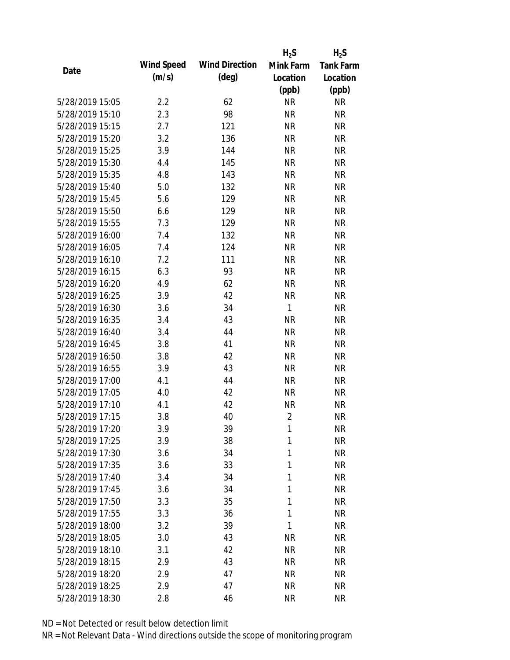|                 |            |                       | $H_2S$         | $H_2S$           |
|-----------------|------------|-----------------------|----------------|------------------|
| Date            | Wind Speed | <b>Wind Direction</b> | Mink Farm      | <b>Tank Farm</b> |
|                 | (m/s)      | $(\text{deg})$        | Location       | Location         |
|                 |            |                       | (ppb)          | (ppb)            |
| 5/28/2019 15:05 | 2.2        | 62                    | <b>NR</b>      | <b>NR</b>        |
| 5/28/2019 15:10 | 2.3        | 98                    | <b>NR</b>      | <b>NR</b>        |
| 5/28/2019 15:15 | 2.7        | 121                   | <b>NR</b>      | <b>NR</b>        |
| 5/28/2019 15:20 | 3.2        | 136                   | <b>NR</b>      | <b>NR</b>        |
| 5/28/2019 15:25 | 3.9        | 144                   | <b>NR</b>      | <b>NR</b>        |
| 5/28/2019 15:30 | 4.4        | 145                   | <b>NR</b>      | <b>NR</b>        |
| 5/28/2019 15:35 | 4.8        | 143                   | <b>NR</b>      | <b>NR</b>        |
| 5/28/2019 15:40 | 5.0        | 132                   | <b>NR</b>      | <b>NR</b>        |
| 5/28/2019 15:45 | 5.6        | 129                   | <b>NR</b>      | <b>NR</b>        |
| 5/28/2019 15:50 | 6.6        | 129                   | <b>NR</b>      | <b>NR</b>        |
| 5/28/2019 15:55 | 7.3        | 129                   | <b>NR</b>      | <b>NR</b>        |
| 5/28/2019 16:00 | 7.4        | 132                   | <b>NR</b>      | <b>NR</b>        |
| 5/28/2019 16:05 | 7.4        | 124                   | <b>NR</b>      | <b>NR</b>        |
| 5/28/2019 16:10 | 7.2        | 111                   | <b>NR</b>      | <b>NR</b>        |
| 5/28/2019 16:15 | 6.3        | 93                    | <b>NR</b>      | <b>NR</b>        |
| 5/28/2019 16:20 | 4.9        | 62                    | <b>NR</b>      | <b>NR</b>        |
| 5/28/2019 16:25 | 3.9        | 42                    | <b>NR</b>      | <b>NR</b>        |
| 5/28/2019 16:30 | 3.6        | 34                    | $\mathbf{1}$   | <b>NR</b>        |
| 5/28/2019 16:35 | 3.4        | 43                    | <b>NR</b>      | <b>NR</b>        |
| 5/28/2019 16:40 | 3.4        | 44                    | <b>NR</b>      | <b>NR</b>        |
| 5/28/2019 16:45 | 3.8        | 41                    | <b>NR</b>      | <b>NR</b>        |
| 5/28/2019 16:50 | 3.8        | 42                    | <b>NR</b>      | <b>NR</b>        |
| 5/28/2019 16:55 | 3.9        | 43                    | <b>NR</b>      | <b>NR</b>        |
| 5/28/2019 17:00 | 4.1        | 44                    | <b>NR</b>      | <b>NR</b>        |
| 5/28/2019 17:05 | 4.0        | 42                    | <b>NR</b>      | <b>NR</b>        |
| 5/28/2019 17:10 | 4.1        | 42                    | <b>NR</b>      | <b>NR</b>        |
| 5/28/2019 17:15 | 3.8        | 40                    | $\overline{2}$ | <b>NR</b>        |
| 5/28/2019 17:20 | 3.9        | 39                    | 1              | <b>NR</b>        |
| 5/28/2019 17:25 | 3.9        | 38                    | 1              | <b>NR</b>        |
| 5/28/2019 17:30 | 3.6        | 34                    | 1              | <b>NR</b>        |
| 5/28/2019 17:35 | 3.6        | 33                    | 1              | <b>NR</b>        |
| 5/28/2019 17:40 | 3.4        | 34                    | 1              | <b>NR</b>        |
| 5/28/2019 17:45 | 3.6        | 34                    | 1              | <b>NR</b>        |
| 5/28/2019 17:50 | 3.3        | 35                    | 1              | <b>NR</b>        |
| 5/28/2019 17:55 | 3.3        | 36                    | 1              | <b>NR</b>        |
| 5/28/2019 18:00 | 3.2        | 39                    | 1              | <b>NR</b>        |
| 5/28/2019 18:05 | 3.0        | 43                    | <b>NR</b>      | <b>NR</b>        |
| 5/28/2019 18:10 | 3.1        | 42                    | <b>NR</b>      | <b>NR</b>        |
| 5/28/2019 18:15 | 2.9        | 43                    | <b>NR</b>      | <b>NR</b>        |
| 5/28/2019 18:20 | 2.9        | 47                    | <b>NR</b>      | <b>NR</b>        |
| 5/28/2019 18:25 | 2.9        | 47                    | <b>NR</b>      | <b>NR</b>        |
| 5/28/2019 18:30 | 2.8        | 46                    | <b>NR</b>      | <b>NR</b>        |
|                 |            |                       |                |                  |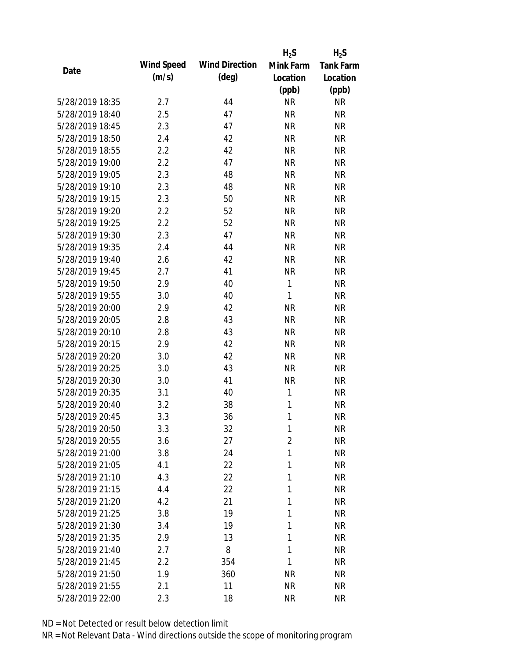|                 |            |                       | $H_2S$         | $H_2S$           |
|-----------------|------------|-----------------------|----------------|------------------|
| Date            | Wind Speed | <b>Wind Direction</b> | Mink Farm      | <b>Tank Farm</b> |
|                 | (m/s)      | $(\text{deg})$        | Location       | Location         |
|                 |            |                       | (ppb)          | (ppb)            |
| 5/28/2019 18:35 | 2.7        | 44                    | <b>NR</b>      | <b>NR</b>        |
| 5/28/2019 18:40 | 2.5        | 47                    | <b>NR</b>      | <b>NR</b>        |
| 5/28/2019 18:45 | 2.3        | 47                    | <b>NR</b>      | <b>NR</b>        |
| 5/28/2019 18:50 | 2.4        | 42                    | <b>NR</b>      | <b>NR</b>        |
| 5/28/2019 18:55 | 2.2        | 42                    | <b>NR</b>      | <b>NR</b>        |
| 5/28/2019 19:00 | 2.2        | 47                    | <b>NR</b>      | <b>NR</b>        |
| 5/28/2019 19:05 | 2.3        | 48                    | <b>NR</b>      | <b>NR</b>        |
| 5/28/2019 19:10 | 2.3        | 48                    | <b>NR</b>      | <b>NR</b>        |
| 5/28/2019 19:15 | 2.3        | 50                    | <b>NR</b>      | <b>NR</b>        |
| 5/28/2019 19:20 | 2.2        | 52                    | <b>NR</b>      | <b>NR</b>        |
| 5/28/2019 19:25 | 2.2        | 52                    | <b>NR</b>      | <b>NR</b>        |
| 5/28/2019 19:30 | 2.3        | 47                    | <b>NR</b>      | <b>NR</b>        |
| 5/28/2019 19:35 | 2.4        | 44                    | <b>NR</b>      | <b>NR</b>        |
| 5/28/2019 19:40 | 2.6        | 42                    | <b>NR</b>      | <b>NR</b>        |
| 5/28/2019 19:45 | 2.7        | 41                    | <b>NR</b>      | <b>NR</b>        |
| 5/28/2019 19:50 | 2.9        | 40                    | 1              | <b>NR</b>        |
| 5/28/2019 19:55 | 3.0        | 40                    | 1              | <b>NR</b>        |
| 5/28/2019 20:00 | 2.9        | 42                    | <b>NR</b>      | <b>NR</b>        |
| 5/28/2019 20:05 | 2.8        | 43                    | <b>NR</b>      | <b>NR</b>        |
| 5/28/2019 20:10 | 2.8        | 43                    | <b>NR</b>      | <b>NR</b>        |
| 5/28/2019 20:15 | 2.9        | 42                    | <b>NR</b>      | <b>NR</b>        |
| 5/28/2019 20:20 | 3.0        | 42                    | <b>NR</b>      | <b>NR</b>        |
| 5/28/2019 20:25 | 3.0        | 43                    | <b>NR</b>      | <b>NR</b>        |
| 5/28/2019 20:30 | 3.0        | 41                    | <b>NR</b>      | <b>NR</b>        |
| 5/28/2019 20:35 | 3.1        | 40                    | 1              | <b>NR</b>        |
| 5/28/2019 20:40 | 3.2        | 38                    | 1              | <b>NR</b>        |
| 5/28/2019 20:45 | 3.3        | 36                    | 1              | <b>NR</b>        |
| 5/28/2019 20:50 | 3.3        | 32                    | 1              | <b>NR</b>        |
| 5/28/2019 20:55 | 3.6        | 27                    | $\overline{2}$ | <b>NR</b>        |
| 5/28/2019 21:00 | 3.8        | 24                    | 1              | <b>NR</b>        |
| 5/28/2019 21:05 | 4.1        | 22                    | 1              | <b>NR</b>        |
| 5/28/2019 21:10 | 4.3        | 22                    | 1              | <b>NR</b>        |
| 5/28/2019 21:15 | 4.4        | 22                    | 1              | <b>NR</b>        |
| 5/28/2019 21:20 | 4.2        | 21                    | 1              | <b>NR</b>        |
| 5/28/2019 21:25 | 3.8        | 19                    | 1              | <b>NR</b>        |
| 5/28/2019 21:30 | 3.4        | 19                    | 1              | <b>NR</b>        |
| 5/28/2019 21:35 | 2.9        | 13                    | 1              | <b>NR</b>        |
| 5/28/2019 21:40 | 2.7        | 8                     | 1              | <b>NR</b>        |
| 5/28/2019 21:45 | 2.2        | 354                   | 1              | <b>NR</b>        |
| 5/28/2019 21:50 | 1.9        | 360                   | <b>NR</b>      | <b>NR</b>        |
| 5/28/2019 21:55 | 2.1        | 11                    | <b>NR</b>      | <b>NR</b>        |
| 5/28/2019 22:00 | 2.3        | 18                    | <b>NR</b>      | <b>NR</b>        |
|                 |            |                       |                |                  |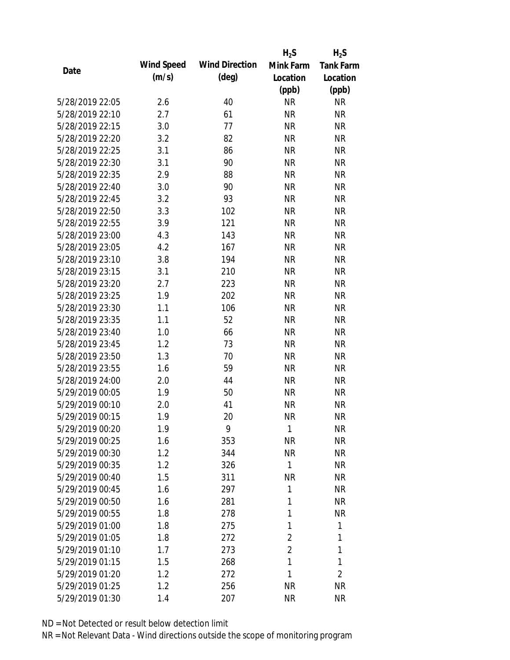|                 |            |                       | $H_2S$         | $H_2S$           |
|-----------------|------------|-----------------------|----------------|------------------|
| Date            | Wind Speed | <b>Wind Direction</b> | Mink Farm      | <b>Tank Farm</b> |
|                 | (m/s)      | $(\text{deg})$        | Location       | Location         |
|                 |            |                       | (ppb)          | (ppb)            |
| 5/28/2019 22:05 | 2.6        | 40                    | <b>NR</b>      | <b>NR</b>        |
| 5/28/2019 22:10 | 2.7        | 61                    | <b>NR</b>      | <b>NR</b>        |
| 5/28/2019 22:15 | 3.0        | 77                    | <b>NR</b>      | <b>NR</b>        |
| 5/28/2019 22:20 | 3.2        | 82                    | <b>NR</b>      | <b>NR</b>        |
| 5/28/2019 22:25 | 3.1        | 86                    | <b>NR</b>      | <b>NR</b>        |
| 5/28/2019 22:30 | 3.1        | 90                    | <b>NR</b>      | <b>NR</b>        |
| 5/28/2019 22:35 | 2.9        | 88                    | <b>NR</b>      | <b>NR</b>        |
| 5/28/2019 22:40 | 3.0        | 90                    | <b>NR</b>      | <b>NR</b>        |
| 5/28/2019 22:45 | 3.2        | 93                    | <b>NR</b>      | <b>NR</b>        |
| 5/28/2019 22:50 | 3.3        | 102                   | <b>NR</b>      | <b>NR</b>        |
| 5/28/2019 22:55 | 3.9        | 121                   | <b>NR</b>      | <b>NR</b>        |
| 5/28/2019 23:00 | 4.3        | 143                   | <b>NR</b>      | <b>NR</b>        |
| 5/28/2019 23:05 | 4.2        | 167                   | <b>NR</b>      | <b>NR</b>        |
| 5/28/2019 23:10 | 3.8        | 194                   | <b>NR</b>      | <b>NR</b>        |
| 5/28/2019 23:15 | 3.1        | 210                   | <b>NR</b>      | <b>NR</b>        |
| 5/28/2019 23:20 | 2.7        | 223                   | <b>NR</b>      | <b>NR</b>        |
| 5/28/2019 23:25 | 1.9        | 202                   | <b>NR</b>      | <b>NR</b>        |
| 5/28/2019 23:30 | 1.1        | 106                   | <b>NR</b>      | <b>NR</b>        |
| 5/28/2019 23:35 | 1.1        | 52                    | <b>NR</b>      | <b>NR</b>        |
| 5/28/2019 23:40 | 1.0        | 66                    | <b>NR</b>      | <b>NR</b>        |
| 5/28/2019 23:45 | 1.2        | 73                    | <b>NR</b>      | <b>NR</b>        |
| 5/28/2019 23:50 | 1.3        | 70                    | <b>NR</b>      | <b>NR</b>        |
| 5/28/2019 23:55 | 1.6        | 59                    | <b>NR</b>      | <b>NR</b>        |
| 5/28/2019 24:00 | 2.0        | 44                    | <b>NR</b>      | <b>NR</b>        |
| 5/29/2019 00:05 | 1.9        | 50                    | <b>NR</b>      | <b>NR</b>        |
| 5/29/2019 00:10 | 2.0        | 41                    | <b>NR</b>      | <b>NR</b>        |
| 5/29/2019 00:15 | 1.9        | 20                    | <b>NR</b>      | <b>NR</b>        |
| 5/29/2019 00:20 | 1.9        | 9                     | 1              | <b>NR</b>        |
| 5/29/2019 00:25 | 1.6        | 353                   | <b>NR</b>      | <b>NR</b>        |
| 5/29/2019 00:30 | 1.2        | 344                   | <b>NR</b>      | <b>NR</b>        |
| 5/29/2019 00:35 | 1.2        | 326                   | 1              | <b>NR</b>        |
| 5/29/2019 00:40 | 1.5        | 311                   | <b>NR</b>      | NR               |
| 5/29/2019 00:45 | 1.6        | 297                   | 1              | <b>NR</b>        |
| 5/29/2019 00:50 | 1.6        | 281                   | 1              | <b>NR</b>        |
| 5/29/2019 00:55 | 1.8        | 278                   | 1              | <b>NR</b>        |
| 5/29/2019 01:00 | 1.8        | 275                   | 1              | 1                |
| 5/29/2019 01:05 | 1.8        | 272                   | 2              | 1                |
| 5/29/2019 01:10 | 1.7        | 273                   | $\overline{2}$ | 1                |
| 5/29/2019 01:15 | 1.5        | 268                   | 1              | 1                |
| 5/29/2019 01:20 | 1.2        | 272                   | 1              | $\overline{2}$   |
| 5/29/2019 01:25 | 1.2        | 256                   | <b>NR</b>      | <b>NR</b>        |
| 5/29/2019 01:30 | 1.4        | 207                   | <b>NR</b>      | <b>NR</b>        |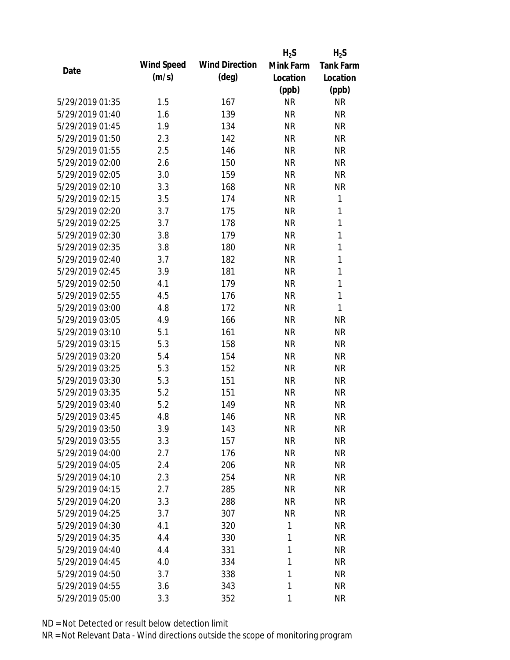|                 |            |                       | $H_2S$    | $H_2S$           |
|-----------------|------------|-----------------------|-----------|------------------|
|                 | Wind Speed | <b>Wind Direction</b> | Mink Farm | <b>Tank Farm</b> |
| Date            | (m/s)      | $(\text{deg})$        | Location  | Location         |
|                 |            |                       | (ppb)     | (ppb)            |
| 5/29/2019 01:35 | 1.5        | 167                   | <b>NR</b> | <b>NR</b>        |
| 5/29/2019 01:40 | 1.6        | 139                   | <b>NR</b> | <b>NR</b>        |
| 5/29/2019 01:45 | 1.9        | 134                   | <b>NR</b> | <b>NR</b>        |
| 5/29/2019 01:50 | 2.3        | 142                   | <b>NR</b> | <b>NR</b>        |
| 5/29/2019 01:55 | 2.5        | 146                   | <b>NR</b> | <b>NR</b>        |
| 5/29/2019 02:00 | 2.6        | 150                   | <b>NR</b> | <b>NR</b>        |
| 5/29/2019 02:05 | 3.0        | 159                   | <b>NR</b> | <b>NR</b>        |
| 5/29/2019 02:10 | 3.3        | 168                   | <b>NR</b> | <b>NR</b>        |
| 5/29/2019 02:15 | 3.5        | 174                   | <b>NR</b> | 1                |
| 5/29/2019 02:20 | 3.7        | 175                   | <b>NR</b> | 1                |
| 5/29/2019 02:25 | 3.7        | 178                   | <b>NR</b> | 1                |
| 5/29/2019 02:30 | 3.8        | 179                   | <b>NR</b> | 1                |
| 5/29/2019 02:35 | 3.8        | 180                   | <b>NR</b> | 1                |
| 5/29/2019 02:40 | 3.7        | 182                   | <b>NR</b> | 1                |
| 5/29/2019 02:45 | 3.9        | 181                   | <b>NR</b> | 1                |
| 5/29/2019 02:50 | 4.1        | 179                   | <b>NR</b> | 1                |
| 5/29/2019 02:55 | 4.5        | 176                   | <b>NR</b> | 1                |
| 5/29/2019 03:00 | 4.8        | 172                   | <b>NR</b> | 1                |
| 5/29/2019 03:05 | 4.9        | 166                   | <b>NR</b> | <b>NR</b>        |
| 5/29/2019 03:10 | 5.1        | 161                   | <b>NR</b> | <b>NR</b>        |
| 5/29/2019 03:15 | 5.3        | 158                   | <b>NR</b> | <b>NR</b>        |
| 5/29/2019 03:20 | 5.4        | 154                   | <b>NR</b> | <b>NR</b>        |
| 5/29/2019 03:25 | 5.3        | 152                   | <b>NR</b> | <b>NR</b>        |
| 5/29/2019 03:30 | 5.3        | 151                   | <b>NR</b> | <b>NR</b>        |
| 5/29/2019 03:35 | 5.2        | 151                   | <b>NR</b> | <b>NR</b>        |
| 5/29/2019 03:40 | 5.2        | 149                   | <b>NR</b> | <b>NR</b>        |
| 5/29/2019 03:45 | 4.8        | 146                   | <b>NR</b> | <b>NR</b>        |
| 5/29/2019 03:50 | 3.9        | 143                   | <b>NR</b> | <b>NR</b>        |
| 5/29/2019 03:55 | 3.3        | 157                   | <b>NR</b> | <b>NR</b>        |
| 5/29/2019 04:00 | 2.7        | 176                   | <b>NR</b> | <b>NR</b>        |
| 5/29/2019 04:05 | 2.4        | 206                   | <b>NR</b> | <b>NR</b>        |
| 5/29/2019 04:10 | 2.3        | 254                   | <b>NR</b> | <b>NR</b>        |
| 5/29/2019 04:15 | 2.7        | 285                   | <b>NR</b> | <b>NR</b>        |
| 5/29/2019 04:20 | 3.3        | 288                   | <b>NR</b> | <b>NR</b>        |
| 5/29/2019 04:25 | 3.7        | 307                   | <b>NR</b> | <b>NR</b>        |
| 5/29/2019 04:30 | 4.1        | 320                   | 1         | <b>NR</b>        |
| 5/29/2019 04:35 | 4.4        | 330                   | 1         | <b>NR</b>        |
| 5/29/2019 04:40 | 4.4        | 331                   | 1         | <b>NR</b>        |
| 5/29/2019 04:45 | 4.0        | 334                   | 1         | <b>NR</b>        |
| 5/29/2019 04:50 | 3.7        | 338                   | 1         | <b>NR</b>        |
| 5/29/2019 04:55 | 3.6        | 343                   | 1         | <b>NR</b>        |
| 5/29/2019 05:00 | 3.3        | 352                   | 1         | <b>NR</b>        |
|                 |            |                       |           |                  |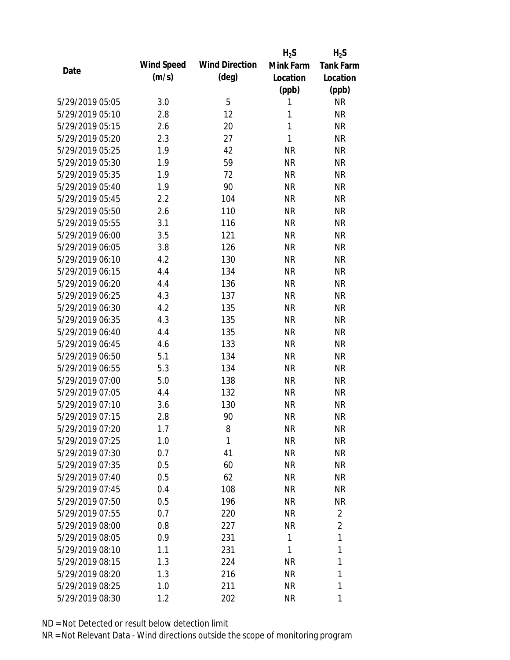|                                    |            |                       | $H_2S$       | $H_2S$           |
|------------------------------------|------------|-----------------------|--------------|------------------|
| Date                               | Wind Speed | <b>Wind Direction</b> | Mink Farm    | <b>Tank Farm</b> |
|                                    | (m/s)      | $(\text{deg})$        | Location     | Location         |
|                                    |            |                       | (ppb)        | (ppb)            |
| 5/29/2019 05:05                    | 3.0        | 5                     | 1            | <b>NR</b>        |
| 5/29/2019 05:10                    | 2.8        | 12                    | 1            | <b>NR</b>        |
| 5/29/2019 05:15                    | 2.6        | 20                    | $\mathbf{1}$ | <b>NR</b>        |
| 5/29/2019 05:20                    | 2.3        | 27                    | 1            | <b>NR</b>        |
| 5/29/2019 05:25                    | 1.9        | 42                    | <b>NR</b>    | <b>NR</b>        |
| 5/29/2019 05:30                    | 1.9        | 59                    | <b>NR</b>    | <b>NR</b>        |
| 5/29/2019 05:35                    | 1.9        | 72                    | <b>NR</b>    | <b>NR</b>        |
| 5/29/2019 05:40                    | 1.9        | 90                    | <b>NR</b>    | <b>NR</b>        |
| 5/29/2019 05:45                    | 2.2        | 104                   | <b>NR</b>    | <b>NR</b>        |
| 5/29/2019 05:50                    | 2.6        | 110                   | <b>NR</b>    | <b>NR</b>        |
| 5/29/2019 05:55                    | 3.1        | 116                   | <b>NR</b>    | <b>NR</b>        |
| 5/29/2019 06:00                    | 3.5        | 121                   | <b>NR</b>    | <b>NR</b>        |
| 5/29/2019 06:05                    | 3.8        | 126                   | <b>NR</b>    | <b>NR</b>        |
| 5/29/2019 06:10                    | 4.2        | 130                   | <b>NR</b>    | <b>NR</b>        |
| 5/29/2019 06:15                    | 4.4        | 134                   | <b>NR</b>    | <b>NR</b>        |
| 5/29/2019 06:20                    | 4.4        | 136                   | <b>NR</b>    | <b>NR</b>        |
| 5/29/2019 06:25                    | 4.3        | 137                   | <b>NR</b>    | <b>NR</b>        |
| 5/29/2019 06:30                    | 4.2        | 135                   | <b>NR</b>    | <b>NR</b>        |
| 5/29/2019 06:35                    | 4.3        | 135                   | <b>NR</b>    | <b>NR</b>        |
| 5/29/2019 06:40                    | 4.4        | 135                   | <b>NR</b>    | <b>NR</b>        |
| 5/29/2019 06:45                    | 4.6        | 133                   | <b>NR</b>    | <b>NR</b>        |
| 5/29/2019 06:50                    | 5.1        | 134                   | <b>NR</b>    | <b>NR</b>        |
| 5/29/2019 06:55                    | 5.3        | 134                   | <b>NR</b>    | <b>NR</b>        |
| 5/29/2019 07:00                    | 5.0        | 138                   | <b>NR</b>    | <b>NR</b>        |
| 5/29/2019 07:05                    | 4.4        | 132                   | <b>NR</b>    | <b>NR</b>        |
| 5/29/2019 07:10                    | 3.6        | 130                   | <b>NR</b>    | <b>NR</b>        |
| 5/29/2019 07:15                    | 2.8        | 90                    | <b>NR</b>    | <b>NR</b>        |
| 5/29/2019 07:20                    | 1.7        | 8                     | <b>NR</b>    | <b>NR</b>        |
| 5/29/2019 07:25                    | 1.0        | 1                     | <b>NR</b>    | <b>NR</b>        |
| 5/29/2019 07:30                    | 0.7        | 41                    | <b>NR</b>    | NR               |
| 5/29/2019 07:35                    | 0.5        | 60                    | <b>NR</b>    | <b>NR</b>        |
| 5/29/2019 07:40                    | 0.5        | 62                    | <b>NR</b>    | NR               |
| 5/29/2019 07:45                    | 0.4        | 108                   | <b>NR</b>    | NR               |
| 5/29/2019 07:50                    | 0.5        | 196                   | <b>NR</b>    | <b>NR</b>        |
| 5/29/2019 07:55                    | 0.7        | 220                   | <b>NR</b>    | $\overline{2}$   |
| 5/29/2019 08:00                    | 0.8        | 227                   | <b>NR</b>    | $\overline{2}$   |
| 5/29/2019 08:05                    | 0.9        | 231                   | 1            | 1                |
|                                    |            |                       | 1            | 1                |
| 5/29/2019 08:10                    | 1.1        | 231                   |              |                  |
| 5/29/2019 08:15<br>5/29/2019 08:20 | 1.3        | 224                   | <b>NR</b>    | 1<br>1           |
|                                    | 1.3        | 216                   | <b>NR</b>    | 1                |
| 5/29/2019 08:25                    | 1.0        | 211                   | <b>NR</b>    |                  |
| 5/29/2019 08:30                    | 1.2        | 202                   | <b>NR</b>    | 1                |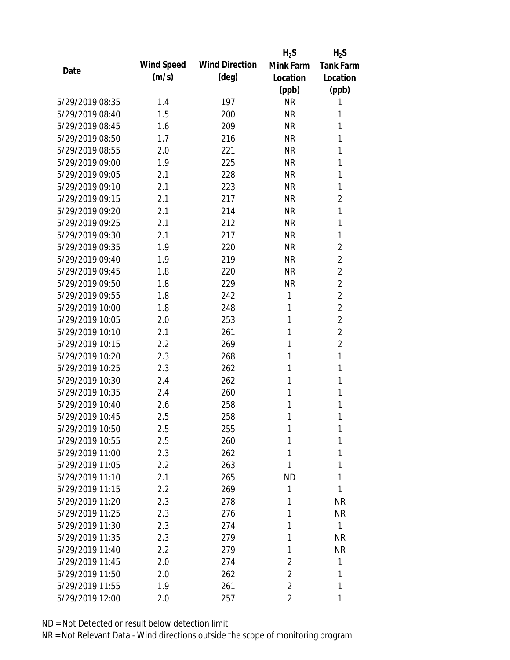|                 |            |                       | $H_2S$         | $H_2S$           |
|-----------------|------------|-----------------------|----------------|------------------|
| Date            | Wind Speed | <b>Wind Direction</b> | Mink Farm      | <b>Tank Farm</b> |
|                 | (m/s)      | $(\text{deg})$        | Location       | Location         |
|                 |            |                       | (ppb)          | (ppb)            |
| 5/29/2019 08:35 | 1.4        | 197                   | <b>NR</b>      | 1                |
| 5/29/2019 08:40 | 1.5        | 200                   | <b>NR</b>      | 1                |
| 5/29/2019 08:45 | 1.6        | 209                   | <b>NR</b>      | 1                |
| 5/29/2019 08:50 | 1.7        | 216                   | <b>NR</b>      | 1                |
| 5/29/2019 08:55 | 2.0        | 221                   | <b>NR</b>      | 1                |
| 5/29/2019 09:00 | 1.9        | 225                   | <b>NR</b>      | 1                |
| 5/29/2019 09:05 | 2.1        | 228                   | <b>NR</b>      | 1                |
| 5/29/2019 09:10 | 2.1        | 223                   | <b>NR</b>      | 1                |
| 5/29/2019 09:15 | 2.1        | 217                   | <b>NR</b>      | $\overline{2}$   |
| 5/29/2019 09:20 | 2.1        | 214                   | <b>NR</b>      | 1                |
| 5/29/2019 09:25 | 2.1        | 212                   | <b>NR</b>      | 1                |
| 5/29/2019 09:30 | 2.1        | 217                   | <b>NR</b>      | 1                |
| 5/29/2019 09:35 | 1.9        | 220                   | <b>NR</b>      | $\overline{2}$   |
| 5/29/2019 09:40 | 1.9        | 219                   | <b>NR</b>      | $\overline{2}$   |
| 5/29/2019 09:45 | 1.8        | 220                   | <b>NR</b>      | $\overline{2}$   |
| 5/29/2019 09:50 | 1.8        | 229                   | <b>NR</b>      | $\overline{2}$   |
| 5/29/2019 09:55 | 1.8        | 242                   | 1              | $\overline{2}$   |
| 5/29/2019 10:00 | 1.8        | 248                   | 1              | $\overline{2}$   |
| 5/29/2019 10:05 | 2.0        | 253                   | 1              | $\overline{2}$   |
| 5/29/2019 10:10 | 2.1        | 261                   | 1              | $\overline{2}$   |
| 5/29/2019 10:15 | 2.2        | 269                   | 1              | $\overline{2}$   |
| 5/29/2019 10:20 | 2.3        | 268                   | 1              | 1                |
| 5/29/2019 10:25 | 2.3        | 262                   | 1              | 1                |
| 5/29/2019 10:30 | 2.4        | 262                   | 1              | 1                |
| 5/29/2019 10:35 | 2.4        | 260                   | 1              | 1                |
| 5/29/2019 10:40 | 2.6        | 258                   | 1              | 1                |
| 5/29/2019 10:45 | 2.5        | 258                   | 1              | 1                |
| 5/29/2019 10:50 | 2.5        | 255                   | 1              | 1                |
| 5/29/2019 10:55 | 2.5        | 260                   | 1              | 1                |
| 5/29/2019 11:00 | 2.3        | 262                   | 1              | 1                |
| 5/29/2019 11:05 | 2.2        | 263                   | 1              | 1                |
| 5/29/2019 11:10 | 2.1        | 265                   | <b>ND</b>      | 1                |
| 5/29/2019 11:15 | 2.2        | 269                   | 1              | 1                |
| 5/29/2019 11:20 | 2.3        | 278                   | 1              | <b>NR</b>        |
| 5/29/2019 11:25 | 2.3        | 276                   | 1              | <b>NR</b>        |
| 5/29/2019 11:30 | 2.3        | 274                   | 1              | 1                |
| 5/29/2019 11:35 | 2.3        | 279                   | 1              | <b>NR</b>        |
| 5/29/2019 11:40 | $2.2\,$    | 279                   | 1              | <b>NR</b>        |
| 5/29/2019 11:45 | 2.0        | 274                   | 2              | 1                |
| 5/29/2019 11:50 | 2.0        | 262                   | $\overline{2}$ | 1                |
| 5/29/2019 11:55 | 1.9        | 261                   | $\overline{2}$ | 1                |
| 5/29/2019 12:00 | 2.0        | 257                   | 2              | 1                |
|                 |            |                       |                |                  |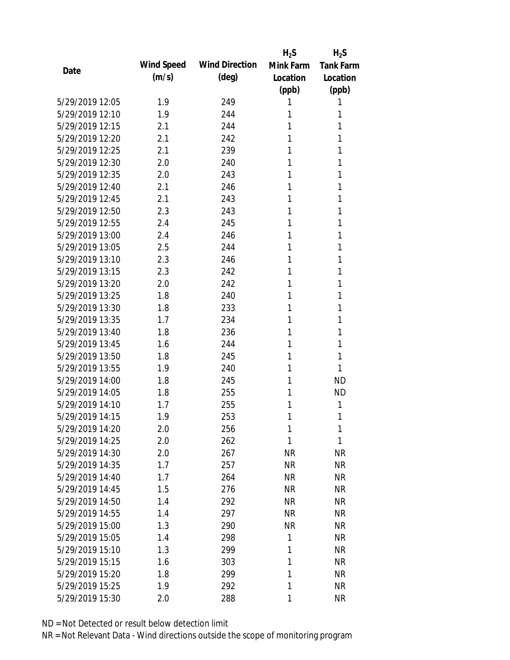|                 |            |                       | $H_2S$    | $H_2S$           |
|-----------------|------------|-----------------------|-----------|------------------|
| Date            | Wind Speed | <b>Wind Direction</b> | Mink Farm | <b>Tank Farm</b> |
|                 | (m/s)      | $(\text{deg})$        | Location  | Location         |
|                 |            |                       | (ppb)     | (ppb)            |
| 5/29/2019 12:05 | 1.9        | 249                   | 1         | 1                |
| 5/29/2019 12:10 | 1.9        | 244                   | 1         | 1                |
| 5/29/2019 12:15 | 2.1        | 244                   | 1         | 1                |
| 5/29/2019 12:20 | 2.1        | 242                   | 1         | 1                |
| 5/29/2019 12:25 | 2.1        | 239                   | 1         | 1                |
| 5/29/2019 12:30 | 2.0        | 240                   | 1         | 1                |
| 5/29/2019 12:35 | 2.0        | 243                   | 1         | 1                |
| 5/29/2019 12:40 | 2.1        | 246                   | 1         | 1                |
| 5/29/2019 12:45 | 2.1        | 243                   | 1         | 1                |
| 5/29/2019 12:50 | 2.3        | 243                   | 1         | 1                |
| 5/29/2019 12:55 | 2.4        | 245                   | 1         | 1                |
| 5/29/2019 13:00 | 2.4        | 246                   | 1         | 1                |
| 5/29/2019 13:05 | 2.5        | 244                   | 1         | 1                |
| 5/29/2019 13:10 | 2.3        | 246                   | 1         | 1                |
| 5/29/2019 13:15 | 2.3        | 242                   | 1         | 1                |
| 5/29/2019 13:20 | 2.0        | 242                   | 1         | 1                |
| 5/29/2019 13:25 | 1.8        | 240                   | 1         | 1                |
| 5/29/2019 13:30 | 1.8        | 233                   | 1         | 1                |
| 5/29/2019 13:35 | 1.7        | 234                   | 1         | 1                |
| 5/29/2019 13:40 | 1.8        | 236                   | 1         | 1                |
| 5/29/2019 13:45 | 1.6        | 244                   | 1         | 1                |
| 5/29/2019 13:50 | 1.8        | 245                   | 1         | 1                |
| 5/29/2019 13:55 | 1.9        | 240                   | 1         | 1                |
| 5/29/2019 14:00 | 1.8        | 245                   | 1         | <b>ND</b>        |
| 5/29/2019 14:05 | 1.8        | 255                   | 1         | <b>ND</b>        |
| 5/29/2019 14:10 | 1.7        | 255                   | 1         | 1                |
| 5/29/2019 14:15 | 1.9        | 253                   | 1         | 1                |
| 5/29/2019 14:20 | 2.0        | 256                   | 1         | 1                |
| 5/29/2019 14:25 | 2.0        | 262                   | 1         | 1                |
| 5/29/2019 14:30 | 2.0        | 267                   | <b>NR</b> | <b>NR</b>        |
| 5/29/2019 14:35 | 1.7        | 257                   | <b>NR</b> | <b>NR</b>        |
| 5/29/2019 14:40 | 1.7        | 264                   | <b>NR</b> | <b>NR</b>        |
| 5/29/2019 14:45 | 1.5        | 276                   | <b>NR</b> | NR               |
| 5/29/2019 14:50 | 1.4        | 292                   | <b>NR</b> | <b>NR</b>        |
| 5/29/2019 14:55 | 1.4        | 297                   | <b>NR</b> | <b>NR</b>        |
| 5/29/2019 15:00 | 1.3        | 290                   | <b>NR</b> | <b>NR</b>        |
| 5/29/2019 15:05 | 1.4        | 298                   | 1         | <b>NR</b>        |
| 5/29/2019 15:10 | 1.3        | 299                   | 1         | <b>NR</b>        |
| 5/29/2019 15:15 | 1.6        | 303                   | 1         | <b>NR</b>        |
| 5/29/2019 15:20 | 1.8        | 299                   | 1         | <b>NR</b>        |
| 5/29/2019 15:25 | 1.9        | 292                   | 1         | <b>NR</b>        |
| 5/29/2019 15:30 | 2.0        | 288                   | 1         | <b>NR</b>        |
|                 |            |                       |           |                  |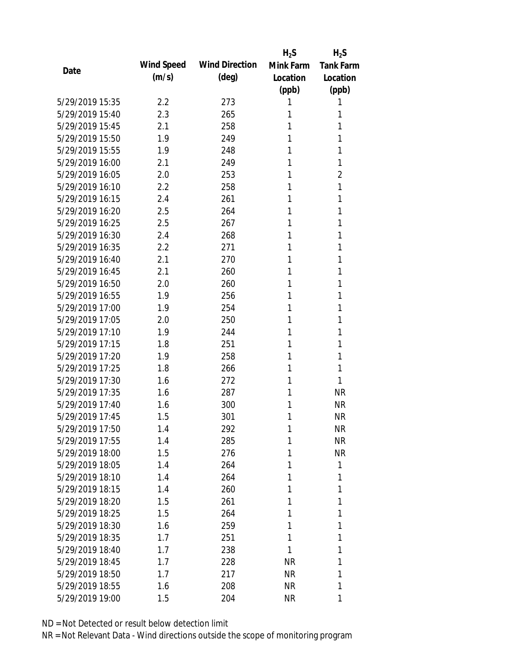|                 |            |                       | $H_2S$    | $H_2S$           |
|-----------------|------------|-----------------------|-----------|------------------|
| Date            | Wind Speed | <b>Wind Direction</b> | Mink Farm | <b>Tank Farm</b> |
|                 | (m/s)      | $(\text{deg})$        | Location  | Location         |
|                 |            |                       | (ppb)     | (ppb)            |
| 5/29/2019 15:35 | 2.2        | 273                   | 1         | 1                |
| 5/29/2019 15:40 | 2.3        | 265                   | 1         | 1                |
| 5/29/2019 15:45 | 2.1        | 258                   | 1         | 1                |
| 5/29/2019 15:50 | 1.9        | 249                   | 1         | 1                |
| 5/29/2019 15:55 | 1.9        | 248                   | 1         | 1                |
| 5/29/2019 16:00 | 2.1        | 249                   | 1         | 1                |
| 5/29/2019 16:05 | 2.0        | 253                   | 1         | $\overline{2}$   |
| 5/29/2019 16:10 | 2.2        | 258                   | 1         | 1                |
| 5/29/2019 16:15 | 2.4        | 261                   | 1         | 1                |
| 5/29/2019 16:20 | 2.5        | 264                   | 1         | 1                |
| 5/29/2019 16:25 | 2.5        | 267                   | 1         | 1                |
| 5/29/2019 16:30 | 2.4        | 268                   | 1         | 1                |
| 5/29/2019 16:35 | 2.2        | 271                   | 1         | 1                |
| 5/29/2019 16:40 | 2.1        | 270                   | 1         | 1                |
| 5/29/2019 16:45 | 2.1        | 260                   | 1         | 1                |
| 5/29/2019 16:50 | 2.0        | 260                   | 1         | 1                |
| 5/29/2019 16:55 | 1.9        | 256                   | 1         | 1                |
| 5/29/2019 17:00 | 1.9        | 254                   | 1         | 1                |
| 5/29/2019 17:05 | 2.0        | 250                   | 1         | 1                |
| 5/29/2019 17:10 | 1.9        | 244                   | 1         | 1                |
| 5/29/2019 17:15 | 1.8        | 251                   | 1         | 1                |
| 5/29/2019 17:20 | 1.9        | 258                   | 1         | 1                |
| 5/29/2019 17:25 | 1.8        | 266                   | 1         | 1                |
| 5/29/2019 17:30 | 1.6        | 272                   | 1         | 1                |
| 5/29/2019 17:35 | 1.6        | 287                   | 1         | <b>NR</b>        |
| 5/29/2019 17:40 | 1.6        | 300                   | 1         | <b>NR</b>        |
| 5/29/2019 17:45 | 1.5        | 301                   | 1         | <b>NR</b>        |
| 5/29/2019 17:50 | 1.4        | 292                   | 1         | <b>NR</b>        |
| 5/29/2019 17:55 | 1.4        | 285                   | 1         | <b>NR</b>        |
| 5/29/2019 18:00 | 1.5        | 276                   | 1         | <b>NR</b>        |
| 5/29/2019 18:05 | 1.4        | 264                   | 1         | 1                |
| 5/29/2019 18:10 | 1.4        | 264                   | 1         | 1                |
| 5/29/2019 18:15 | 1.4        | 260                   | 1         | 1                |
| 5/29/2019 18:20 | 1.5        | 261                   | 1         | 1                |
| 5/29/2019 18:25 | 1.5        | 264                   | 1         | 1                |
| 5/29/2019 18:30 | 1.6        | 259                   | 1         | 1                |
| 5/29/2019 18:35 | 1.7        | 251                   | 1         | 1                |
| 5/29/2019 18:40 | 1.7        | 238                   | 1         | 1                |
| 5/29/2019 18:45 | 1.7        | 228                   | <b>NR</b> | 1                |
| 5/29/2019 18:50 | 1.7        | 217                   | <b>NR</b> | 1                |
| 5/29/2019 18:55 | 1.6        | 208                   | <b>NR</b> | 1                |
| 5/29/2019 19:00 | 1.5        | 204                   | <b>NR</b> | 1                |
|                 |            |                       |           |                  |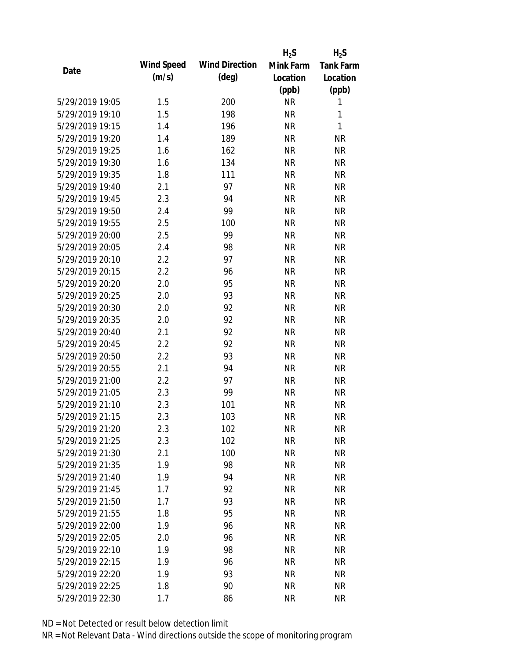|                 |            |                       | $H_2S$    | $H_2S$           |
|-----------------|------------|-----------------------|-----------|------------------|
| Date            | Wind Speed | <b>Wind Direction</b> | Mink Farm | <b>Tank Farm</b> |
|                 | (m/s)      | $(\text{deg})$        | Location  | Location         |
|                 |            |                       | (ppb)     | (ppb)            |
| 5/29/2019 19:05 | 1.5        | 200                   | <b>NR</b> | 1                |
| 5/29/2019 19:10 | 1.5        | 198                   | <b>NR</b> | 1                |
| 5/29/2019 19:15 | 1.4        | 196                   | <b>NR</b> | 1                |
| 5/29/2019 19:20 | 1.4        | 189                   | <b>NR</b> | <b>NR</b>        |
| 5/29/2019 19:25 | 1.6        | 162                   | <b>NR</b> | <b>NR</b>        |
| 5/29/2019 19:30 | 1.6        | 134                   | <b>NR</b> | <b>NR</b>        |
| 5/29/2019 19:35 | 1.8        | 111                   | <b>NR</b> | <b>NR</b>        |
| 5/29/2019 19:40 | 2.1        | 97                    | <b>NR</b> | <b>NR</b>        |
| 5/29/2019 19:45 | 2.3        | 94                    | <b>NR</b> | <b>NR</b>        |
| 5/29/2019 19:50 | 2.4        | 99                    | <b>NR</b> | <b>NR</b>        |
| 5/29/2019 19:55 | 2.5        | 100                   | <b>NR</b> | <b>NR</b>        |
| 5/29/2019 20:00 | 2.5        | 99                    | <b>NR</b> | <b>NR</b>        |
| 5/29/2019 20:05 | 2.4        | 98                    | <b>NR</b> | <b>NR</b>        |
| 5/29/2019 20:10 | 2.2        | 97                    | <b>NR</b> | <b>NR</b>        |
| 5/29/2019 20:15 | 2.2        | 96                    | <b>NR</b> | <b>NR</b>        |
| 5/29/2019 20:20 | 2.0        | 95                    | <b>NR</b> | <b>NR</b>        |
| 5/29/2019 20:25 | 2.0        | 93                    | <b>NR</b> | <b>NR</b>        |
| 5/29/2019 20:30 | 2.0        | 92                    | <b>NR</b> | <b>NR</b>        |
| 5/29/2019 20:35 | 2.0        | 92                    | <b>NR</b> | <b>NR</b>        |
| 5/29/2019 20:40 | 2.1        | 92                    | <b>NR</b> | <b>NR</b>        |
| 5/29/2019 20:45 | 2.2        | 92                    | <b>NR</b> | <b>NR</b>        |
| 5/29/2019 20:50 | 2.2        | 93                    | <b>NR</b> | <b>NR</b>        |
| 5/29/2019 20:55 | 2.1        | 94                    | <b>NR</b> | <b>NR</b>        |
| 5/29/2019 21:00 | 2.2        | 97                    | <b>NR</b> | <b>NR</b>        |
| 5/29/2019 21:05 | 2.3        | 99                    | <b>NR</b> | <b>NR</b>        |
| 5/29/2019 21:10 | 2.3        | 101                   | <b>NR</b> | <b>NR</b>        |
| 5/29/2019 21:15 | 2.3        | 103                   | <b>NR</b> | <b>NR</b>        |
| 5/29/2019 21:20 | 2.3        | 102                   | <b>NR</b> | <b>NR</b>        |
| 5/29/2019 21:25 | 2.3        | 102                   | <b>NR</b> | <b>NR</b>        |
| 5/29/2019 21:30 | 2.1        | 100                   | <b>NR</b> | <b>NR</b>        |
| 5/29/2019 21:35 | 1.9        | 98                    | <b>NR</b> | <b>NR</b>        |
| 5/29/2019 21:40 | 1.9        | 94                    | <b>NR</b> | <b>NR</b>        |
| 5/29/2019 21:45 | 1.7        | 92                    | <b>NR</b> | <b>NR</b>        |
| 5/29/2019 21:50 | 1.7        | 93                    | <b>NR</b> | <b>NR</b>        |
| 5/29/2019 21:55 | 1.8        | 95                    | <b>NR</b> | <b>NR</b>        |
| 5/29/2019 22:00 | 1.9        | 96                    | <b>NR</b> | <b>NR</b>        |
| 5/29/2019 22:05 | 2.0        | 96                    | <b>NR</b> | <b>NR</b>        |
| 5/29/2019 22:10 | 1.9        | 98                    | <b>NR</b> | <b>NR</b>        |
| 5/29/2019 22:15 | 1.9        | 96                    | <b>NR</b> | <b>NR</b>        |
| 5/29/2019 22:20 | 1.9        | 93                    | <b>NR</b> | <b>NR</b>        |
| 5/29/2019 22:25 | 1.8        | 90                    | <b>NR</b> | <b>NR</b>        |
| 5/29/2019 22:30 | 1.7        | 86                    | <b>NR</b> | <b>NR</b>        |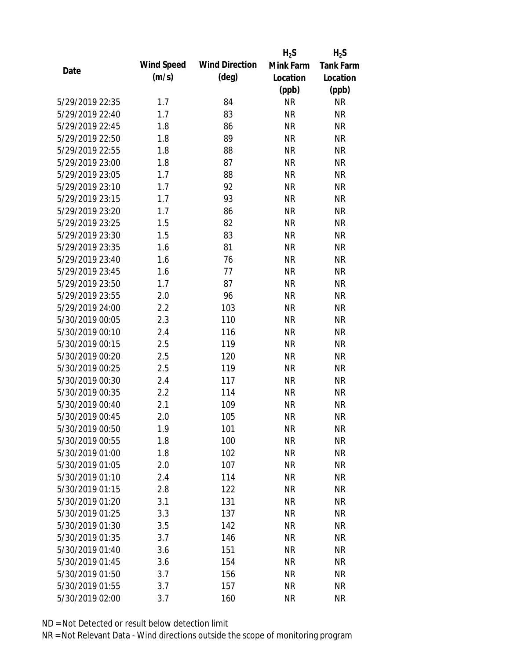|                 |            |                       | $H_2S$    | $H_2S$           |
|-----------------|------------|-----------------------|-----------|------------------|
|                 | Wind Speed | <b>Wind Direction</b> | Mink Farm | <b>Tank Farm</b> |
| Date            | (m/s)      | $(\text{deg})$        | Location  | Location         |
|                 |            |                       | (ppb)     | (ppb)            |
| 5/29/2019 22:35 | 1.7        | 84                    | <b>NR</b> | <b>NR</b>        |
| 5/29/2019 22:40 | 1.7        | 83                    | <b>NR</b> | <b>NR</b>        |
| 5/29/2019 22:45 | 1.8        | 86                    | <b>NR</b> | <b>NR</b>        |
| 5/29/2019 22:50 | 1.8        | 89                    | <b>NR</b> | <b>NR</b>        |
| 5/29/2019 22:55 | 1.8        | 88                    | <b>NR</b> | <b>NR</b>        |
| 5/29/2019 23:00 | 1.8        | 87                    | <b>NR</b> | <b>NR</b>        |
| 5/29/2019 23:05 | 1.7        | 88                    | <b>NR</b> | <b>NR</b>        |
| 5/29/2019 23:10 | 1.7        | 92                    | <b>NR</b> | <b>NR</b>        |
| 5/29/2019 23:15 | 1.7        | 93                    | <b>NR</b> | <b>NR</b>        |
| 5/29/2019 23:20 | 1.7        | 86                    | <b>NR</b> | <b>NR</b>        |
| 5/29/2019 23:25 | 1.5        | 82                    | <b>NR</b> | <b>NR</b>        |
| 5/29/2019 23:30 | 1.5        | 83                    | <b>NR</b> | <b>NR</b>        |
| 5/29/2019 23:35 | 1.6        | 81                    | <b>NR</b> | <b>NR</b>        |
| 5/29/2019 23:40 | 1.6        | 76                    | <b>NR</b> | <b>NR</b>        |
| 5/29/2019 23:45 | 1.6        | 77                    | <b>NR</b> | <b>NR</b>        |
| 5/29/2019 23:50 | 1.7        | 87                    | <b>NR</b> | <b>NR</b>        |
| 5/29/2019 23:55 | 2.0        | 96                    | <b>NR</b> | <b>NR</b>        |
| 5/29/2019 24:00 | 2.2        | 103                   | <b>NR</b> | <b>NR</b>        |
| 5/30/2019 00:05 | 2.3        | 110                   | <b>NR</b> | <b>NR</b>        |
| 5/30/2019 00:10 | 2.4        | 116                   | <b>NR</b> | <b>NR</b>        |
| 5/30/2019 00:15 | 2.5        | 119                   | <b>NR</b> | <b>NR</b>        |
| 5/30/2019 00:20 | 2.5        | 120                   | <b>NR</b> | <b>NR</b>        |
| 5/30/2019 00:25 | 2.5        | 119                   | <b>NR</b> | <b>NR</b>        |
| 5/30/2019 00:30 | 2.4        | 117                   | <b>NR</b> | <b>NR</b>        |
| 5/30/2019 00:35 | 2.2        | 114                   | <b>NR</b> | <b>NR</b>        |
| 5/30/2019 00:40 | 2.1        | 109                   | <b>NR</b> | <b>NR</b>        |
| 5/30/2019 00:45 | 2.0        | 105                   | <b>NR</b> | <b>NR</b>        |
| 5/30/2019 00:50 | 1.9        | 101                   | <b>NR</b> | <b>NR</b>        |
| 5/30/2019 00:55 | 1.8        | 100                   | <b>NR</b> | <b>NR</b>        |
| 5/30/2019 01:00 | 1.8        | 102                   | <b>NR</b> | <b>NR</b>        |
| 5/30/2019 01:05 | 2.0        | 107                   | <b>NR</b> | <b>NR</b>        |
| 5/30/2019 01:10 | 2.4        | 114                   | <b>NR</b> | <b>NR</b>        |
| 5/30/2019 01:15 | 2.8        | 122                   | <b>NR</b> | <b>NR</b>        |
| 5/30/2019 01:20 | 3.1        | 131                   | <b>NR</b> | <b>NR</b>        |
| 5/30/2019 01:25 | 3.3        | 137                   | <b>NR</b> | <b>NR</b>        |
| 5/30/2019 01:30 | 3.5        | 142                   | <b>NR</b> | <b>NR</b>        |
| 5/30/2019 01:35 | 3.7        | 146                   | <b>NR</b> | <b>NR</b>        |
| 5/30/2019 01:40 | 3.6        | 151                   | <b>NR</b> | <b>NR</b>        |
| 5/30/2019 01:45 | 3.6        | 154                   | <b>NR</b> | <b>NR</b>        |
| 5/30/2019 01:50 | 3.7        | 156                   | <b>NR</b> | <b>NR</b>        |
| 5/30/2019 01:55 | 3.7        | 157                   | <b>NR</b> | <b>NR</b>        |
| 5/30/2019 02:00 | 3.7        | 160                   | <b>NR</b> | <b>NR</b>        |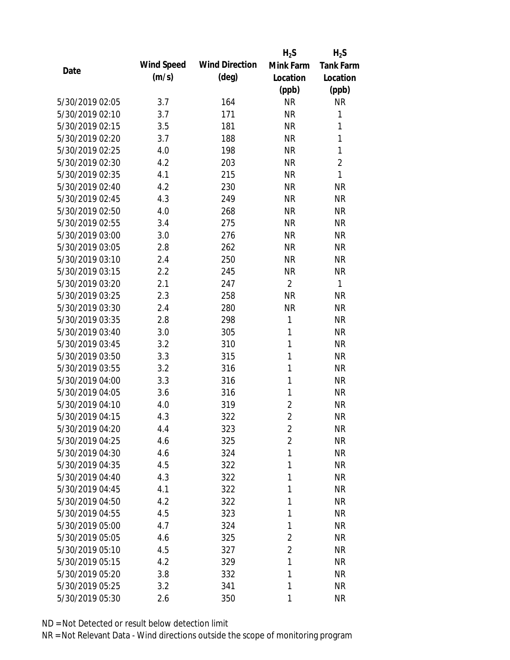|                 |            |                       | $H_2S$         | $H_2S$           |
|-----------------|------------|-----------------------|----------------|------------------|
| Date            | Wind Speed | <b>Wind Direction</b> | Mink Farm      | <b>Tank Farm</b> |
|                 | (m/s)      | $(\text{deg})$        | Location       | Location         |
|                 |            |                       | (ppb)          | (ppb)            |
| 5/30/2019 02:05 | 3.7        | 164                   | <b>NR</b>      | <b>NR</b>        |
| 5/30/2019 02:10 | 3.7        | 171                   | <b>NR</b>      | 1                |
| 5/30/2019 02:15 | 3.5        | 181                   | <b>NR</b>      | 1                |
| 5/30/2019 02:20 | 3.7        | 188                   | <b>NR</b>      | 1                |
| 5/30/2019 02:25 | 4.0        | 198                   | <b>NR</b>      | 1                |
| 5/30/2019 02:30 | 4.2        | 203                   | <b>NR</b>      | $\overline{2}$   |
| 5/30/2019 02:35 | 4.1        | 215                   | <b>NR</b>      | 1                |
| 5/30/2019 02:40 | 4.2        | 230                   | <b>NR</b>      | <b>NR</b>        |
| 5/30/2019 02:45 | 4.3        | 249                   | <b>NR</b>      | <b>NR</b>        |
| 5/30/2019 02:50 | 4.0        | 268                   | <b>NR</b>      | <b>NR</b>        |
| 5/30/2019 02:55 | 3.4        | 275                   | <b>NR</b>      | <b>NR</b>        |
| 5/30/2019 03:00 | 3.0        | 276                   | <b>NR</b>      | <b>NR</b>        |
| 5/30/2019 03:05 | 2.8        | 262                   | <b>NR</b>      | <b>NR</b>        |
| 5/30/2019 03:10 | 2.4        | 250                   | <b>NR</b>      | <b>NR</b>        |
| 5/30/2019 03:15 | 2.2        | 245                   | <b>NR</b>      | <b>NR</b>        |
| 5/30/2019 03:20 | 2.1        | 247                   | $\overline{2}$ | 1                |
| 5/30/2019 03:25 | 2.3        | 258                   | <b>NR</b>      | <b>NR</b>        |
| 5/30/2019 03:30 | 2.4        | 280                   | <b>NR</b>      | <b>NR</b>        |
| 5/30/2019 03:35 | 2.8        | 298                   | 1              | <b>NR</b>        |
| 5/30/2019 03:40 | 3.0        | 305                   | 1              | <b>NR</b>        |
| 5/30/2019 03:45 | 3.2        | 310                   | 1              | <b>NR</b>        |
| 5/30/2019 03:50 | 3.3        | 315                   | 1              | <b>NR</b>        |
| 5/30/2019 03:55 | 3.2        | 316                   | 1              | <b>NR</b>        |
| 5/30/2019 04:00 | 3.3        | 316                   | 1              | <b>NR</b>        |
| 5/30/2019 04:05 | 3.6        | 316                   | 1              | <b>NR</b>        |
| 5/30/2019 04:10 | 4.0        | 319                   | $\overline{2}$ | <b>NR</b>        |
| 5/30/2019 04:15 | 4.3        | 322                   | $\overline{2}$ | <b>NR</b>        |
| 5/30/2019 04:20 | 4.4        | 323                   | $\overline{2}$ | <b>NR</b>        |
| 5/30/2019 04:25 | 4.6        | 325                   | $\overline{2}$ | <b>NR</b>        |
| 5/30/2019 04:30 | 4.6        | 324                   | 1              | <b>NR</b>        |
| 5/30/2019 04:35 | 4.5        | 322                   | 1              | <b>NR</b>        |
| 5/30/2019 04:40 | 4.3        | 322                   | 1              | <b>NR</b>        |
| 5/30/2019 04:45 | 4.1        | 322                   | 1              | <b>NR</b>        |
| 5/30/2019 04:50 | 4.2        | 322                   | 1              | <b>NR</b>        |
| 5/30/2019 04:55 | 4.5        | 323                   | 1              | <b>NR</b>        |
| 5/30/2019 05:00 | 4.7        | 324                   | 1              | <b>NR</b>        |
| 5/30/2019 05:05 | 4.6        | 325                   | $\overline{2}$ | <b>NR</b>        |
| 5/30/2019 05:10 | 4.5        | 327                   | $\overline{2}$ | <b>NR</b>        |
| 5/30/2019 05:15 | 4.2        | 329                   | 1              | <b>NR</b>        |
| 5/30/2019 05:20 | 3.8        | 332                   | 1              | <b>NR</b>        |
| 5/30/2019 05:25 | 3.2        | 341                   | 1              | <b>NR</b>        |
| 5/30/2019 05:30 | 2.6        | 350                   | 1              | <b>NR</b>        |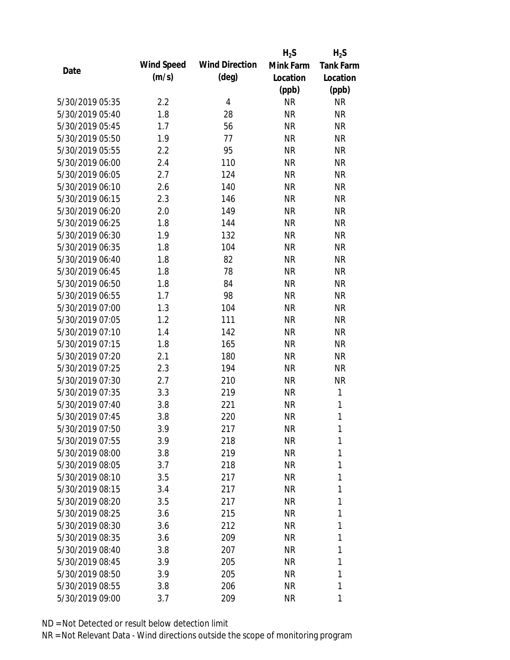|                 |            |                       | $H_2S$    | $H_2S$           |
|-----------------|------------|-----------------------|-----------|------------------|
| Date            | Wind Speed | <b>Wind Direction</b> | Mink Farm | <b>Tank Farm</b> |
|                 | (m/s)      | $(\text{deg})$        | Location  | Location         |
|                 |            |                       | (ppb)     | (ppb)            |
| 5/30/2019 05:35 | 2.2        | 4                     | <b>NR</b> | <b>NR</b>        |
| 5/30/2019 05:40 | 1.8        | 28                    | <b>NR</b> | <b>NR</b>        |
| 5/30/2019 05:45 | 1.7        | 56                    | <b>NR</b> | <b>NR</b>        |
| 5/30/2019 05:50 | 1.9        | 77                    | <b>NR</b> | <b>NR</b>        |
| 5/30/2019 05:55 | 2.2        | 95                    | <b>NR</b> | <b>NR</b>        |
| 5/30/2019 06:00 | 2.4        | 110                   | <b>NR</b> | <b>NR</b>        |
| 5/30/2019 06:05 | 2.7        | 124                   | <b>NR</b> | <b>NR</b>        |
| 5/30/2019 06:10 | 2.6        | 140                   | <b>NR</b> | <b>NR</b>        |
| 5/30/2019 06:15 | 2.3        | 146                   | <b>NR</b> | <b>NR</b>        |
| 5/30/2019 06:20 | 2.0        | 149                   | <b>NR</b> | <b>NR</b>        |
| 5/30/2019 06:25 | 1.8        | 144                   | <b>NR</b> | <b>NR</b>        |
| 5/30/2019 06:30 | 1.9        | 132                   | <b>NR</b> | <b>NR</b>        |
| 5/30/2019 06:35 | 1.8        | 104                   | <b>NR</b> | <b>NR</b>        |
| 5/30/2019 06:40 | 1.8        | 82                    | <b>NR</b> | <b>NR</b>        |
| 5/30/2019 06:45 | 1.8        | 78                    | <b>NR</b> | <b>NR</b>        |
| 5/30/2019 06:50 | 1.8        | 84                    | <b>NR</b> | <b>NR</b>        |
| 5/30/2019 06:55 | 1.7        | 98                    | <b>NR</b> | <b>NR</b>        |
| 5/30/2019 07:00 | 1.3        | 104                   | <b>NR</b> | <b>NR</b>        |
| 5/30/2019 07:05 | 1.2        | 111                   | <b>NR</b> | <b>NR</b>        |
| 5/30/2019 07:10 | 1.4        | 142                   | <b>NR</b> | <b>NR</b>        |
| 5/30/2019 07:15 | 1.8        | 165                   | <b>NR</b> | <b>NR</b>        |
| 5/30/2019 07:20 | 2.1        | 180                   | <b>NR</b> | <b>NR</b>        |
| 5/30/2019 07:25 | 2.3        | 194                   | <b>NR</b> | <b>NR</b>        |
| 5/30/2019 07:30 | 2.7        | 210                   | <b>NR</b> | <b>NR</b>        |
| 5/30/2019 07:35 | 3.3        | 219                   | <b>NR</b> | 1                |
| 5/30/2019 07:40 | 3.8        | 221                   | <b>NR</b> | 1                |
| 5/30/2019 07:45 | 3.8        | 220                   | <b>NR</b> | $\mathbf{1}$     |
| 5/30/2019 07:50 | 3.9        | 217                   | <b>NR</b> | 1                |
| 5/30/2019 07:55 | 3.9        | 218                   | NR        | 1                |
| 5/30/2019 08:00 | 3.8        | 219                   | NR        | 1                |
| 5/30/2019 08:05 | 3.7        | 218                   | <b>NR</b> | 1                |
| 5/30/2019 08:10 | 3.5        | 217                   | NR        | 1                |
| 5/30/2019 08:15 | 3.4        | 217                   | NR        | 1                |
| 5/30/2019 08:20 | 3.5        | 217                   | <b>NR</b> | 1                |
| 5/30/2019 08:25 | 3.6        | 215                   | NR        | 1                |
| 5/30/2019 08:30 | 3.6        | 212                   | <b>NR</b> | 1                |
| 5/30/2019 08:35 | 3.6        | 209                   | NR        | 1                |
| 5/30/2019 08:40 | 3.8        | 207                   | NR        | 1                |
| 5/30/2019 08:45 | 3.9        | 205                   | NR        | 1                |
| 5/30/2019 08:50 | 3.9        | 205                   | <b>NR</b> | 1                |
| 5/30/2019 08:55 | 3.8        | 206                   | <b>NR</b> | 1                |
| 5/30/2019 09:00 | 3.7        | 209                   | <b>NR</b> | 1                |
|                 |            |                       |           |                  |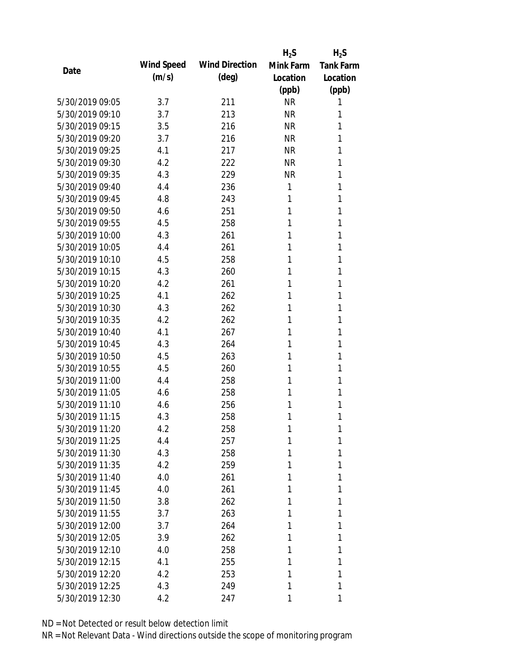|                 |            |                       | $H_2S$    | $H_2S$           |
|-----------------|------------|-----------------------|-----------|------------------|
| Date            | Wind Speed | <b>Wind Direction</b> | Mink Farm | <b>Tank Farm</b> |
|                 | (m/s)      | (deg)                 | Location  | Location         |
|                 |            |                       | (ppb)     | (ppb)            |
| 5/30/2019 09:05 | 3.7        | 211                   | <b>NR</b> | 1                |
| 5/30/2019 09:10 | 3.7        | 213                   | <b>NR</b> | 1                |
| 5/30/2019 09:15 | 3.5        | 216                   | <b>NR</b> | 1                |
| 5/30/2019 09:20 | 3.7        | 216                   | <b>NR</b> | 1                |
| 5/30/2019 09:25 | 4.1        | 217                   | <b>NR</b> | 1                |
| 5/30/2019 09:30 | 4.2        | 222                   | <b>NR</b> | 1                |
| 5/30/2019 09:35 | 4.3        | 229                   | <b>NR</b> | 1                |
| 5/30/2019 09:40 | 4.4        | 236                   | 1         | 1                |
| 5/30/2019 09:45 | 4.8        | 243                   | 1         | 1                |
| 5/30/2019 09:50 | 4.6        | 251                   | 1         | 1                |
| 5/30/2019 09:55 | 4.5        | 258                   | 1         | 1                |
| 5/30/2019 10:00 | 4.3        | 261                   | 1         | 1                |
| 5/30/2019 10:05 | 4.4        | 261                   | 1         | 1                |
| 5/30/2019 10:10 | 4.5        | 258                   | 1         | 1                |
| 5/30/2019 10:15 | 4.3        | 260                   | 1         | 1                |
| 5/30/2019 10:20 | 4.2        | 261                   | 1         | 1                |
| 5/30/2019 10:25 | 4.1        | 262                   | 1         | 1                |
| 5/30/2019 10:30 | 4.3        | 262                   | 1         | 1                |
| 5/30/2019 10:35 | 4.2        | 262                   | 1         | 1                |
| 5/30/2019 10:40 | 4.1        | 267                   | 1         | 1                |
| 5/30/2019 10:45 | 4.3        | 264                   | 1         | 1                |
| 5/30/2019 10:50 | 4.5        | 263                   | 1         | 1                |
| 5/30/2019 10:55 | 4.5        | 260                   | 1         | 1                |
| 5/30/2019 11:00 | 4.4        | 258                   | 1         | 1                |
| 5/30/2019 11:05 | 4.6        | 258                   | 1         | 1                |
| 5/30/2019 11:10 | 4.6        | 256                   | 1         | 1                |
| 5/30/2019 11:15 | 4.3        | 258                   | 1         | 1                |
| 5/30/2019 11:20 | 4.2        | 258                   | 1         | 1                |
| 5/30/2019 11:25 | 4.4        | 257                   | 1         | 1                |
| 5/30/2019 11:30 | 4.3        | 258                   | 1         | 1                |
| 5/30/2019 11:35 | 4.2        | 259                   | 1         | 1                |
| 5/30/2019 11:40 | 4.0        | 261                   | 1         | 1                |
| 5/30/2019 11:45 | 4.0        | 261                   | 1         | 1                |
| 5/30/2019 11:50 | 3.8        | 262                   | 1         | 1                |
| 5/30/2019 11:55 | 3.7        | 263                   | 1         | 1                |
| 5/30/2019 12:00 | 3.7        | 264                   | 1         | 1                |
| 5/30/2019 12:05 | 3.9        | 262                   | 1         | 1                |
| 5/30/2019 12:10 | 4.0        | 258                   | 1         | 1                |
| 5/30/2019 12:15 | 4.1        | 255                   | 1         | 1                |
| 5/30/2019 12:20 | 4.2        | 253                   | 1         | 1                |
| 5/30/2019 12:25 | 4.3        | 249                   | 1         | 1                |
| 5/30/2019 12:30 | 4.2        | 247                   | 1         | 1                |
|                 |            |                       |           |                  |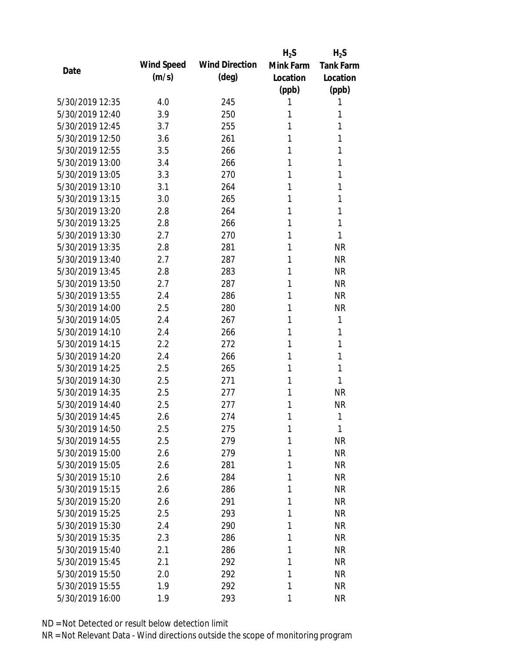|                 |            |                       | $H_2S$    | $H_2S$           |
|-----------------|------------|-----------------------|-----------|------------------|
| Date            | Wind Speed | <b>Wind Direction</b> | Mink Farm | <b>Tank Farm</b> |
|                 | (m/s)      | $(\text{deg})$        | Location  | Location         |
|                 |            |                       | (ppb)     | (ppb)            |
| 5/30/2019 12:35 | 4.0        | 245                   | 1         | 1                |
| 5/30/2019 12:40 | 3.9        | 250                   | 1         | 1                |
| 5/30/2019 12:45 | 3.7        | 255                   | 1         | 1                |
| 5/30/2019 12:50 | 3.6        | 261                   | 1         | 1                |
| 5/30/2019 12:55 | 3.5        | 266                   | 1         | 1                |
| 5/30/2019 13:00 | 3.4        | 266                   | 1         | 1                |
| 5/30/2019 13:05 | 3.3        | 270                   | 1         | 1                |
| 5/30/2019 13:10 | 3.1        | 264                   | 1         | 1                |
| 5/30/2019 13:15 | 3.0        | 265                   | 1         | 1                |
| 5/30/2019 13:20 | 2.8        | 264                   | 1         | 1                |
| 5/30/2019 13:25 | 2.8        | 266                   | 1         | 1                |
| 5/30/2019 13:30 | 2.7        | 270                   | 1         | 1                |
| 5/30/2019 13:35 | 2.8        | 281                   | 1         | <b>NR</b>        |
| 5/30/2019 13:40 | 2.7        | 287                   | 1         | <b>NR</b>        |
| 5/30/2019 13:45 | 2.8        | 283                   | 1         | <b>NR</b>        |
| 5/30/2019 13:50 | 2.7        | 287                   | 1         | <b>NR</b>        |
| 5/30/2019 13:55 | 2.4        | 286                   | 1         | <b>NR</b>        |
| 5/30/2019 14:00 | 2.5        | 280                   | 1         | <b>NR</b>        |
| 5/30/2019 14:05 | 2.4        | 267                   | 1         | 1                |
| 5/30/2019 14:10 | 2.4        | 266                   | 1         | 1                |
| 5/30/2019 14:15 | 2.2        | 272                   | 1         | 1                |
| 5/30/2019 14:20 | 2.4        | 266                   | 1         | 1                |
| 5/30/2019 14:25 | 2.5        | 265                   | 1         | 1                |
| 5/30/2019 14:30 | 2.5        | 271                   | 1         | 1                |
| 5/30/2019 14:35 | 2.5        | 277                   | 1         | <b>NR</b>        |
| 5/30/2019 14:40 | 2.5        | 277                   | 1         | <b>NR</b>        |
| 5/30/2019 14:45 | 2.6        | 274                   | 1         | 1                |
| 5/30/2019 14:50 | 2.5        | 275                   | 1         | 1                |
| 5/30/2019 14:55 | 2.5        | 279                   | 1         | <b>NR</b>        |
| 5/30/2019 15:00 | 2.6        | 279                   | 1         | <b>NR</b>        |
| 5/30/2019 15:05 | 2.6        | 281                   | 1         | <b>NR</b>        |
| 5/30/2019 15:10 | 2.6        | 284                   | 1         | <b>NR</b>        |
| 5/30/2019 15:15 | 2.6        | 286                   | 1         | <b>NR</b>        |
| 5/30/2019 15:20 | 2.6        | 291                   | 1         | <b>NR</b>        |
| 5/30/2019 15:25 | 2.5        | 293                   | 1         | <b>NR</b>        |
| 5/30/2019 15:30 | 2.4        | 290                   | 1         | <b>NR</b>        |
| 5/30/2019 15:35 | 2.3        | 286                   | 1         | <b>NR</b>        |
| 5/30/2019 15:40 | 2.1        | 286                   | 1         | <b>NR</b>        |
| 5/30/2019 15:45 | 2.1        | 292                   | 1         | <b>NR</b>        |
| 5/30/2019 15:50 | 2.0        | 292                   | 1         | <b>NR</b>        |
| 5/30/2019 15:55 | 1.9        | 292                   | 1         | <b>NR</b>        |
| 5/30/2019 16:00 | 1.9        | 293                   | 1         | <b>NR</b>        |
|                 |            |                       |           |                  |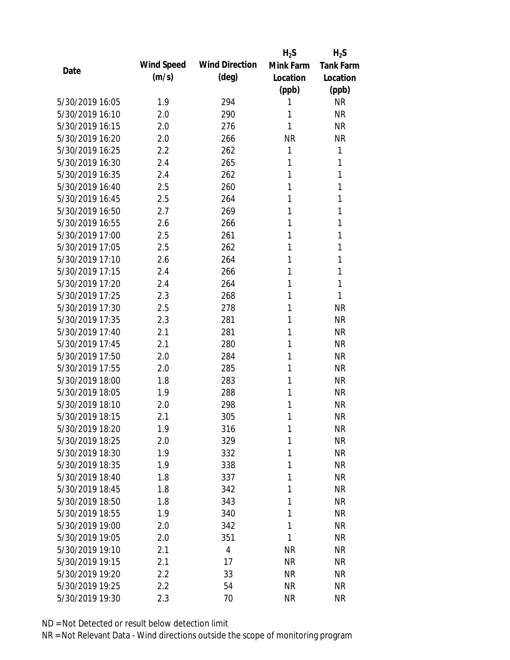|                 |            |                       | $H_2S$    | $H_2S$           |
|-----------------|------------|-----------------------|-----------|------------------|
| Date            | Wind Speed | <b>Wind Direction</b> | Mink Farm | <b>Tank Farm</b> |
|                 | (m/s)      | $(\text{deg})$        | Location  | Location         |
|                 |            |                       | (ppb)     | (ppb)            |
| 5/30/2019 16:05 | 1.9        | 294                   | 1         | <b>NR</b>        |
| 5/30/2019 16:10 | 2.0        | 290                   | 1         | <b>NR</b>        |
| 5/30/2019 16:15 | 2.0        | 276                   | 1         | <b>NR</b>        |
| 5/30/2019 16:20 | 2.0        | 266                   | <b>NR</b> | <b>NR</b>        |
| 5/30/2019 16:25 | 2.2        | 262                   | 1         | 1                |
| 5/30/2019 16:30 | 2.4        | 265                   | 1         | 1                |
| 5/30/2019 16:35 | 2.4        | 262                   | 1         | 1                |
| 5/30/2019 16:40 | 2.5        | 260                   | 1         | 1                |
| 5/30/2019 16:45 | 2.5        | 264                   | 1         | 1                |
| 5/30/2019 16:50 | 2.7        | 269                   | 1         | 1                |
| 5/30/2019 16:55 | 2.6        | 266                   | 1         | 1                |
| 5/30/2019 17:00 | 2.5        | 261                   | 1         | 1                |
| 5/30/2019 17:05 | 2.5        | 262                   | 1         | 1                |
| 5/30/2019 17:10 | 2.6        | 264                   | 1         | 1                |
| 5/30/2019 17:15 | 2.4        | 266                   | 1         | 1                |
| 5/30/2019 17:20 | 2.4        | 264                   | 1         | 1                |
| 5/30/2019 17:25 | 2.3        | 268                   | 1         | 1                |
| 5/30/2019 17:30 | 2.5        | 278                   | 1         | <b>NR</b>        |
| 5/30/2019 17:35 | 2.3        | 281                   | 1         | <b>NR</b>        |
| 5/30/2019 17:40 | 2.1        | 281                   | 1         | <b>NR</b>        |
| 5/30/2019 17:45 | 2.1        | 280                   | 1         | <b>NR</b>        |
| 5/30/2019 17:50 | 2.0        | 284                   | 1         | <b>NR</b>        |
| 5/30/2019 17:55 | 2.0        | 285                   | 1         | <b>NR</b>        |
| 5/30/2019 18:00 | 1.8        | 283                   | 1         | <b>NR</b>        |
| 5/30/2019 18:05 | 1.9        | 288                   | 1         | <b>NR</b>        |
| 5/30/2019 18:10 | 2.0        | 298                   | 1         | <b>NR</b>        |
| 5/30/2019 18:15 | 2.1        | 305                   | 1         | <b>NR</b>        |
| 5/30/2019 18:20 | 1.9        | 316                   | 1         | <b>NR</b>        |
| 5/30/2019 18:25 | 2.0        | 329                   | 1         | <b>NR</b>        |
| 5/30/2019 18:30 | 1.9        | 332                   | 1         | <b>NR</b>        |
| 5/30/2019 18:35 | 1.9        | 338                   | 1         | <b>NR</b>        |
| 5/30/2019 18:40 | 1.8        | 337                   | 1         | <b>NR</b>        |
| 5/30/2019 18:45 | 1.8        | 342                   | 1         | <b>NR</b>        |
| 5/30/2019 18:50 | 1.8        | 343                   | 1         | <b>NR</b>        |
| 5/30/2019 18:55 | 1.9        | 340                   | 1         | <b>NR</b>        |
| 5/30/2019 19:00 | 2.0        | 342                   | 1         | <b>NR</b>        |
| 5/30/2019 19:05 | 2.0        | 351                   | 1         | <b>NR</b>        |
| 5/30/2019 19:10 | 2.1        | $\overline{4}$        | <b>NR</b> | <b>NR</b>        |
| 5/30/2019 19:15 | 2.1        | 17                    | <b>NR</b> | <b>NR</b>        |
| 5/30/2019 19:20 | 2.2        | 33                    | <b>NR</b> | <b>NR</b>        |
| 5/30/2019 19:25 | 2.2        | 54                    | <b>NR</b> | <b>NR</b>        |
| 5/30/2019 19:30 | 2.3        | 70                    | <b>NR</b> | <b>NR</b>        |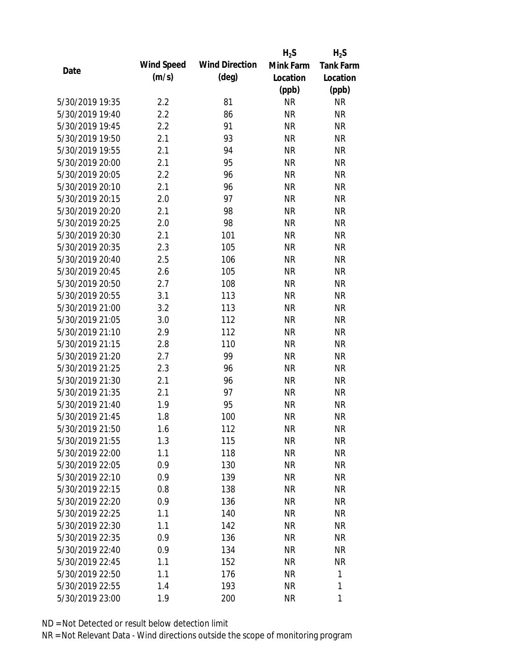|                 |            |                       | $H_2S$    | $H_2S$           |
|-----------------|------------|-----------------------|-----------|------------------|
| Date            | Wind Speed | <b>Wind Direction</b> | Mink Farm | <b>Tank Farm</b> |
|                 | (m/s)      | $(\text{deg})$        | Location  | Location         |
|                 |            |                       | (ppb)     | (ppb)            |
| 5/30/2019 19:35 | 2.2        | 81                    | <b>NR</b> | <b>NR</b>        |
| 5/30/2019 19:40 | 2.2        | 86                    | <b>NR</b> | <b>NR</b>        |
| 5/30/2019 19:45 | 2.2        | 91                    | <b>NR</b> | <b>NR</b>        |
| 5/30/2019 19:50 | 2.1        | 93                    | <b>NR</b> | <b>NR</b>        |
| 5/30/2019 19:55 | 2.1        | 94                    | <b>NR</b> | <b>NR</b>        |
| 5/30/2019 20:00 | 2.1        | 95                    | <b>NR</b> | <b>NR</b>        |
| 5/30/2019 20:05 | 2.2        | 96                    | <b>NR</b> | <b>NR</b>        |
| 5/30/2019 20:10 | 2.1        | 96                    | <b>NR</b> | <b>NR</b>        |
| 5/30/2019 20:15 | 2.0        | 97                    | <b>NR</b> | <b>NR</b>        |
| 5/30/2019 20:20 | 2.1        | 98                    | <b>NR</b> | <b>NR</b>        |
| 5/30/2019 20:25 | 2.0        | 98                    | <b>NR</b> | <b>NR</b>        |
| 5/30/2019 20:30 | 2.1        | 101                   | <b>NR</b> | <b>NR</b>        |
| 5/30/2019 20:35 | 2.3        | 105                   | <b>NR</b> | <b>NR</b>        |
| 5/30/2019 20:40 | 2.5        | 106                   | <b>NR</b> | <b>NR</b>        |
| 5/30/2019 20:45 | 2.6        | 105                   | <b>NR</b> | <b>NR</b>        |
| 5/30/2019 20:50 | 2.7        | 108                   | <b>NR</b> | <b>NR</b>        |
| 5/30/2019 20:55 | 3.1        | 113                   | <b>NR</b> | <b>NR</b>        |
| 5/30/2019 21:00 | 3.2        | 113                   | <b>NR</b> | <b>NR</b>        |
| 5/30/2019 21:05 | 3.0        | 112                   | <b>NR</b> | <b>NR</b>        |
| 5/30/2019 21:10 | 2.9        | 112                   | <b>NR</b> | <b>NR</b>        |
| 5/30/2019 21:15 | 2.8        | 110                   | <b>NR</b> | <b>NR</b>        |
| 5/30/2019 21:20 | 2.7        | 99                    | <b>NR</b> | <b>NR</b>        |
| 5/30/2019 21:25 | 2.3        | 96                    | <b>NR</b> | <b>NR</b>        |
| 5/30/2019 21:30 | 2.1        | 96                    | <b>NR</b> | <b>NR</b>        |
| 5/30/2019 21:35 | 2.1        | 97                    | <b>NR</b> | <b>NR</b>        |
| 5/30/2019 21:40 | 1.9        | 95                    | <b>NR</b> | <b>NR</b>        |
| 5/30/2019 21:45 | 1.8        | 100                   | <b>NR</b> | <b>NR</b>        |
| 5/30/2019 21:50 | 1.6        | 112                   | <b>NR</b> | <b>NR</b>        |
| 5/30/2019 21:55 | 1.3        | 115                   | <b>NR</b> | <b>NR</b>        |
| 5/30/2019 22:00 | 1.1        | 118                   | <b>NR</b> | <b>NR</b>        |
| 5/30/2019 22:05 | 0.9        | 130                   | <b>NR</b> | <b>NR</b>        |
| 5/30/2019 22:10 | 0.9        | 139                   | <b>NR</b> | NR               |
| 5/30/2019 22:15 | 0.8        | 138                   | <b>NR</b> | <b>NR</b>        |
| 5/30/2019 22:20 | 0.9        | 136                   | <b>NR</b> | <b>NR</b>        |
| 5/30/2019 22:25 | 1.1        | 140                   | <b>NR</b> | <b>NR</b>        |
| 5/30/2019 22:30 | 1.1        | 142                   | <b>NR</b> | <b>NR</b>        |
| 5/30/2019 22:35 | 0.9        | 136                   | <b>NR</b> | <b>NR</b>        |
| 5/30/2019 22:40 | 0.9        | 134                   | NR        | <b>NR</b>        |
| 5/30/2019 22:45 | 1.1        | 152                   | <b>NR</b> | <b>NR</b>        |
| 5/30/2019 22:50 | 1.1        | 176                   | <b>NR</b> | 1                |
| 5/30/2019 22:55 | 1.4        | 193                   | <b>NR</b> | 1                |
| 5/30/2019 23:00 | 1.9        | 200                   | <b>NR</b> | 1                |
|                 |            |                       |           |                  |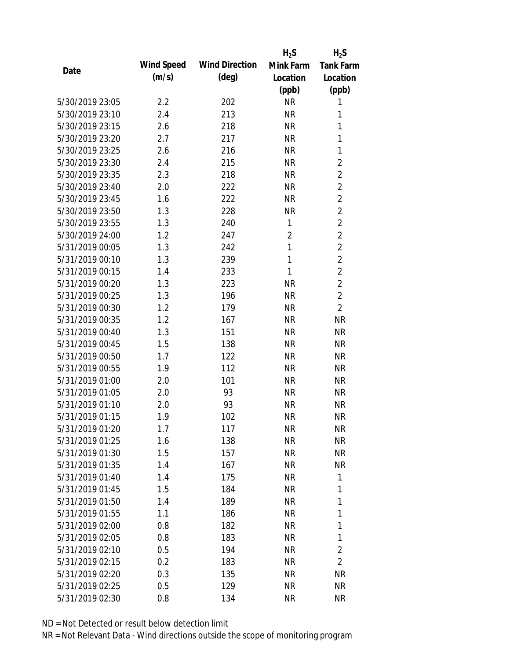|                 |            |                       | $H_2S$         | $H_2S$           |
|-----------------|------------|-----------------------|----------------|------------------|
| Date            | Wind Speed | <b>Wind Direction</b> | Mink Farm      | <b>Tank Farm</b> |
|                 | (m/s)      | $(\text{deg})$        | Location       | Location         |
|                 |            |                       | (ppb)          | (ppb)            |
| 5/30/2019 23:05 | 2.2        | 202                   | <b>NR</b>      | 1                |
| 5/30/2019 23:10 | 2.4        | 213                   | <b>NR</b>      | 1                |
| 5/30/2019 23:15 | 2.6        | 218                   | <b>NR</b>      | 1                |
| 5/30/2019 23:20 | 2.7        | 217                   | <b>NR</b>      | 1                |
| 5/30/2019 23:25 | 2.6        | 216                   | <b>NR</b>      | 1                |
| 5/30/2019 23:30 | 2.4        | 215                   | <b>NR</b>      | $\overline{2}$   |
| 5/30/2019 23:35 | 2.3        | 218                   | <b>NR</b>      | $\overline{2}$   |
| 5/30/2019 23:40 | 2.0        | 222                   | <b>NR</b>      | $\overline{2}$   |
| 5/30/2019 23:45 | 1.6        | 222                   | <b>NR</b>      | $\overline{2}$   |
| 5/30/2019 23:50 | 1.3        | 228                   | <b>NR</b>      | $\overline{2}$   |
| 5/30/2019 23:55 | 1.3        | 240                   | 1              | $\overline{2}$   |
| 5/30/2019 24:00 | 1.2        | 247                   | $\overline{2}$ | $\overline{2}$   |
| 5/31/2019 00:05 | 1.3        | 242                   | $\mathbf{1}$   | $\overline{2}$   |
| 5/31/2019 00:10 | 1.3        | 239                   | $\mathbf{1}$   | $\overline{2}$   |
| 5/31/2019 00:15 | 1.4        | 233                   | 1              | $\overline{2}$   |
| 5/31/2019 00:20 | 1.3        | 223                   | <b>NR</b>      | $\overline{2}$   |
| 5/31/2019 00:25 | 1.3        | 196                   | <b>NR</b>      | $\overline{2}$   |
| 5/31/2019 00:30 | 1.2        | 179                   | <b>NR</b>      | $\overline{2}$   |
| 5/31/2019 00:35 | 1.2        | 167                   | <b>NR</b>      | <b>NR</b>        |
| 5/31/2019 00:40 | 1.3        | 151                   | <b>NR</b>      | <b>NR</b>        |
| 5/31/2019 00:45 | 1.5        | 138                   | <b>NR</b>      | <b>NR</b>        |
| 5/31/2019 00:50 | 1.7        | 122                   | <b>NR</b>      | <b>NR</b>        |
| 5/31/2019 00:55 | 1.9        | 112                   | <b>NR</b>      | <b>NR</b>        |
| 5/31/2019 01:00 | 2.0        | 101                   | <b>NR</b>      | <b>NR</b>        |
| 5/31/2019 01:05 | 2.0        | 93                    | <b>NR</b>      | <b>NR</b>        |
| 5/31/2019 01:10 | 2.0        | 93                    | <b>NR</b>      | <b>NR</b>        |
| 5/31/2019 01:15 | 1.9        | 102                   | <b>NR</b>      | <b>NR</b>        |
| 5/31/2019 01:20 | 1.7        | 117                   | <b>NR</b>      | <b>NR</b>        |
| 5/31/2019 01:25 | 1.6        | 138                   | <b>NR</b>      | <b>NR</b>        |
| 5/31/2019 01:30 | 1.5        | 157                   | NR             | NR               |
| 5/31/2019 01:35 | 1.4        | 167                   | <b>NR</b>      | <b>NR</b>        |
| 5/31/2019 01:40 | 1.4        | 175                   | <b>NR</b>      | 1                |
| 5/31/2019 01:45 | 1.5        | 184                   | <b>NR</b>      | 1                |
| 5/31/2019 01:50 | 1.4        | 189                   | <b>NR</b>      | 1                |
| 5/31/2019 01:55 | 1.1        | 186                   | <b>NR</b>      | 1                |
| 5/31/2019 02:00 | 0.8        | 182                   | <b>NR</b>      | 1                |
| 5/31/2019 02:05 | 0.8        | 183                   | <b>NR</b>      | 1                |
| 5/31/2019 02:10 | 0.5        | 194                   | <b>NR</b>      | $\overline{2}$   |
| 5/31/2019 02:15 | 0.2        | 183                   | <b>NR</b>      | $\overline{2}$   |
| 5/31/2019 02:20 | 0.3        | 135                   | <b>NR</b>      | NR               |
| 5/31/2019 02:25 | 0.5        | 129                   | <b>NR</b>      | <b>NR</b>        |
| 5/31/2019 02:30 | 0.8        | 134                   | <b>NR</b>      | <b>NR</b>        |
|                 |            |                       |                |                  |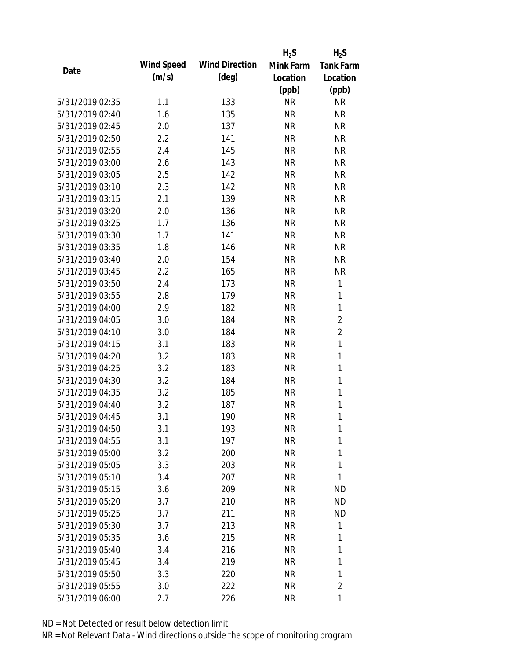|                 |            |                       | $H_2S$    | $H_2S$           |
|-----------------|------------|-----------------------|-----------|------------------|
| Date            | Wind Speed | <b>Wind Direction</b> | Mink Farm | <b>Tank Farm</b> |
|                 | (m/s)      | $(\text{deg})$        | Location  | Location         |
|                 |            |                       | (ppb)     | (ppb)            |
| 5/31/2019 02:35 | 1.1        | 133                   | <b>NR</b> | <b>NR</b>        |
| 5/31/2019 02:40 | 1.6        | 135                   | <b>NR</b> | <b>NR</b>        |
| 5/31/2019 02:45 | 2.0        | 137                   | <b>NR</b> | <b>NR</b>        |
| 5/31/2019 02:50 | 2.2        | 141                   | <b>NR</b> | <b>NR</b>        |
| 5/31/2019 02:55 | 2.4        | 145                   | <b>NR</b> | <b>NR</b>        |
| 5/31/2019 03:00 | 2.6        | 143                   | <b>NR</b> | <b>NR</b>        |
| 5/31/2019 03:05 | 2.5        | 142                   | <b>NR</b> | <b>NR</b>        |
| 5/31/2019 03:10 | 2.3        | 142                   | <b>NR</b> | <b>NR</b>        |
| 5/31/2019 03:15 | 2.1        | 139                   | <b>NR</b> | <b>NR</b>        |
| 5/31/2019 03:20 | 2.0        | 136                   | <b>NR</b> | <b>NR</b>        |
| 5/31/2019 03:25 | 1.7        | 136                   | <b>NR</b> | <b>NR</b>        |
| 5/31/2019 03:30 | 1.7        | 141                   | <b>NR</b> | <b>NR</b>        |
| 5/31/2019 03:35 | 1.8        | 146                   | <b>NR</b> | <b>NR</b>        |
| 5/31/2019 03:40 | 2.0        | 154                   | <b>NR</b> | <b>NR</b>        |
| 5/31/2019 03:45 | 2.2        | 165                   | <b>NR</b> | <b>NR</b>        |
| 5/31/2019 03:50 | 2.4        | 173                   | <b>NR</b> | 1                |
| 5/31/2019 03:55 | 2.8        | 179                   | <b>NR</b> | 1                |
| 5/31/2019 04:00 | 2.9        | 182                   | <b>NR</b> | 1                |
| 5/31/2019 04:05 | 3.0        | 184                   | <b>NR</b> | $\overline{2}$   |
| 5/31/2019 04:10 | 3.0        | 184                   | <b>NR</b> | $\overline{2}$   |
| 5/31/2019 04:15 | 3.1        | 183                   | <b>NR</b> | 1                |
| 5/31/2019 04:20 | 3.2        | 183                   | <b>NR</b> | $\mathbf{1}$     |
| 5/31/2019 04:25 | 3.2        | 183                   | <b>NR</b> | 1                |
| 5/31/2019 04:30 | 3.2        | 184                   | <b>NR</b> | 1                |
| 5/31/2019 04:35 | 3.2        | 185                   | <b>NR</b> | 1                |
| 5/31/2019 04:40 | 3.2        | 187                   | <b>NR</b> | $\mathbf{1}$     |
| 5/31/2019 04:45 | 3.1        | 190                   | <b>NR</b> | 1                |
| 5/31/2019 04:50 | 3.1        | 193                   | <b>NR</b> | 1                |
| 5/31/2019 04:55 | 3.1        | 197                   | <b>NR</b> | 1                |
| 5/31/2019 05:00 | 3.2        | 200                   | <b>NR</b> | 1                |
| 5/31/2019 05:05 | 3.3        | 203                   | <b>NR</b> | 1                |
| 5/31/2019 05:10 | 3.4        | 207                   | <b>NR</b> | 1                |
| 5/31/2019 05:15 | 3.6        | 209                   | <b>NR</b> | <b>ND</b>        |
| 5/31/2019 05:20 | 3.7        | 210                   | <b>NR</b> | <b>ND</b>        |
| 5/31/2019 05:25 | 3.7        | 211                   | <b>NR</b> | <b>ND</b>        |
| 5/31/2019 05:30 | 3.7        | 213                   | <b>NR</b> | 1                |
| 5/31/2019 05:35 | 3.6        | 215                   | <b>NR</b> | 1                |
| 5/31/2019 05:40 | 3.4        | 216                   | NR        | 1                |
| 5/31/2019 05:45 | 3.4        | 219                   | <b>NR</b> | 1                |
| 5/31/2019 05:50 | 3.3        | 220                   | <b>NR</b> | 1                |
| 5/31/2019 05:55 | 3.0        | 222                   | <b>NR</b> | $\overline{2}$   |
| 5/31/2019 06:00 | 2.7        | 226                   | <b>NR</b> | 1                |
|                 |            |                       |           |                  |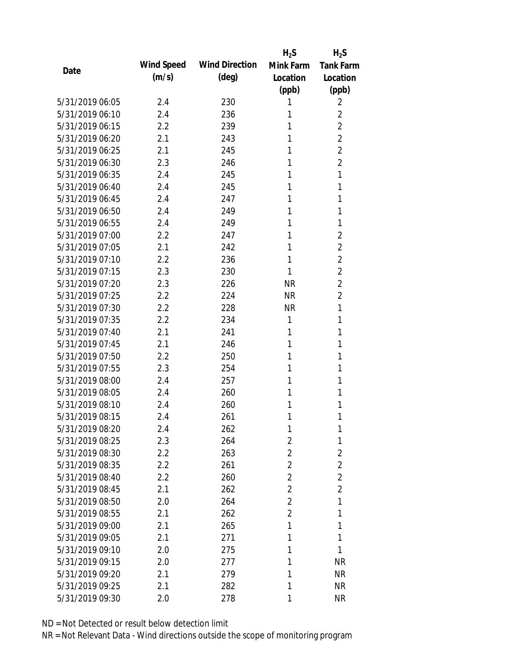|                 |            |                       | $H_2S$         | $H_2S$           |
|-----------------|------------|-----------------------|----------------|------------------|
| Date            | Wind Speed | <b>Wind Direction</b> | Mink Farm      | <b>Tank Farm</b> |
|                 | (m/s)      | $(\text{deg})$        | Location       | Location         |
|                 |            |                       | (ppb)          | (ppb)            |
| 5/31/2019 06:05 | 2.4        | 230                   | 1              | 2                |
| 5/31/2019 06:10 | 2.4        | 236                   | 1              | $\overline{2}$   |
| 5/31/2019 06:15 | 2.2        | 239                   | 1              | $\overline{2}$   |
| 5/31/2019 06:20 | 2.1        | 243                   | 1              | $\overline{2}$   |
| 5/31/2019 06:25 | 2.1        | 245                   | 1              | $\overline{2}$   |
| 5/31/2019 06:30 | 2.3        | 246                   | 1              | $\overline{2}$   |
| 5/31/2019 06:35 | 2.4        | 245                   | 1              | 1                |
| 5/31/2019 06:40 | 2.4        | 245                   | 1              | 1                |
| 5/31/2019 06:45 | 2.4        | 247                   | 1              | 1                |
| 5/31/2019 06:50 | 2.4        | 249                   | 1              | 1                |
| 5/31/2019 06:55 | 2.4        | 249                   | 1              | 1                |
| 5/31/2019 07:00 | 2.2        | 247                   | 1              | 2                |
| 5/31/2019 07:05 | 2.1        | 242                   | 1              | $\overline{2}$   |
| 5/31/2019 07:10 | 2.2        | 236                   | 1              | $\overline{2}$   |
| 5/31/2019 07:15 | 2.3        | 230                   | 1              | $\overline{2}$   |
| 5/31/2019 07:20 | 2.3        | 226                   | <b>NR</b>      | $\overline{2}$   |
| 5/31/2019 07:25 | 2.2        | 224                   | <b>NR</b>      | $\overline{2}$   |
| 5/31/2019 07:30 | 2.2        | 228                   | <b>NR</b>      | 1                |
| 5/31/2019 07:35 | 2.2        | 234                   | 1              | 1                |
| 5/31/2019 07:40 | 2.1        | 241                   | 1              | 1                |
| 5/31/2019 07:45 | 2.1        | 246                   | 1              | 1                |
| 5/31/2019 07:50 | 2.2        | 250                   | 1              | 1                |
| 5/31/2019 07:55 | 2.3        | 254                   | 1              | 1                |
| 5/31/2019 08:00 | 2.4        | 257                   | 1              | 1                |
| 5/31/2019 08:05 | 2.4        | 260                   | 1              | 1                |
| 5/31/2019 08:10 | 2.4        | 260                   | 1              | 1                |
| 5/31/2019 08:15 | 2.4        | 261                   | 1              | 1                |
| 5/31/2019 08:20 | 2.4        | 262                   | $\mathbf{1}$   | 1                |
| 5/31/2019 08:25 | 2.3        | 264                   | $\overline{2}$ | 1                |
| 5/31/2019 08:30 | $2.2\,$    | 263                   | $\overline{2}$ | $\overline{2}$   |
| 5/31/2019 08:35 | 2.2        | 261                   | $\overline{2}$ | $\overline{2}$   |
| 5/31/2019 08:40 | 2.2        | 260                   | $\overline{2}$ | $\overline{2}$   |
| 5/31/2019 08:45 | 2.1        | 262                   | $\overline{2}$ | $\overline{2}$   |
| 5/31/2019 08:50 | 2.0        | 264                   | $\overline{2}$ | 1                |
| 5/31/2019 08:55 | 2.1        | 262                   | $\overline{2}$ | 1                |
| 5/31/2019 09:00 | 2.1        | 265                   | 1              | 1                |
| 5/31/2019 09:05 | 2.1        | 271                   | 1              | 1                |
| 5/31/2019 09:10 | 2.0        | 275                   | 1              | 1                |
| 5/31/2019 09:15 | 2.0        | 277                   | 1              | <b>NR</b>        |
| 5/31/2019 09:20 | 2.1        | 279                   | 1              | <b>NR</b>        |
| 5/31/2019 09:25 | 2.1        | 282                   | 1              | <b>NR</b>        |
| 5/31/2019 09:30 | 2.0        | 278                   | 1              | <b>NR</b>        |
|                 |            |                       |                |                  |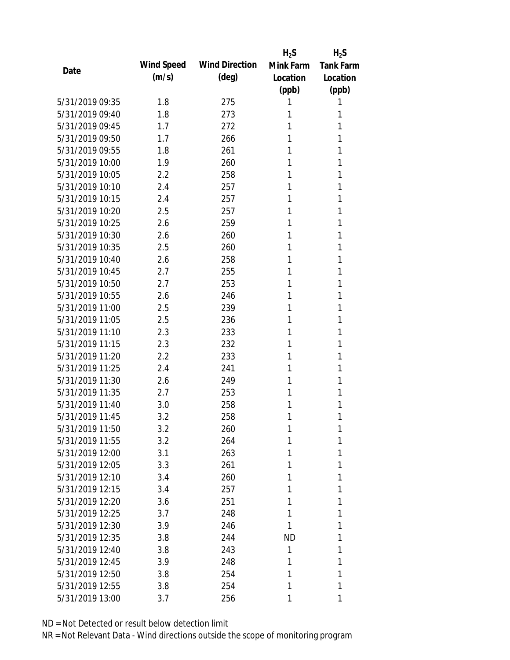|                                    |            |                       | $H_2S$    | $H_2S$           |
|------------------------------------|------------|-----------------------|-----------|------------------|
| Date                               | Wind Speed | <b>Wind Direction</b> | Mink Farm | <b>Tank Farm</b> |
|                                    | (m/s)      | $(\text{deg})$        | Location  | Location         |
|                                    |            |                       | (ppb)     | (ppb)            |
| 5/31/2019 09:35                    | 1.8        | 275                   | 1         | 1                |
| 5/31/2019 09:40                    | 1.8        | 273                   | 1         | 1                |
| 5/31/2019 09:45                    | 1.7        | 272                   | 1         | 1                |
| 5/31/2019 09:50                    | 1.7        | 266                   | 1         | 1                |
| 5/31/2019 09:55                    | 1.8        | 261                   | 1         | 1                |
| 5/31/2019 10:00                    | 1.9        | 260                   | 1         | 1                |
| 5/31/2019 10:05                    | 2.2        | 258                   | 1         | 1                |
| 5/31/2019 10:10                    | 2.4        | 257                   | 1         | 1                |
| 5/31/2019 10:15                    | 2.4        | 257                   | 1         | 1                |
| 5/31/2019 10:20                    | 2.5        | 257                   | 1         | 1                |
| 5/31/2019 10:25                    | 2.6        | 259                   | 1         | 1                |
| 5/31/2019 10:30                    | 2.6        | 260                   | 1         | 1                |
| 5/31/2019 10:35                    | 2.5        | 260                   | 1         | 1                |
| 5/31/2019 10:40                    | 2.6        | 258                   | 1         | 1                |
| 5/31/2019 10:45                    | 2.7        | 255                   | 1         | 1                |
| 5/31/2019 10:50                    | 2.7        | 253                   | 1         | 1                |
| 5/31/2019 10:55                    | 2.6        | 246                   | 1         | 1                |
| 5/31/2019 11:00                    | 2.5        | 239                   | 1         | 1                |
| 5/31/2019 11:05                    | 2.5        | 236                   | 1         | 1                |
| 5/31/2019 11:10                    | 2.3        | 233                   | 1         | 1                |
| 5/31/2019 11:15                    | 2.3        | 232                   | 1         | 1                |
| 5/31/2019 11:20                    | 2.2        | 233                   | 1         | 1                |
| 5/31/2019 11:25                    | 2.4        | 241                   | 1         | 1                |
| 5/31/2019 11:30                    | 2.6        | 249                   | 1         | 1                |
| 5/31/2019 11:35                    | 2.7        | 253                   | 1         | 1                |
| 5/31/2019 11:40                    | 3.0        | 258                   | 1         | 1                |
| 5/31/2019 11:45                    | 3.2        | 258                   | 1         | 1                |
| 5/31/2019 11:50                    | 3.2        | 260                   | 1         | 1                |
| 5/31/2019 11:55                    | 3.2        | 264                   | 1         | 1                |
| 5/31/2019 12:00                    | 3.1        | 263                   | 1         | 1                |
| 5/31/2019 12:05                    | 3.3        | 261                   | 1         | 1                |
| 5/31/2019 12:10                    |            |                       | 1         | 1                |
| 5/31/2019 12:15                    | 3.4<br>3.4 | 260<br>257            | 1         | 1                |
| 5/31/2019 12:20                    | 3.6        |                       | 1         | 1                |
|                                    |            | 251                   |           | 1                |
| 5/31/2019 12:25<br>5/31/2019 12:30 | 3.7        | 248                   | 1         | 1                |
|                                    | 3.9        | 246                   | 1         |                  |
| 5/31/2019 12:35                    | 3.8        | 244                   | ND        | 1                |
| 5/31/2019 12:40                    | 3.8        | 243                   | 1         | 1                |
| 5/31/2019 12:45                    | 3.9        | 248                   | 1         | 1                |
| 5/31/2019 12:50                    | 3.8        | 254                   | 1         | 1                |
| 5/31/2019 12:55                    | 3.8        | 254                   | 1         | 1                |
| 5/31/2019 13:00                    | 3.7        | 256                   | 1         | 1                |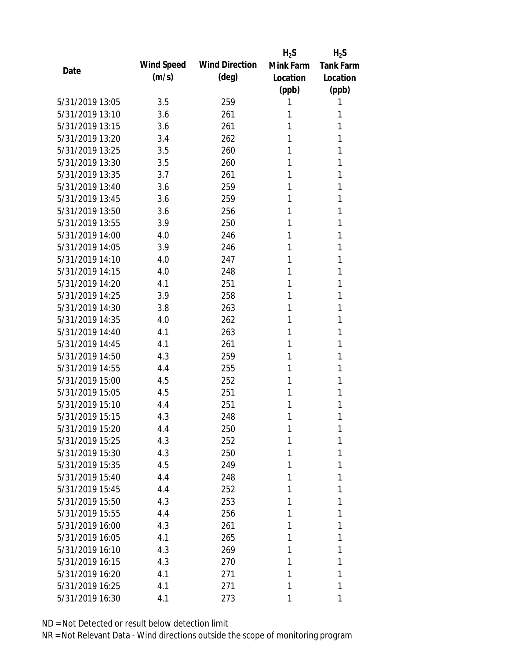|                 |            |                       | $H_2S$    | $H_2S$           |
|-----------------|------------|-----------------------|-----------|------------------|
| Date            | Wind Speed | <b>Wind Direction</b> | Mink Farm | <b>Tank Farm</b> |
|                 | (m/s)      | $(\text{deg})$        | Location  | Location         |
|                 |            |                       | (ppb)     | (ppb)            |
| 5/31/2019 13:05 | 3.5        | 259                   | 1         | 1                |
| 5/31/2019 13:10 | 3.6        | 261                   | 1         | 1                |
| 5/31/2019 13:15 | 3.6        | 261                   | 1         | 1                |
| 5/31/2019 13:20 | 3.4        | 262                   | 1         | 1                |
| 5/31/2019 13:25 | 3.5        | 260                   | 1         | 1                |
| 5/31/2019 13:30 | 3.5        | 260                   | 1         | 1                |
| 5/31/2019 13:35 | 3.7        | 261                   | 1         | 1                |
| 5/31/2019 13:40 | 3.6        | 259                   | 1         | 1                |
| 5/31/2019 13:45 | 3.6        | 259                   | 1         | 1                |
| 5/31/2019 13:50 | 3.6        | 256                   | 1         | 1                |
| 5/31/2019 13:55 | 3.9        | 250                   | 1         | 1                |
| 5/31/2019 14:00 | 4.0        | 246                   | 1         | 1                |
| 5/31/2019 14:05 | 3.9        | 246                   | 1         | 1                |
| 5/31/2019 14:10 | 4.0        | 247                   | 1         | 1                |
| 5/31/2019 14:15 | 4.0        | 248                   | 1         | 1                |
| 5/31/2019 14:20 | 4.1        | 251                   | 1         | 1                |
| 5/31/2019 14:25 | 3.9        | 258                   | 1         | 1                |
| 5/31/2019 14:30 | 3.8        | 263                   | 1         | 1                |
| 5/31/2019 14:35 | 4.0        | 262                   | 1         | 1                |
| 5/31/2019 14:40 | 4.1        | 263                   | 1         | 1                |
| 5/31/2019 14:45 | 4.1        | 261                   | 1         | 1                |
| 5/31/2019 14:50 | 4.3        | 259                   | 1         | 1                |
| 5/31/2019 14:55 | 4.4        | 255                   | 1         | 1                |
| 5/31/2019 15:00 | 4.5        | 252                   | 1         | 1                |
| 5/31/2019 15:05 | 4.5        | 251                   | 1         | 1                |
| 5/31/2019 15:10 | 4.4        | 251                   | 1         | 1                |
| 5/31/2019 15:15 | 4.3        | 248                   | 1         | 1                |
| 5/31/2019 15:20 | 4.4        | 250                   | 1         | 1                |
| 5/31/2019 15:25 | 4.3        | 252                   | 1         | 1                |
| 5/31/2019 15:30 | 4.3        | 250                   | 1         | 1                |
| 5/31/2019 15:35 | 4.5        | 249                   | 1         | 1                |
| 5/31/2019 15:40 | 4.4        | 248                   | 1         | 1                |
| 5/31/2019 15:45 | 4.4        | 252                   | 1         | 1                |
| 5/31/2019 15:50 | 4.3        | 253                   | 1         | 1                |
| 5/31/2019 15:55 | 4.4        | 256                   | 1         | 1                |
| 5/31/2019 16:00 | 4.3        | 261                   | 1         | 1                |
| 5/31/2019 16:05 | 4.1        | 265                   | 1         | 1                |
| 5/31/2019 16:10 | 4.3        | 269                   | 1         | 1                |
| 5/31/2019 16:15 | 4.3        | 270                   | 1         | 1                |
| 5/31/2019 16:20 | 4.1        | 271                   | 1         | 1                |
| 5/31/2019 16:25 | 4.1        | 271                   | 1         | 1                |
| 5/31/2019 16:30 | 4.1        | 273                   | 1         | 1                |
|                 |            |                       |           |                  |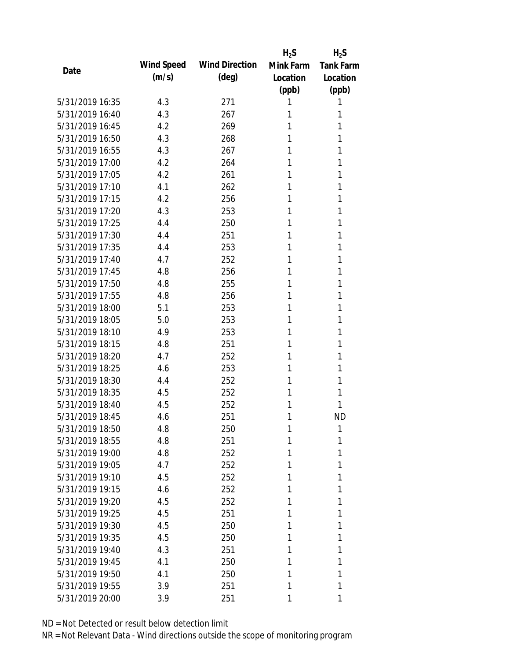|                 |            |                       | $H_2S$    | $H_2S$           |
|-----------------|------------|-----------------------|-----------|------------------|
| Date            | Wind Speed | <b>Wind Direction</b> | Mink Farm | <b>Tank Farm</b> |
|                 | (m/s)      | $(\text{deg})$        | Location  | Location         |
|                 |            |                       | (ppb)     | (ppb)            |
| 5/31/2019 16:35 | 4.3        | 271                   | 1         | 1                |
| 5/31/2019 16:40 | 4.3        | 267                   | 1         | 1                |
| 5/31/2019 16:45 | 4.2        | 269                   | 1         | 1                |
| 5/31/2019 16:50 | 4.3        | 268                   | 1         | 1                |
| 5/31/2019 16:55 | 4.3        | 267                   | 1         | 1                |
| 5/31/2019 17:00 | 4.2        | 264                   | 1         | 1                |
| 5/31/2019 17:05 | 4.2        | 261                   | 1         | 1                |
| 5/31/2019 17:10 | 4.1        | 262                   | 1         | 1                |
| 5/31/2019 17:15 | 4.2        | 256                   | 1         | 1                |
| 5/31/2019 17:20 | 4.3        | 253                   | 1         | 1                |
| 5/31/2019 17:25 | 4.4        | 250                   | 1         | 1                |
| 5/31/2019 17:30 | 4.4        | 251                   | 1         | 1                |
| 5/31/2019 17:35 | 4.4        | 253                   | 1         | 1                |
| 5/31/2019 17:40 | 4.7        | 252                   | 1         | 1                |
| 5/31/2019 17:45 | 4.8        | 256                   | 1         | 1                |
| 5/31/2019 17:50 | 4.8        | 255                   | 1         | 1                |
| 5/31/2019 17:55 | 4.8        | 256                   | 1         | 1                |
| 5/31/2019 18:00 | 5.1        | 253                   | 1         | 1                |
| 5/31/2019 18:05 | 5.0        | 253                   | 1         | 1                |
| 5/31/2019 18:10 | 4.9        | 253                   | 1         | 1                |
| 5/31/2019 18:15 | 4.8        | 251                   | 1         | 1                |
| 5/31/2019 18:20 | 4.7        | 252                   | 1         | 1                |
| 5/31/2019 18:25 | 4.6        | 253                   | 1         | 1                |
| 5/31/2019 18:30 | 4.4        | 252                   | 1         | 1                |
| 5/31/2019 18:35 | 4.5        | 252                   | 1         | 1                |
| 5/31/2019 18:40 | 4.5        | 252                   | 1         | 1                |
| 5/31/2019 18:45 | 4.6        | 251                   | 1         | <b>ND</b>        |
| 5/31/2019 18:50 | 4.8        | 250                   | 1         | 1                |
| 5/31/2019 18:55 | 4.8        | 251                   | 1         | 1                |
| 5/31/2019 19:00 | 4.8        | 252                   | 1         | 1                |
| 5/31/2019 19:05 | 4.7        | 252                   | 1         | 1                |
| 5/31/2019 19:10 | 4.5        | 252                   | 1         | 1                |
| 5/31/2019 19:15 | 4.6        | 252                   | 1         | 1                |
| 5/31/2019 19:20 | 4.5        | 252                   | 1         | 1                |
| 5/31/2019 19:25 | 4.5        | 251                   | 1         | 1                |
| 5/31/2019 19:30 | 4.5        | 250                   | 1         | 1                |
| 5/31/2019 19:35 | 4.5        | 250                   | 1         | 1                |
| 5/31/2019 19:40 | 4.3        | 251                   | 1         | 1                |
| 5/31/2019 19:45 | 4.1        | 250                   | 1         | 1                |
| 5/31/2019 19:50 | 4.1        | 250                   | 1         | 1                |
| 5/31/2019 19:55 | 3.9        | 251                   | 1         | 1                |
| 5/31/2019 20:00 | 3.9        | 251                   | 1         | 1                |
|                 |            |                       |           |                  |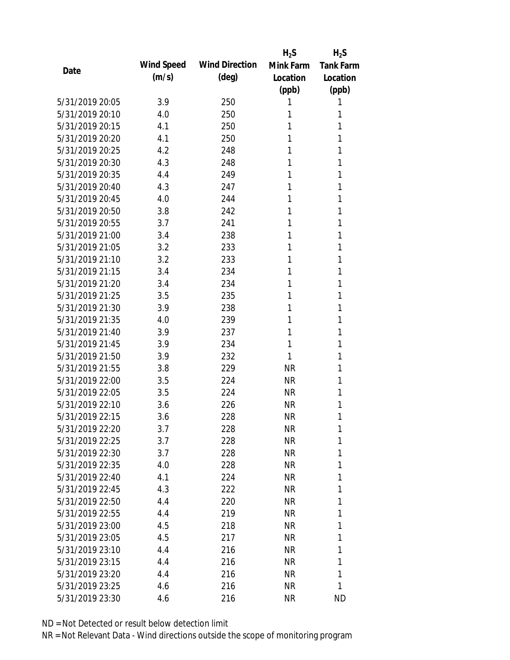|                 |            |                       | $H_2S$    | $H_2S$           |
|-----------------|------------|-----------------------|-----------|------------------|
| Date            | Wind Speed | <b>Wind Direction</b> | Mink Farm | <b>Tank Farm</b> |
|                 | (m/s)      | $(\text{deg})$        | Location  | Location         |
|                 |            |                       | (ppb)     | (ppb)            |
| 5/31/2019 20:05 | 3.9        | 250                   | 1         | 1                |
| 5/31/2019 20:10 | 4.0        | 250                   | 1         | 1                |
| 5/31/2019 20:15 | 4.1        | 250                   | 1         | 1                |
| 5/31/2019 20:20 | 4.1        | 250                   | 1         | 1                |
| 5/31/2019 20:25 | 4.2        | 248                   | 1         | 1                |
| 5/31/2019 20:30 | 4.3        | 248                   | 1         | 1                |
| 5/31/2019 20:35 | 4.4        | 249                   | 1         | 1                |
| 5/31/2019 20:40 | 4.3        | 247                   | 1         | 1                |
| 5/31/2019 20:45 | 4.0        | 244                   | 1         | 1                |
| 5/31/2019 20:50 | 3.8        | 242                   | 1         | 1                |
| 5/31/2019 20:55 | 3.7        | 241                   | 1         | 1                |
| 5/31/2019 21:00 | 3.4        | 238                   | 1         | 1                |
| 5/31/2019 21:05 | 3.2        | 233                   | 1         | 1                |
| 5/31/2019 21:10 | 3.2        | 233                   | 1         | 1                |
| 5/31/2019 21:15 | 3.4        | 234                   | 1         | 1                |
| 5/31/2019 21:20 | 3.4        | 234                   | 1         | 1                |
| 5/31/2019 21:25 | 3.5        | 235                   | 1         | 1                |
| 5/31/2019 21:30 | 3.9        | 238                   | 1         | 1                |
| 5/31/2019 21:35 | 4.0        | 239                   | 1         | 1                |
| 5/31/2019 21:40 | 3.9        | 237                   | 1         | 1                |
| 5/31/2019 21:45 | 3.9        | 234                   | 1         | 1                |
| 5/31/2019 21:50 | 3.9        | 232                   | 1         | 1                |
| 5/31/2019 21:55 | 3.8        | 229                   | <b>NR</b> | 1                |
| 5/31/2019 22:00 | 3.5        | 224                   | <b>NR</b> | 1                |
| 5/31/2019 22:05 | 3.5        | 224                   | <b>NR</b> | 1                |
| 5/31/2019 22:10 | 3.6        | 226                   | <b>NR</b> | 1                |
| 5/31/2019 22:15 | 3.6        | 228                   | <b>NR</b> | 1                |
| 5/31/2019 22:20 | 3.7        | 228                   | NR        | 1                |
| 5/31/2019 22:25 | 3.7        | 228                   | <b>NR</b> | 1                |
| 5/31/2019 22:30 | 3.7        | 228                   | <b>NR</b> | 1                |
| 5/31/2019 22:35 | 4.0        | 228                   | <b>NR</b> | 1                |
| 5/31/2019 22:40 | 4.1        | 224                   | <b>NR</b> | 1                |
| 5/31/2019 22:45 | 4.3        | 222                   | NR        | 1                |
| 5/31/2019 22:50 | 4.4        | 220                   | <b>NR</b> | 1                |
| 5/31/2019 22:55 | 4.4        | 219                   | <b>NR</b> | 1                |
| 5/31/2019 23:00 | 4.5        | 218                   | <b>NR</b> | 1                |
| 5/31/2019 23:05 | 4.5        | 217                   | <b>NR</b> | 1                |
| 5/31/2019 23:10 | 4.4        | 216                   | <b>NR</b> | 1                |
| 5/31/2019 23:15 | 4.4        | 216                   | NR        | 1                |
| 5/31/2019 23:20 | 4.4        | 216                   | <b>NR</b> | 1                |
| 5/31/2019 23:25 | 4.6        | 216                   | <b>NR</b> | 1                |
| 5/31/2019 23:30 | 4.6        | 216                   | <b>NR</b> | <b>ND</b>        |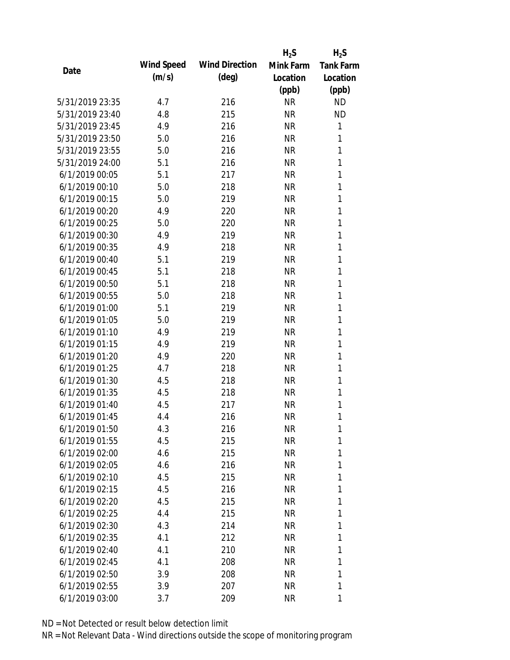|                 |            |                       | $H_2S$    | $H_2S$           |
|-----------------|------------|-----------------------|-----------|------------------|
| Date            | Wind Speed | <b>Wind Direction</b> | Mink Farm | <b>Tank Farm</b> |
|                 | (m/s)      | $(\text{deg})$        | Location  | Location         |
|                 |            |                       | (ppb)     | (ppb)            |
| 5/31/2019 23:35 | 4.7        | 216                   | <b>NR</b> | <b>ND</b>        |
| 5/31/2019 23:40 | 4.8        | 215                   | <b>NR</b> | <b>ND</b>        |
| 5/31/2019 23:45 | 4.9        | 216                   | <b>NR</b> | 1                |
| 5/31/2019 23:50 | 5.0        | 216                   | <b>NR</b> | 1                |
| 5/31/2019 23:55 | 5.0        | 216                   | <b>NR</b> | 1                |
| 5/31/2019 24:00 | 5.1        | 216                   | <b>NR</b> | 1                |
| 6/1/2019 00:05  | 5.1        | 217                   | <b>NR</b> | 1                |
| 6/1/2019 00:10  | 5.0        | 218                   | <b>NR</b> | 1                |
| 6/1/2019 00:15  | 5.0        | 219                   | <b>NR</b> | 1                |
| 6/1/2019 00:20  | 4.9        | 220                   | <b>NR</b> | 1                |
| 6/1/2019 00:25  | 5.0        | 220                   | <b>NR</b> | 1                |
| 6/1/2019 00:30  | 4.9        | 219                   | <b>NR</b> | 1                |
| 6/1/2019 00:35  | 4.9        | 218                   | <b>NR</b> | 1                |
| 6/1/2019 00:40  | 5.1        | 219                   | <b>NR</b> | 1                |
| 6/1/2019 00:45  | 5.1        | 218                   | <b>NR</b> | 1                |
| 6/1/2019 00:50  | 5.1        | 218                   | <b>NR</b> | 1                |
| 6/1/2019 00:55  | 5.0        | 218                   | <b>NR</b> | 1                |
| 6/1/2019 01:00  | 5.1        | 219                   | <b>NR</b> | 1                |
| 6/1/2019 01:05  | 5.0        | 219                   | <b>NR</b> | 1                |
| 6/1/2019 01:10  | 4.9        | 219                   | <b>NR</b> | 1                |
| 6/1/2019 01:15  | 4.9        | 219                   | <b>NR</b> | 1                |
| 6/1/2019 01:20  | 4.9        | 220                   | <b>NR</b> | 1                |
| 6/1/2019 01:25  | 4.7        | 218                   | <b>NR</b> | 1                |
| 6/1/2019 01:30  | 4.5        | 218                   | <b>NR</b> | 1                |
| 6/1/2019 01:35  | 4.5        | 218                   | <b>NR</b> | 1                |
| 6/1/2019 01:40  | 4.5        | 217                   | <b>NR</b> | 1                |
| 6/1/2019 01:45  | 4.4        | 216                   | <b>NR</b> | 1                |
| 6/1/2019 01:50  | 4.3        | 216                   | <b>NR</b> | 1                |
| 6/1/2019 01:55  | 4.5        | 215                   | <b>NR</b> | 1                |
| 6/1/2019 02:00  | 4.6        | 215                   | <b>NR</b> | 1                |
| 6/1/2019 02:05  | 4.6        | 216                   | <b>NR</b> | 1                |
| 6/1/2019 02:10  | 4.5        | 215                   | <b>NR</b> | 1                |
| 6/1/2019 02:15  | 4.5        | 216                   | <b>NR</b> | 1                |
| 6/1/2019 02:20  | 4.5        | 215                   | <b>NR</b> | 1                |
| 6/1/2019 02:25  | 4.4        | 215                   | <b>NR</b> | 1                |
| 6/1/2019 02:30  | 4.3        | 214                   | <b>NR</b> | 1                |
| 6/1/2019 02:35  | 4.1        | 212                   | <b>NR</b> | 1                |
| 6/1/2019 02:40  | 4.1        | 210                   | <b>NR</b> | 1                |
| 6/1/2019 02:45  | 4.1        | 208                   | <b>NR</b> | 1                |
| 6/1/2019 02:50  | 3.9        | 208                   | <b>NR</b> | 1                |
| 6/1/2019 02:55  | 3.9        | 207                   | <b>NR</b> | 1                |
| 6/1/2019 03:00  | 3.7        | 209                   | <b>NR</b> | 1                |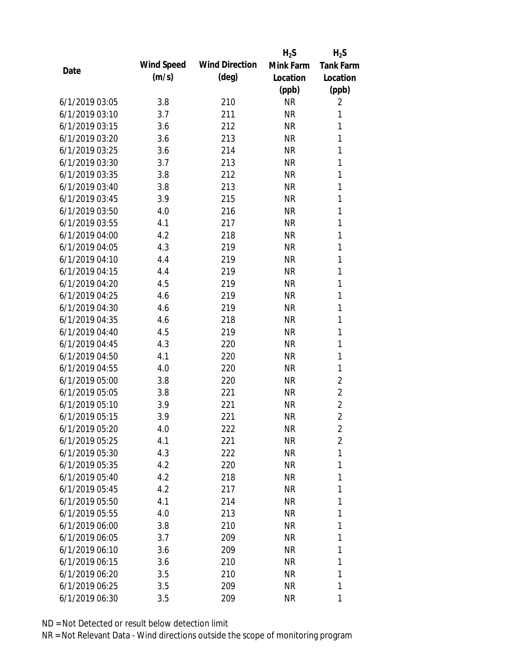|                |            |                       | $H_2S$    | $H_2S$           |
|----------------|------------|-----------------------|-----------|------------------|
| Date           | Wind Speed | <b>Wind Direction</b> | Mink Farm | <b>Tank Farm</b> |
|                | (m/s)      | $(\text{deg})$        | Location  | Location         |
|                |            |                       | (ppb)     | (ppb)            |
| 6/1/2019 03:05 | 3.8        | 210                   | <b>NR</b> | $\overline{2}$   |
| 6/1/2019 03:10 | 3.7        | 211                   | <b>NR</b> | 1                |
| 6/1/2019 03:15 | 3.6        | 212                   | <b>NR</b> | 1                |
| 6/1/2019 03:20 | 3.6        | 213                   | <b>NR</b> | 1                |
| 6/1/2019 03:25 | 3.6        | 214                   | <b>NR</b> | 1                |
| 6/1/2019 03:30 | 3.7        | 213                   | <b>NR</b> | 1                |
| 6/1/2019 03:35 | 3.8        | 212                   | <b>NR</b> | 1                |
| 6/1/2019 03:40 | 3.8        | 213                   | <b>NR</b> | 1                |
| 6/1/2019 03:45 | 3.9        | 215                   | <b>NR</b> | 1                |
| 6/1/2019 03:50 | 4.0        | 216                   | <b>NR</b> | 1                |
| 6/1/2019 03:55 | 4.1        | 217                   | <b>NR</b> | 1                |
| 6/1/2019 04:00 | 4.2        | 218                   | <b>NR</b> | 1                |
| 6/1/2019 04:05 | 4.3        | 219                   | <b>NR</b> | 1                |
| 6/1/2019 04:10 | 4.4        | 219                   | <b>NR</b> | $\mathbf{1}$     |
| 6/1/2019 04:15 | 4.4        | 219                   | <b>NR</b> | $\mathbf{1}$     |
| 6/1/2019 04:20 | 4.5        | 219                   | <b>NR</b> | 1                |
| 6/1/2019 04:25 | 4.6        | 219                   | <b>NR</b> | 1                |
| 6/1/2019 04:30 | 4.6        | 219                   | <b>NR</b> | 1                |
| 6/1/2019 04:35 | 4.6        | 218                   | <b>NR</b> | 1                |
| 6/1/2019 04:40 | 4.5        | 219                   | <b>NR</b> | $\mathbf{1}$     |
| 6/1/2019 04:45 | 4.3        | 220                   | <b>NR</b> | 1                |
| 6/1/2019 04:50 | 4.1        | 220                   | <b>NR</b> | 1                |
| 6/1/2019 04:55 | 4.0        | 220                   | <b>NR</b> | 1                |
| 6/1/2019 05:00 | 3.8        | 220                   | <b>NR</b> | $\overline{2}$   |
| 6/1/2019 05:05 | 3.8        | 221                   | <b>NR</b> | $\overline{2}$   |
| 6/1/2019 05:10 | 3.9        | 221                   | <b>NR</b> | $\overline{2}$   |
| 6/1/2019 05:15 | 3.9        | 221                   | <b>NR</b> | $\overline{2}$   |
| 6/1/2019 05:20 | 4.0        | 222                   | <b>NR</b> | 2                |
| 6/1/2019 05:25 | 4.1        | 221                   | <b>NR</b> | $\overline{2}$   |
| 6/1/2019 05:30 | 4.3        | 222                   | <b>NR</b> | 1                |
| 6/1/2019 05:35 | 4.2        | 220                   | <b>NR</b> | 1                |
| 6/1/2019 05:40 | 4.2        | 218                   | <b>NR</b> | 1                |
| 6/1/2019 05:45 | 4.2        | 217                   | <b>NR</b> | 1                |
| 6/1/2019 05:50 | 4.1        | 214                   | <b>NR</b> | 1                |
| 6/1/2019 05:55 | 4.0        | 213                   | <b>NR</b> | 1                |
| 6/1/2019 06:00 | 3.8        | 210                   | <b>NR</b> | 1                |
| 6/1/2019 06:05 | 3.7        | 209                   | <b>NR</b> | 1                |
| 6/1/2019 06:10 | 3.6        | 209                   | <b>NR</b> | 1                |
| 6/1/2019 06:15 | 3.6        | 210                   | <b>NR</b> | 1                |
| 6/1/2019 06:20 | 3.5        | 210                   | <b>NR</b> | 1                |
| 6/1/2019 06:25 | 3.5        | 209                   | <b>NR</b> | 1                |
|                |            |                       |           |                  |
| 6/1/2019 06:30 | 3.5        | 209                   | <b>NR</b> | 1                |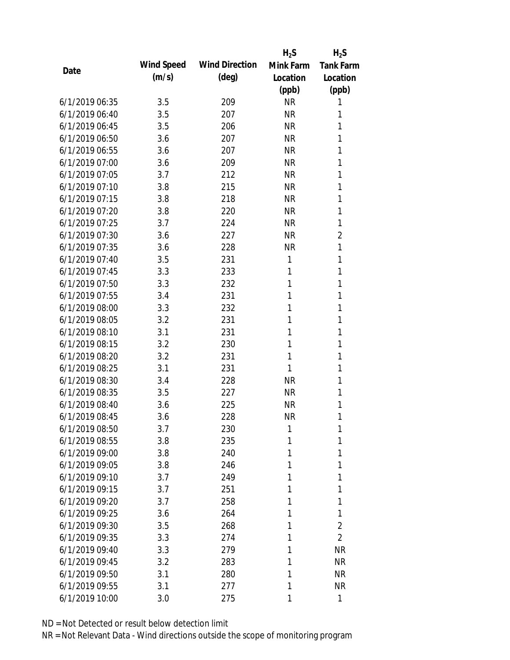|                |            |                       | $H_2S$       | $H_2S$           |
|----------------|------------|-----------------------|--------------|------------------|
| Date           | Wind Speed | <b>Wind Direction</b> | Mink Farm    | <b>Tank Farm</b> |
|                | (m/s)      | $(\text{deg})$        | Location     | Location         |
|                |            |                       | (ppb)        | (ppb)            |
| 6/1/2019 06:35 | 3.5        | 209                   | <b>NR</b>    | 1                |
| 6/1/2019 06:40 | 3.5        | 207                   | <b>NR</b>    | 1                |
| 6/1/2019 06:45 | 3.5        | 206                   | <b>NR</b>    | 1                |
| 6/1/2019 06:50 | 3.6        | 207                   | <b>NR</b>    | 1                |
| 6/1/2019 06:55 | 3.6        | 207                   | <b>NR</b>    | 1                |
| 6/1/2019 07:00 | 3.6        | 209                   | <b>NR</b>    | 1                |
| 6/1/2019 07:05 | 3.7        | 212                   | <b>NR</b>    | 1                |
| 6/1/2019 07:10 | 3.8        | 215                   | <b>NR</b>    | 1                |
| 6/1/2019 07:15 | 3.8        | 218                   | <b>NR</b>    | 1                |
| 6/1/2019 07:20 | 3.8        | 220                   | <b>NR</b>    | 1                |
| 6/1/2019 07:25 | 3.7        | 224                   | <b>NR</b>    | 1                |
| 6/1/2019 07:30 | 3.6        | 227                   | <b>NR</b>    | $\overline{2}$   |
| 6/1/2019 07:35 | 3.6        | 228                   | <b>NR</b>    | 1                |
| 6/1/2019 07:40 | 3.5        | 231                   | $\mathbf{1}$ | 1                |
| 6/1/2019 07:45 | 3.3        | 233                   | 1            | 1                |
| 6/1/2019 07:50 | 3.3        | 232                   | 1            | 1                |
| 6/1/2019 07:55 | 3.4        | 231                   | 1            | 1                |
| 6/1/2019 08:00 | 3.3        | 232                   | 1            | 1                |
| 6/1/2019 08:05 | 3.2        | 231                   | 1            | 1                |
| 6/1/2019 08:10 | 3.1        | 231                   | 1            | 1                |
| 6/1/2019 08:15 | 3.2        | 230                   | 1            | 1                |
| 6/1/2019 08:20 | 3.2        | 231                   | 1            | 1                |
| 6/1/2019 08:25 | 3.1        | 231                   | 1            | 1                |
| 6/1/2019 08:30 | 3.4        | 228                   | <b>NR</b>    | 1                |
| 6/1/2019 08:35 | 3.5        | 227                   | <b>NR</b>    | 1                |
| 6/1/2019 08:40 | 3.6        | 225                   | <b>NR</b>    | 1                |
| 6/1/2019 08:45 | 3.6        | 228                   | <b>NR</b>    | 1                |
| 6/1/2019 08:50 | 3.7        | 230                   | 1            | 1                |
| 6/1/2019 08:55 | 3.8        | 235                   | 1            | 1                |
| 6/1/2019 09:00 | 3.8        | 240                   | 1            | 1                |
| 6/1/2019 09:05 | 3.8        | 246                   | 1            | 1                |
| 6/1/2019 09:10 | 3.7        | 249                   | 1            | 1                |
| 6/1/2019 09:15 | 3.7        | 251                   | 1            | 1                |
| 6/1/2019 09:20 | 3.7        | 258                   | 1            | 1                |
| 6/1/2019 09:25 | 3.6        | 264                   | 1            | 1                |
| 6/1/2019 09:30 | 3.5        | 268                   | 1            | $\overline{2}$   |
| 6/1/2019 09:35 | 3.3        | 274                   | 1            | $\overline{2}$   |
| 6/1/2019 09:40 | 3.3        | 279                   | 1            | <b>NR</b>        |
| 6/1/2019 09:45 | 3.2        | 283                   | 1            | <b>NR</b>        |
| 6/1/2019 09:50 | 3.1        | 280                   | 1            | <b>NR</b>        |
| 6/1/2019 09:55 | 3.1        | 277                   | 1            | <b>NR</b>        |
| 6/1/2019 10:00 | 3.0        | 275                   | 1            | 1                |
|                |            |                       |              |                  |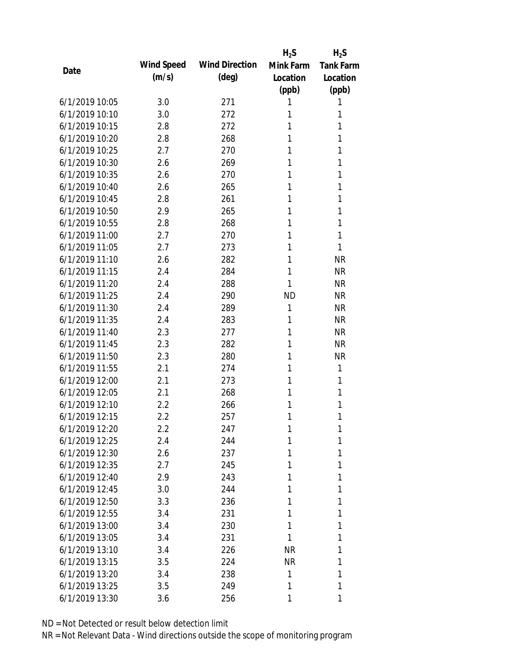|                |            |                       | $H_2S$    | $H_2S$           |
|----------------|------------|-----------------------|-----------|------------------|
| Date           | Wind Speed | <b>Wind Direction</b> | Mink Farm | <b>Tank Farm</b> |
|                | (m/s)      | $(\text{deg})$        | Location  | Location         |
|                |            |                       | (ppb)     | (ppb)            |
| 6/1/2019 10:05 | 3.0        | 271                   | 1         | 1                |
| 6/1/2019 10:10 | 3.0        | 272                   | 1         | 1                |
| 6/1/2019 10:15 | 2.8        | 272                   | 1         | 1                |
| 6/1/2019 10:20 | 2.8        | 268                   | 1         | 1                |
| 6/1/2019 10:25 | 2.7        | 270                   | 1         | 1                |
| 6/1/2019 10:30 | 2.6        | 269                   | 1         | 1                |
| 6/1/2019 10:35 | 2.6        | 270                   | 1         | 1                |
| 6/1/2019 10:40 | 2.6        | 265                   | 1         | 1                |
| 6/1/2019 10:45 | 2.8        | 261                   | 1         | 1                |
| 6/1/2019 10:50 | 2.9        | 265                   | 1         | 1                |
| 6/1/2019 10:55 | 2.8        | 268                   | 1         | 1                |
| 6/1/2019 11:00 | 2.7        | 270                   | 1         | 1                |
| 6/1/2019 11:05 | 2.7        | 273                   | 1         | 1                |
| 6/1/2019 11:10 | 2.6        | 282                   | 1         | <b>NR</b>        |
| 6/1/2019 11:15 | 2.4        | 284                   | 1         | <b>NR</b>        |
| 6/1/2019 11:20 | 2.4        | 288                   | 1         | <b>NR</b>        |
| 6/1/2019 11:25 | 2.4        | 290                   | <b>ND</b> | <b>NR</b>        |
| 6/1/2019 11:30 | 2.4        | 289                   | 1         | <b>NR</b>        |
| 6/1/2019 11:35 | 2.4        | 283                   | 1         | <b>NR</b>        |
| 6/1/2019 11:40 | 2.3        | 277                   | 1         | <b>NR</b>        |
| 6/1/2019 11:45 | 2.3        | 282                   | 1         | <b>NR</b>        |
| 6/1/2019 11:50 | 2.3        | 280                   | 1         | <b>NR</b>        |
| 6/1/2019 11:55 | 2.1        | 274                   | 1         | 1                |
| 6/1/2019 12:00 | 2.1        | 273                   | 1         | 1                |
| 6/1/2019 12:05 | 2.1        | 268                   | 1         | 1                |
| 6/1/2019 12:10 | 2.2        | 266                   | 1         | 1                |
| 6/1/2019 12:15 | 2.2        | 257                   | 1         | 1                |
| 6/1/2019 12:20 | 2.2        | 247                   | 1         | 1                |
| 6/1/2019 12:25 | 2.4        | 244                   | 1         | 1                |
| 6/1/2019 12:30 | 2.6        | 237                   | 1         | 1                |
| 6/1/2019 12:35 | 2.7        | 245                   | 1         | 1                |
| 6/1/2019 12:40 | 2.9        | 243                   | 1         | 1                |
| 6/1/2019 12:45 | 3.0        | 244                   | 1         | 1                |
| 6/1/2019 12:50 | 3.3        | 236                   | 1         | 1                |
| 6/1/2019 12:55 | 3.4        | 231                   | 1         | 1                |
| 6/1/2019 13:00 | 3.4        | 230                   | 1         | 1                |
| 6/1/2019 13:05 | 3.4        | 231                   | 1         | 1                |
| 6/1/2019 13:10 | 3.4        | 226                   | <b>NR</b> | 1                |
| 6/1/2019 13:15 | 3.5        | 224                   | <b>NR</b> | 1                |
| 6/1/2019 13:20 | 3.4        | 238                   | 1         | 1                |
| 6/1/2019 13:25 | 3.5        | 249                   | 1         | 1                |
| 6/1/2019 13:30 | 3.6        | 256                   | 1         | 1                |
|                |            |                       |           |                  |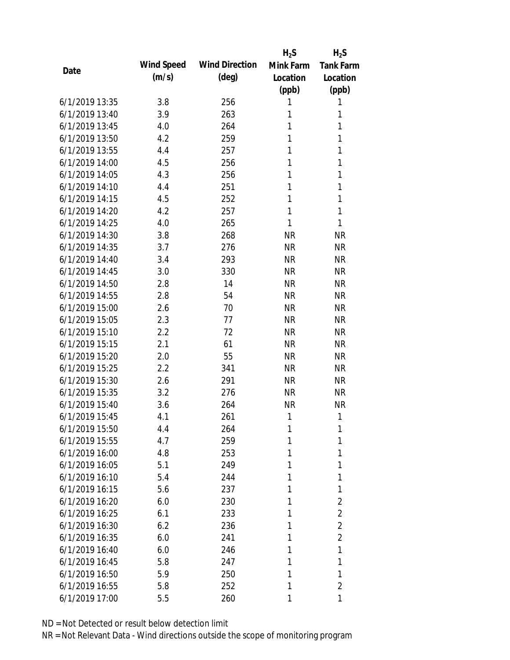|                |            |                       | $H_2S$    | $H_2S$           |
|----------------|------------|-----------------------|-----------|------------------|
| Date           | Wind Speed | <b>Wind Direction</b> | Mink Farm | <b>Tank Farm</b> |
|                | (m/s)      | $(\text{deg})$        | Location  | Location         |
|                |            |                       | (ppb)     | (ppb)            |
| 6/1/2019 13:35 | 3.8        | 256                   | 1         | 1                |
| 6/1/2019 13:40 | 3.9        | 263                   | 1         | 1                |
| 6/1/2019 13:45 | 4.0        | 264                   | 1         | 1                |
| 6/1/2019 13:50 | 4.2        | 259                   | 1         | 1                |
| 6/1/2019 13:55 | 4.4        | 257                   | 1         | 1                |
| 6/1/2019 14:00 | 4.5        | 256                   | 1         | 1                |
| 6/1/2019 14:05 | 4.3        | 256                   | 1         | 1                |
| 6/1/2019 14:10 | 4.4        | 251                   | 1         | 1                |
| 6/1/2019 14:15 | 4.5        | 252                   | 1         | 1                |
| 6/1/2019 14:20 | 4.2        | 257                   | 1         | 1                |
| 6/1/2019 14:25 | 4.0        | 265                   | 1         | 1                |
| 6/1/2019 14:30 | 3.8        | 268                   | <b>NR</b> | <b>NR</b>        |
| 6/1/2019 14:35 | 3.7        | 276                   | <b>NR</b> | <b>NR</b>        |
| 6/1/2019 14:40 | 3.4        | 293                   | <b>NR</b> | <b>NR</b>        |
| 6/1/2019 14:45 | 3.0        | 330                   | <b>NR</b> | <b>NR</b>        |
| 6/1/2019 14:50 | 2.8        | 14                    | <b>NR</b> | <b>NR</b>        |
| 6/1/2019 14:55 | 2.8        | 54                    | <b>NR</b> | <b>NR</b>        |
| 6/1/2019 15:00 | 2.6        | 70                    | <b>NR</b> | <b>NR</b>        |
| 6/1/2019 15:05 | 2.3        | 77                    | <b>NR</b> | <b>NR</b>        |
| 6/1/2019 15:10 | 2.2        | 72                    | <b>NR</b> | <b>NR</b>        |
| 6/1/2019 15:15 | 2.1        | 61                    | <b>NR</b> | <b>NR</b>        |
| 6/1/2019 15:20 | 2.0        | 55                    | <b>NR</b> | <b>NR</b>        |
| 6/1/2019 15:25 | 2.2        | 341                   | <b>NR</b> | <b>NR</b>        |
| 6/1/2019 15:30 | 2.6        | 291                   | <b>NR</b> | <b>NR</b>        |
| 6/1/2019 15:35 | 3.2        | 276                   | <b>NR</b> | <b>NR</b>        |
| 6/1/2019 15:40 | 3.6        | 264                   | <b>NR</b> | <b>NR</b>        |
| 6/1/2019 15:45 | 4.1        | 261                   | 1         | $\mathbf{1}$     |
| 6/1/2019 15:50 | 4.4        | 264                   | 1         | 1                |
| 6/1/2019 15:55 | 4.7        | 259                   | 1         | 1                |
| 6/1/2019 16:00 | 4.8        | 253                   | 1         | 1                |
| 6/1/2019 16:05 | 5.1        | 249                   | 1         | 1                |
| 6/1/2019 16:10 | 5.4        | 244                   | 1         | 1                |
| 6/1/2019 16:15 | 5.6        | 237                   | 1         | 1                |
| 6/1/2019 16:20 | 6.0        | 230                   | 1         | $\overline{2}$   |
| 6/1/2019 16:25 | 6.1        | 233                   | 1         | $\overline{2}$   |
| 6/1/2019 16:30 | 6.2        | 236                   | 1         | $\overline{2}$   |
| 6/1/2019 16:35 | 6.0        | 241                   | 1         | $\overline{2}$   |
| 6/1/2019 16:40 | 6.0        | 246                   | 1         | 1                |
| 6/1/2019 16:45 | 5.8        | 247                   | 1         | 1                |
| 6/1/2019 16:50 | 5.9        | 250                   | 1         | 1                |
| 6/1/2019 16:55 | 5.8        | 252                   | 1         | $\overline{2}$   |
| 6/1/2019 17:00 | 5.5        | 260                   | 1         | 1                |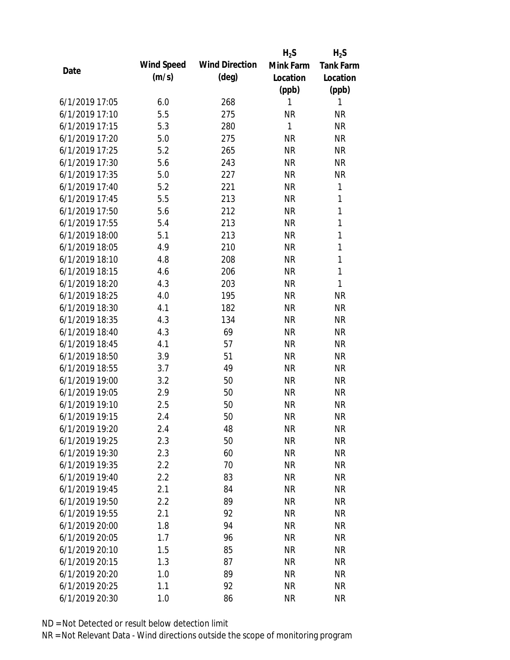|                |            |                       | $H_2S$       | $H_2S$           |
|----------------|------------|-----------------------|--------------|------------------|
| Date           | Wind Speed | <b>Wind Direction</b> | Mink Farm    | <b>Tank Farm</b> |
|                | (m/s)      | $(\text{deg})$        | Location     | Location         |
|                |            |                       | (ppb)        | (ppb)            |
| 6/1/2019 17:05 | 6.0        | 268                   | 1            | 1                |
| 6/1/2019 17:10 | 5.5        | 275                   | <b>NR</b>    | <b>NR</b>        |
| 6/1/2019 17:15 | 5.3        | 280                   | $\mathbf{1}$ | <b>NR</b>        |
| 6/1/2019 17:20 | 5.0        | 275                   | <b>NR</b>    | <b>NR</b>        |
| 6/1/2019 17:25 | 5.2        | 265                   | <b>NR</b>    | <b>NR</b>        |
| 6/1/2019 17:30 | 5.6        | 243                   | <b>NR</b>    | <b>NR</b>        |
| 6/1/2019 17:35 | 5.0        | 227                   | <b>NR</b>    | <b>NR</b>        |
| 6/1/2019 17:40 | 5.2        | 221                   | <b>NR</b>    | 1                |
| 6/1/2019 17:45 | 5.5        | 213                   | <b>NR</b>    | 1                |
| 6/1/2019 17:50 | 5.6        | 212                   | <b>NR</b>    | 1                |
| 6/1/2019 17:55 | 5.4        | 213                   | <b>NR</b>    | 1                |
| 6/1/2019 18:00 | 5.1        | 213                   | <b>NR</b>    | 1                |
| 6/1/2019 18:05 | 4.9        | 210                   | <b>NR</b>    | 1                |
| 6/1/2019 18:10 | 4.8        | 208                   | <b>NR</b>    | 1                |
| 6/1/2019 18:15 | 4.6        | 206                   | <b>NR</b>    | 1                |
| 6/1/2019 18:20 | 4.3        | 203                   | <b>NR</b>    | 1                |
| 6/1/2019 18:25 | 4.0        | 195                   | <b>NR</b>    | <b>NR</b>        |
| 6/1/2019 18:30 | 4.1        | 182                   | <b>NR</b>    | <b>NR</b>        |
| 6/1/2019 18:35 | 4.3        | 134                   | <b>NR</b>    | <b>NR</b>        |
| 6/1/2019 18:40 | 4.3        | 69                    | <b>NR</b>    | <b>NR</b>        |
| 6/1/2019 18:45 | 4.1        | 57                    | <b>NR</b>    | <b>NR</b>        |
| 6/1/2019 18:50 | 3.9        | 51                    | <b>NR</b>    | <b>NR</b>        |
| 6/1/2019 18:55 | 3.7        | 49                    | <b>NR</b>    | <b>NR</b>        |
| 6/1/2019 19:00 | 3.2        | 50                    | <b>NR</b>    | <b>NR</b>        |
| 6/1/2019 19:05 | 2.9        | 50                    | <b>NR</b>    | <b>NR</b>        |
| 6/1/2019 19:10 | 2.5        | 50                    | <b>NR</b>    | <b>NR</b>        |
| 6/1/2019 19:15 | 2.4        | 50                    | <b>NR</b>    | <b>NR</b>        |
| 6/1/2019 19:20 | 2.4        | 48                    | <b>NR</b>    | <b>NR</b>        |
| 6/1/2019 19:25 | 2.3        | 50                    | <b>NR</b>    | <b>NR</b>        |
| 6/1/2019 19:30 | 2.3        | 60                    | <b>NR</b>    | <b>NR</b>        |
| 6/1/2019 19:35 | 2.2        | 70                    | <b>NR</b>    | <b>NR</b>        |
| 6/1/2019 19:40 | 2.2        | 83                    | <b>NR</b>    | <b>NR</b>        |
| 6/1/2019 19:45 | 2.1        | 84                    | <b>NR</b>    | <b>NR</b>        |
| 6/1/2019 19:50 | 2.2        | 89                    | <b>NR</b>    | <b>NR</b>        |
| 6/1/2019 19:55 | 2.1        | 92                    | <b>NR</b>    | <b>NR</b>        |
| 6/1/2019 20:00 | 1.8        | 94                    | <b>NR</b>    | <b>NR</b>        |
| 6/1/2019 20:05 | 1.7        | 96                    | <b>NR</b>    | <b>NR</b>        |
| 6/1/2019 20:10 | 1.5        | 85                    | <b>NR</b>    | <b>NR</b>        |
| 6/1/2019 20:15 | 1.3        | 87                    | <b>NR</b>    | <b>NR</b>        |
| 6/1/2019 20:20 | 1.0        | 89                    | <b>NR</b>    | <b>NR</b>        |
| 6/1/2019 20:25 | 1.1        | 92                    | <b>NR</b>    | <b>NR</b>        |
| 6/1/2019 20:30 | 1.0        | 86                    | <b>NR</b>    | <b>NR</b>        |